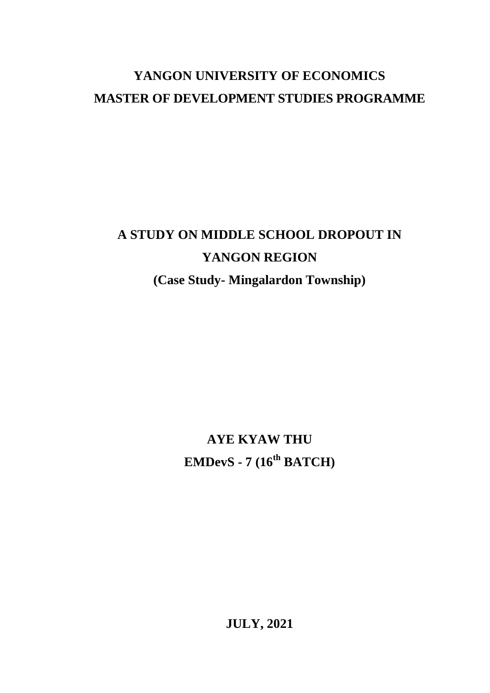# **YANGON UNIVERSITY OF ECONOMICS MASTER OF DEVELOPMENT STUDIES PROGRAMME**

# **A STUDY ON MIDDLE SCHOOL DROPOUT IN YANGON REGION**

**(Case Study- Mingalardon Township)**

**AYE KYAW THU EMDevS - 7 (16th BATCH)**

**JULY, 2021**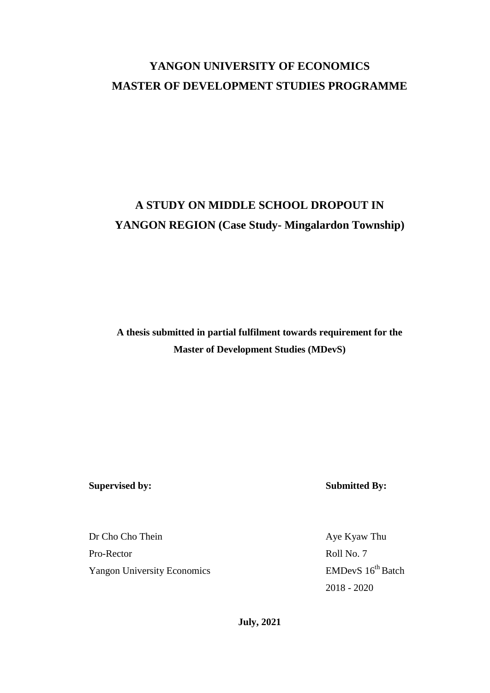# **YANGON UNIVERSITY OF ECONOMICS MASTER OF DEVELOPMENT STUDIES PROGRAMME**

# **A STUDY ON MIDDLE SCHOOL DROPOUT IN YANGON REGION (Case Study- Mingalardon Township)**

**A thesis submitted in partial fulfilment towards requirement for the Master of Development Studies (MDevS)**

**Supervised by: Submitted By:**

Dr Cho Cho Thein Aye Kyaw Thu Pro-Rector Roll No. 7 Yangon University Economics EMDevS 16<sup>th</sup> Batch

2018 - 2020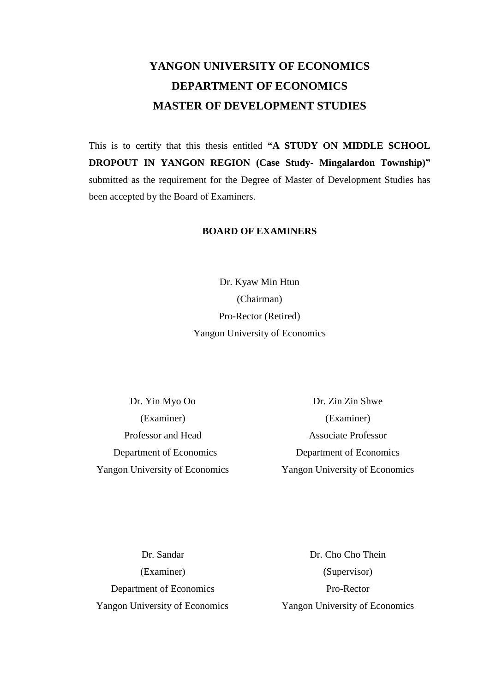# **YANGON UNIVERSITY OF ECONOMICS DEPARTMENT OF ECONOMICS MASTER OF DEVELOPMENT STUDIES**

This is to certify that this thesis entitled **"A STUDY ON MIDDLE SCHOOL DROPOUT IN YANGON REGION (Case Study- Mingalardon Township)"** submitted as the requirement for the Degree of Master of Development Studies has been accepted by the Board of Examiners.

### **BOARD OF EXAMINERS**

Dr. Kyaw Min Htun (Chairman) Pro-Rector (Retired) Yangon University of Economics

Dr. Yin Myo Oo Dr. Zin Zin Shwe (Examiner) (Examiner) Professor and Head Associate Professor Department of Economics Department of Economics Yangon University of Economics Yangon University of Economics

Department of Economics Pro-Rector Yangon University of Economics Yangon University of Economics

Dr. Sandar Dr. Cho Cho Thein (Examiner) (Supervisor)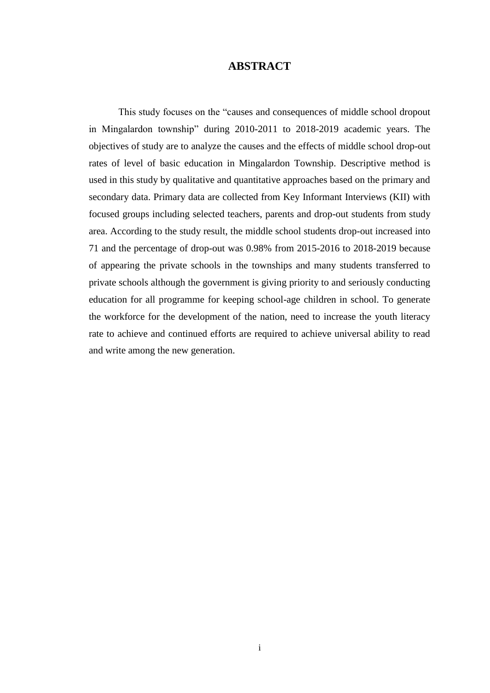### **ABSTRACT**

 This study focuses on the "causes and consequences of middle school dropout in Mingalardon township" during 2010-2011 to 2018-2019 academic years. The objectives of study are to analyze the causes and the effects of middle school drop-out rates of level of basic education in Mingalardon Township. Descriptive method is used in this study by qualitative and quantitative approaches based on the primary and secondary data. Primary data are collected from Key Informant Interviews (KII) with focused groups including selected teachers, parents and drop-out students from study area. According to the study result, the middle school students drop-out increased into 71 and the percentage of drop-out was 0.98% from 2015-2016 to 2018-2019 because of appearing the private schools in the townships and many students transferred to private schools although the government is giving priority to and seriously conducting education for all programme for keeping school-age children in school. To generate the workforce for the development of the nation, need to increase the youth literacy rate to achieve and continued efforts are required to achieve universal ability to read and write among the new generation.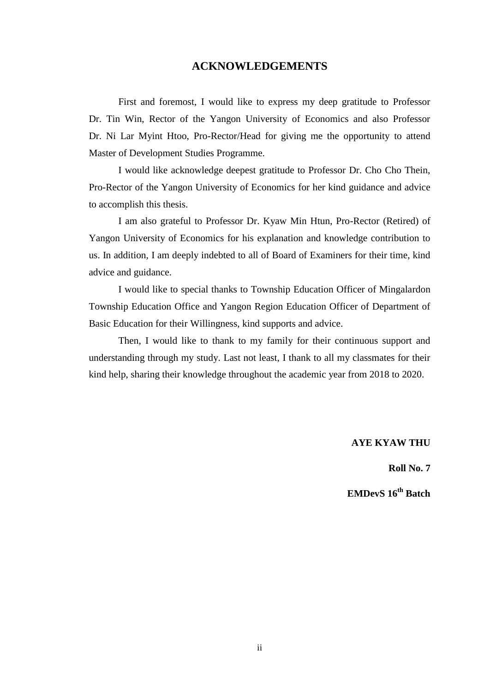### **ACKNOWLEDGEMENTS**

First and foremost, I would like to express my deep gratitude to Professor Dr. Tin Win, Rector of the Yangon University of Economics and also Professor Dr. Ni Lar Myint Htoo, Pro-Rector/Head for giving me the opportunity to attend Master of Development Studies Programme.

I would like acknowledge deepest gratitude to Professor Dr. Cho Cho Thein, Pro-Rector of the Yangon University of Economics for her kind guidance and advice to accomplish this thesis.

I am also grateful to Professor Dr. Kyaw Min Htun, Pro-Rector (Retired) of Yangon University of Economics for his explanation and knowledge contribution to us. In addition, I am deeply indebted to all of Board of Examiners for their time, kind advice and guidance.

I would like to special thanks to Township Education Officer of Mingalardon Township Education Office and Yangon Region Education Officer of Department of Basic Education for their Willingness, kind supports and advice.

Then, I would like to thank to my family for their continuous support and understanding through my study. Last not least, I thank to all my classmates for their kind help, sharing their knowledge throughout the academic year from 2018 to 2020.

**AYE KYAW THU**

**Roll No. 7**

**EMDevS 16th Batch**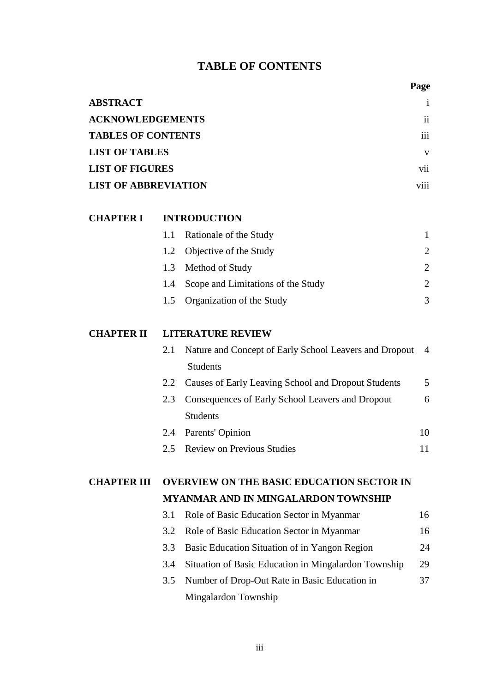### **TABLE OF CONTENTS**

| <b>ABSTRACT</b>             |                  |
|-----------------------------|------------------|
| <b>ACKNOWLEDGEMENTS</b>     | $\mathbf{ii}$    |
| <b>TABLES OF CONTENTS</b>   | iii              |
| <b>LIST OF TABLES</b>       | V                |
| <b>LIST OF FIGURES</b>      | vii              |
| <b>LIST OF ABBREVIATION</b> | $\cdots$<br>V111 |

### **CHAPTER I INTRODUCTION**

| 1.1 Rationale of the Study             |                             |
|----------------------------------------|-----------------------------|
| 1.2 Objective of the Study             | $\mathcal{D}_{\cdot}$       |
| 1.3 Method of Study                    | $\mathcal{D}_{\mathcal{L}}$ |
| 1.4 Scope and Limitations of the Study | $\mathcal{D}_{\mathcal{L}}$ |
| 1.5 Organization of the Study          |                             |

### **CHAPTER II LITERATURE REVIEW**

| 2.1 | Nature and Concept of Early School Leavers and Dropout | $\overline{4}$ |
|-----|--------------------------------------------------------|----------------|
|     | <b>Students</b>                                        |                |
| 2.2 | Causes of Early Leaving School and Dropout Students    | 5              |
| 2.3 | Consequences of Early School Leavers and Dropout       | 6              |
|     | <b>Students</b>                                        |                |
| 2.4 | Parents' Opinion                                       | 10             |
| 2.5 | <b>Review on Previous Studies</b>                      |                |

### **CHAPTER III OVERVIEW ON THE BASIC EDUCATION SECTOR IN MYANMAR AND IN MINGALARDON TOWNSHIP**

|     | 3.1 Role of Basic Education Sector in Myanmar        | 16 |
|-----|------------------------------------------------------|----|
|     | 3.2 Role of Basic Education Sector in Myanmar        | 16 |
|     | 3.3 Basic Education Situation of in Yangon Region    | 24 |
| 3.4 | Situation of Basic Education in Mingalardon Township | 29 |
|     | 3.5 Number of Drop-Out Rate in Basic Education in    | 37 |
|     | Mingalardon Township                                 |    |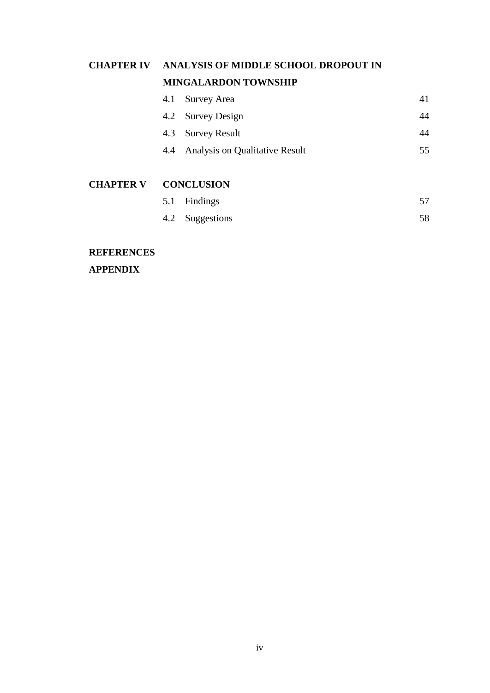# **CHAPTER IV ANALYSIS OF MIDDLE SCHOOL DROPOUT IN MINGALARDON TOWNSHIP**

| 4.1 Survey Area                    |     |
|------------------------------------|-----|
| 4.2 Survey Design                  | 44  |
| 4.3 Survey Result                  | 44  |
| 4.4 Analysis on Qualitative Result | 55. |

### **CHAPTER V CONCLUSION**

| 5.1 Findings    |    |
|-----------------|----|
| 4.2 Suggestions | 58 |

### **REFERENCES**

**APPENDIX**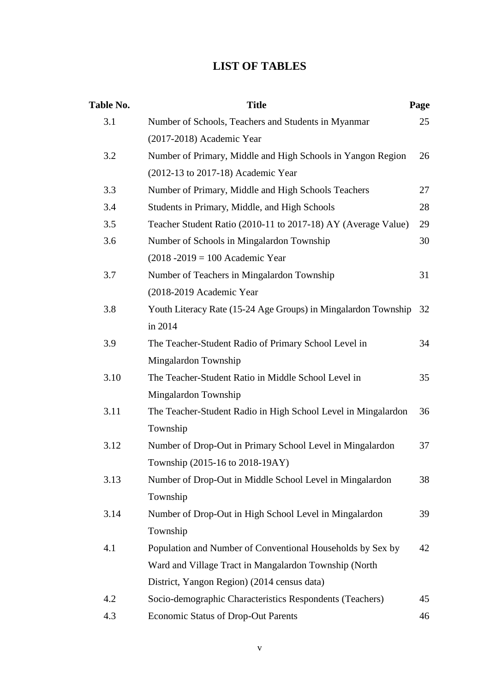### **LIST OF TABLES**

| Table No. | <b>Title</b>                                                   | Page |
|-----------|----------------------------------------------------------------|------|
| 3.1       | Number of Schools, Teachers and Students in Myanmar            | 25   |
|           | (2017-2018) Academic Year                                      |      |
| 3.2       | Number of Primary, Middle and High Schools in Yangon Region    | 26   |
|           | (2012-13 to 2017-18) Academic Year                             |      |
| 3.3       | Number of Primary, Middle and High Schools Teachers            | 27   |
| 3.4       | Students in Primary, Middle, and High Schools                  | 28   |
| 3.5       | Teacher Student Ratio (2010-11 to 2017-18) AY (Average Value)  | 29   |
| 3.6       | Number of Schools in Mingalardon Township                      | 30   |
|           | $(2018 - 2019) = 100$ Academic Year                            |      |
| 3.7       | Number of Teachers in Mingalardon Township                     | 31   |
|           | (2018-2019 Academic Year                                       |      |
| 3.8       | Youth Literacy Rate (15-24 Age Groups) in Mingalardon Township | 32   |
|           | in 2014                                                        |      |
| 3.9       | The Teacher-Student Radio of Primary School Level in           | 34   |
|           | Mingalardon Township                                           |      |
| 3.10      | The Teacher-Student Ratio in Middle School Level in            | 35   |
|           | Mingalardon Township                                           |      |
| 3.11      | The Teacher-Student Radio in High School Level in Mingalardon  | 36   |
|           | Township                                                       |      |
| 3.12      | Number of Drop-Out in Primary School Level in Mingalardon      | 37   |
|           | Township (2015-16 to 2018-19AY)                                |      |
| 3.13      | Number of Drop-Out in Middle School Level in Mingalardon       | 38   |
|           | Township                                                       |      |
| 3.14      | Number of Drop-Out in High School Level in Mingalardon         | 39   |
|           | Township                                                       |      |
| 4.1       | Population and Number of Conventional Households by Sex by     | 42   |
|           | Ward and Village Tract in Mangalardon Township (North          |      |
|           | District, Yangon Region) (2014 census data)                    |      |
| 4.2       | Socio-demographic Characteristics Respondents (Teachers)       | 45   |
| 4.3       | Economic Status of Drop-Out Parents                            | 46   |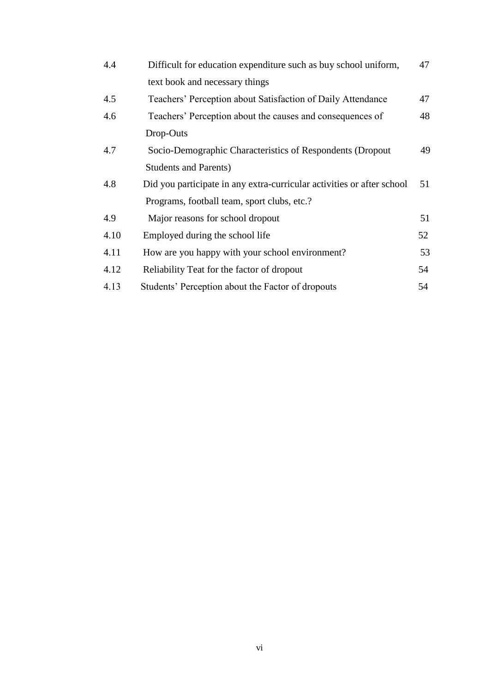| 4.4  | Difficult for education expenditure such as buy school uniform,        | 47 |
|------|------------------------------------------------------------------------|----|
|      | text book and necessary things                                         |    |
| 4.5  | Teachers' Perception about Satisfaction of Daily Attendance            | 47 |
| 4.6  | Teachers' Perception about the causes and consequences of              | 48 |
|      | Drop-Outs                                                              |    |
| 4.7  | Socio-Demographic Characteristics of Respondents (Dropout              | 49 |
|      | <b>Students and Parents)</b>                                           |    |
| 4.8  | Did you participate in any extra-curricular activities or after school | 51 |
|      | Programs, football team, sport clubs, etc.?                            |    |
| 4.9  | Major reasons for school dropout                                       | 51 |
| 4.10 | Employed during the school life                                        | 52 |
| 4.11 | How are you happy with your school environment?                        | 53 |
| 4.12 | Reliability Teat for the factor of dropout                             | 54 |
| 4.13 | Students' Perception about the Factor of dropouts                      | 54 |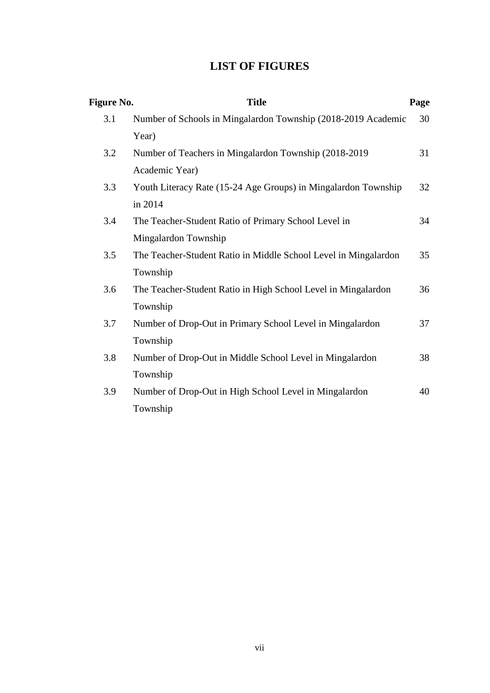### **LIST OF FIGURES**

| <b>Figure No.</b> | <b>Title</b>                                                    | Page |
|-------------------|-----------------------------------------------------------------|------|
| 3.1               | Number of Schools in Mingalardon Township (2018-2019 Academic   | 30   |
|                   | Year)                                                           |      |
| 3.2               | Number of Teachers in Mingalardon Township (2018-2019)          | 31   |
|                   | Academic Year)                                                  |      |
| 3.3               | Youth Literacy Rate (15-24 Age Groups) in Mingalardon Township  | 32   |
|                   | in 2014                                                         |      |
| 3.4               | The Teacher-Student Ratio of Primary School Level in            | 34   |
|                   | Mingalardon Township                                            |      |
| 3.5               | The Teacher-Student Ratio in Middle School Level in Mingalardon | 35   |
|                   | Township                                                        |      |
| 3.6               | The Teacher-Student Ratio in High School Level in Mingalardon   | 36   |
|                   | Township                                                        |      |
| 3.7               | Number of Drop-Out in Primary School Level in Mingalardon       | 37   |
|                   | Township                                                        |      |
| 3.8               | Number of Drop-Out in Middle School Level in Mingalardon        | 38   |
|                   | Township                                                        |      |
| 3.9               | Number of Drop-Out in High School Level in Mingalardon          | 40   |
|                   | Township                                                        |      |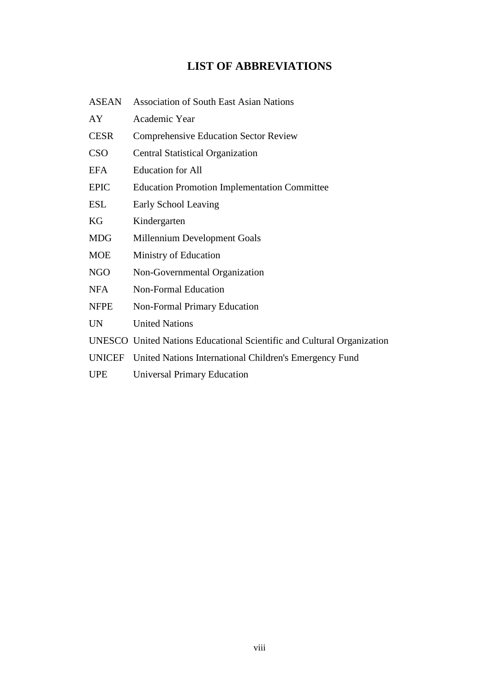### **LIST OF ABBREVIATIONS**

| <b>ASEAN</b>  | <b>Association of South East Asian Nations</b>                         |
|---------------|------------------------------------------------------------------------|
| AY            | Academic Year                                                          |
| <b>CESR</b>   | <b>Comprehensive Education Sector Review</b>                           |
| <b>CSO</b>    | <b>Central Statistical Organization</b>                                |
| <b>EFA</b>    | <b>Education for All</b>                                               |
| <b>EPIC</b>   | <b>Education Promotion Implementation Committee</b>                    |
| <b>ESL</b>    | Early School Leaving                                                   |
| KG            | Kindergarten                                                           |
| <b>MDG</b>    | Millennium Development Goals                                           |
| <b>MOE</b>    | Ministry of Education                                                  |
| <b>NGO</b>    | Non-Governmental Organization                                          |
| <b>NFA</b>    | <b>Non-Formal Education</b>                                            |
| <b>NFPE</b>   | <b>Non-Formal Primary Education</b>                                    |
| <b>UN</b>     | <b>United Nations</b>                                                  |
|               | UNESCO United Nations Educational Scientific and Cultural Organization |
| <b>UNICEF</b> | United Nations International Children's Emergency Fund                 |
| <b>UPE</b>    | <b>Universal Primary Education</b>                                     |
|               |                                                                        |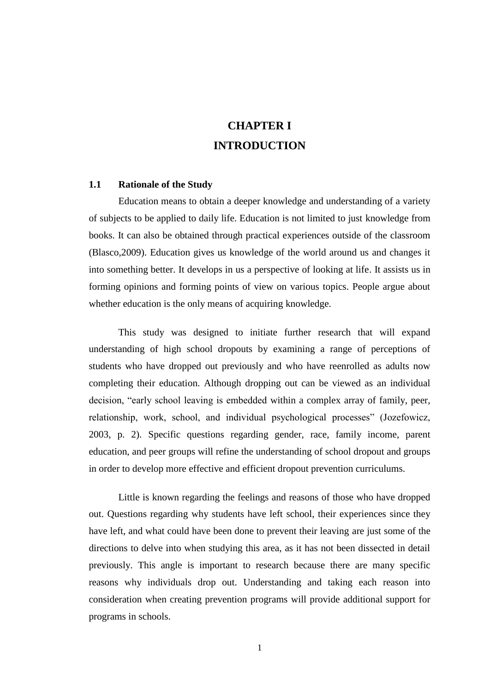### **CHAPTER I INTRODUCTION**

### **1.1 Rationale of the Study**

Education means to obtain a deeper knowledge and understanding of a variety of subjects to be applied to daily life. Education is not limited to just knowledge from books. It can also be obtained through practical experiences outside of the classroom (Blasco,2009). Education gives us knowledge of the world around us and changes it into something better. It develops in us a perspective of looking at life. It assists us in forming opinions and forming points of view on various topics. People argue about whether education is the only means of acquiring knowledge.

This study was designed to initiate further research that will expand understanding of high school dropouts by examining a range of perceptions of students who have dropped out previously and who have reenrolled as adults now completing their education. Although dropping out can be viewed as an individual decision, "early school leaving is embedded within a complex array of family, peer, relationship, work, school, and individual psychological processes" (Jozefowicz, 2003, p. 2). Specific questions regarding gender, race, family income, parent education, and peer groups will refine the understanding of school dropout and groups in order to develop more effective and efficient dropout prevention curriculums.

Little is known regarding the feelings and reasons of those who have dropped out. Questions regarding why students have left school, their experiences since they have left, and what could have been done to prevent their leaving are just some of the directions to delve into when studying this area, as it has not been dissected in detail previously. This angle is important to research because there are many specific reasons why individuals drop out. Understanding and taking each reason into consideration when creating prevention programs will provide additional support for programs in schools.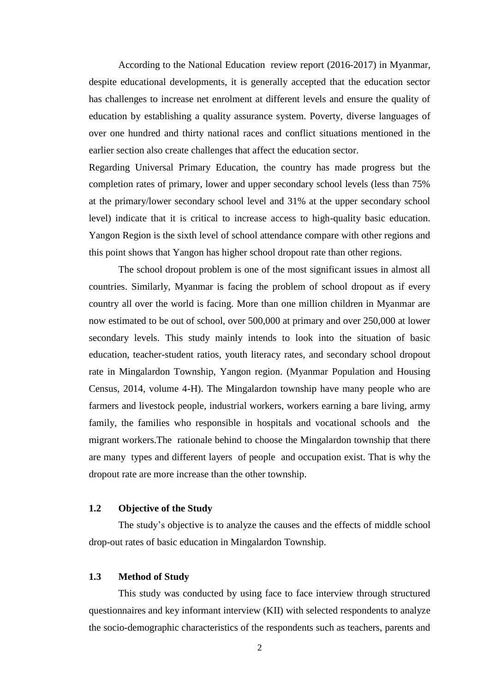According to the National Education review report (2016-2017) in Myanmar, despite educational developments, it is generally accepted that the education sector has challenges to increase net enrolment at different levels and ensure the quality of education by establishing a quality assurance system. Poverty, diverse languages of over one hundred and thirty national races and conflict situations mentioned in the earlier section also create challenges that affect the education sector.

Regarding Universal Primary Education, the country has made progress but the completion rates of primary, lower and upper secondary school levels (less than 75% at the primary/lower secondary school level and 31% at the upper secondary school level) indicate that it is critical to increase access to high-quality basic education. Yangon Region is the sixth level of school attendance compare with other regions and this point shows that Yangon has higher school dropout rate than other regions.

The school dropout problem is one of the most significant issues in almost all countries. Similarly, Myanmar is facing the problem of school dropout as if every country all over the world is facing. More than one million children in Myanmar are now estimated to be out of school, over 500,000 at primary and over 250,000 at lower secondary levels. This study mainly intends to look into the situation of basic education, teacher-student ratios, youth literacy rates, and secondary school dropout rate in Mingalardon Township, Yangon region. (Myanmar Population and Housing Census, 2014, volume 4-H). The Mingalardon township have many people who are farmers and livestock people, industrial workers, workers earning a bare living, army family, the families who responsible in hospitals and vocational schools and the migrant workers.The rationale behind to choose the Mingalardon township that there are many types and different layers of people and occupation exist. That is why the dropout rate are more increase than the other township.

### **1.2 Objective of the Study**

The study"s objective is to analyze the causes and the effects of middle school drop-out rates of basic education in Mingalardon Township.

### **1.3 Method of Study**

This study was conducted by using face to face interview through structured questionnaires and key informant interview (KII) with selected respondents to analyze the socio-demographic characteristics of the respondents such as teachers, parents and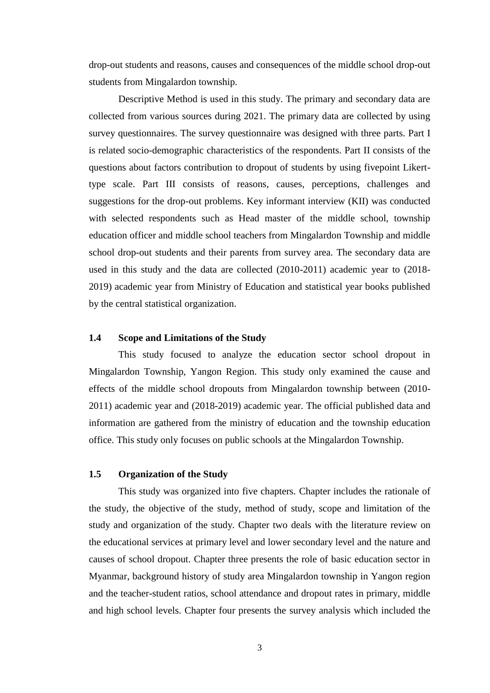drop-out students and reasons, causes and consequences of the middle school drop-out students from Mingalardon township.

Descriptive Method is used in this study. The primary and secondary data are collected from various sources during 2021. The primary data are collected by using survey questionnaires. The survey questionnaire was designed with three parts. Part I is related socio-demographic characteristics of the respondents. Part II consists of the questions about factors contribution to dropout of students by using fivepoint Likerttype scale. Part III consists of reasons, causes, perceptions, challenges and suggestions for the drop-out problems. Key informant interview (KII) was conducted with selected respondents such as Head master of the middle school, township education officer and middle school teachers from Mingalardon Township and middle school drop-out students and their parents from survey area. The secondary data are used in this study and the data are collected (2010-2011) academic year to (2018- 2019) academic year from Ministry of Education and statistical year books published by the central statistical organization.

### **1.4 Scope and Limitations of the Study**

This study focused to analyze the education sector school dropout in Mingalardon Township, Yangon Region. This study only examined the cause and effects of the middle school dropouts from Mingalardon township between (2010- 2011) academic year and (2018-2019) academic year. The official published data and information are gathered from the ministry of education and the township education office. This study only focuses on public schools at the Mingalardon Township.

### **1.5 Organization of the Study**

 This study was organized into five chapters. Chapter includes the rationale of the study, the objective of the study, method of study, scope and limitation of the study and organization of the study. Chapter two deals with the literature review on the educational services at primary level and lower secondary level and the nature and causes of school dropout. Chapter three presents the role of basic education sector in Myanmar, background history of study area Mingalardon township in Yangon region and the teacher-student ratios, school attendance and dropout rates in primary, middle and high school levels. Chapter four presents the survey analysis which included the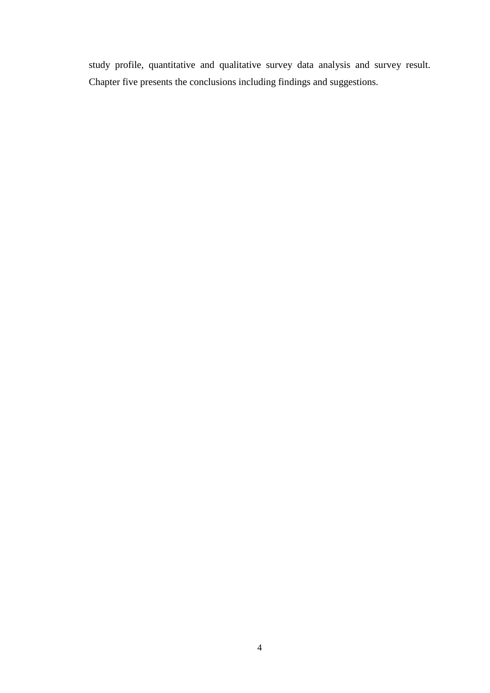study profile, quantitative and qualitative survey data analysis and survey result. Chapter five presents the conclusions including findings and suggestions.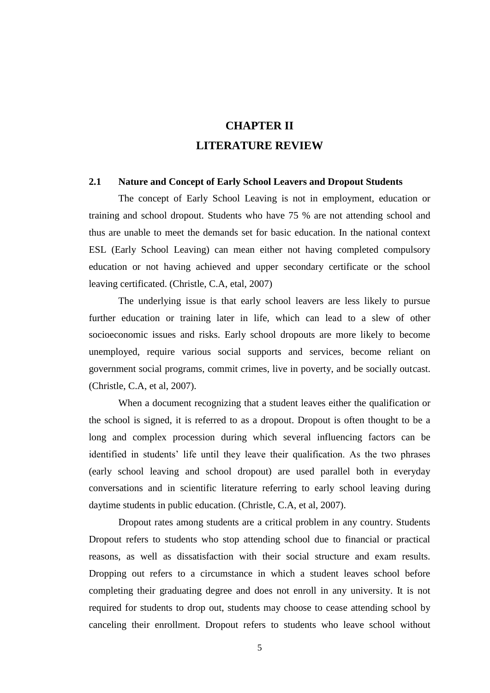### **CHAPTER II LITERATURE REVIEW**

### **2.1 Nature and Concept of Early School Leavers and Dropout Students**

The concept of Early School Leaving is not in employment, education or training and school dropout. Students who have 75 % are not attending school and thus are unable to meet the demands set for basic education. In the national context ESL (Early School Leaving) can mean either not having completed compulsory education or not having achieved and upper secondary certificate or the school leaving certificated. (Christle, C.A, etal, 2007)

The underlying issue is that early school leavers are less likely to pursue further education or training later in life, which can lead to a slew of other socioeconomic issues and risks. Early school dropouts are more likely to become unemployed, require various social supports and services, become reliant on government social programs, commit crimes, live in poverty, and be socially outcast. (Christle, C.A, et al, 2007).

When a document recognizing that a student leaves either the qualification or the school is signed, it is referred to as a dropout. Dropout is often thought to be a long and complex procession during which several influencing factors can be identified in students' life until they leave their qualification. As the two phrases (early school leaving and school dropout) are used parallel both in everyday conversations and in scientific literature referring to early school leaving during daytime students in public education. (Christle, C.A, et al, 2007).

Dropout rates among students are a critical problem in any country. Students Dropout refers to students who stop attending school due to financial or practical reasons, as well as dissatisfaction with their social structure and exam results. Dropping out refers to a circumstance in which a student leaves school before completing their graduating degree and does not enroll in any university. It is not required for students to drop out, students may choose to cease attending school by canceling their enrollment. Dropout refers to students who leave school without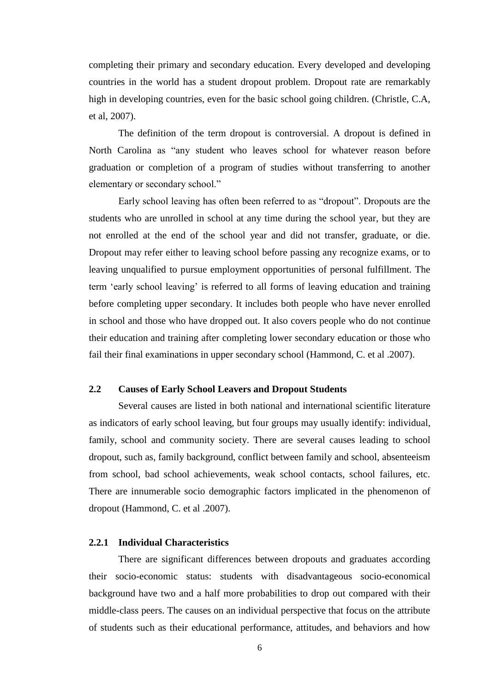completing their primary and secondary education. Every developed and developing countries in the world has a student dropout problem. Dropout rate are remarkably high in developing countries, even for the basic school going children. (Christle, C.A, et al, 2007).

The definition of the term dropout is controversial. A dropout is defined in North Carolina as "any student who leaves school for whatever reason before graduation or completion of a program of studies without transferring to another elementary or secondary school."

Early school leaving has often been referred to as "dropout". Dropouts are the students who are unrolled in school at any time during the school year, but they are not enrolled at the end of the school year and did not transfer, graduate, or die. Dropout may refer either to leaving school before passing any recognize exams, or to leaving unqualified to pursue employment opportunities of personal fulfillment. The term "early school leaving" is referred to all forms of leaving education and training before completing upper secondary. It includes both people who have never enrolled in school and those who have dropped out. It also covers people who do not continue their education and training after completing lower secondary education or those who fail their final examinations in upper secondary school (Hammond, C. et al .2007).

### **2.2 Causes of Early School Leavers and Dropout Students**

Several causes are listed in both national and international scientific literature as indicators of early school leaving, but four groups may usually identify: individual, family, school and community society. There are several causes leading to school dropout, such as, family background, conflict between family and school, absenteeism from school, bad school achievements, weak school contacts, school failures, etc. There are innumerable socio demographic factors implicated in the phenomenon of dropout (Hammond, C. et al .2007).

### **2.2.1 Individual Characteristics**

There are significant differences between dropouts and graduates according their socio-economic status: students with disadvantageous socio-economical background have two and a half more probabilities to drop out compared with their middle-class peers. The causes on an individual perspective that focus on the attribute of students such as their educational performance, attitudes, and behaviors and how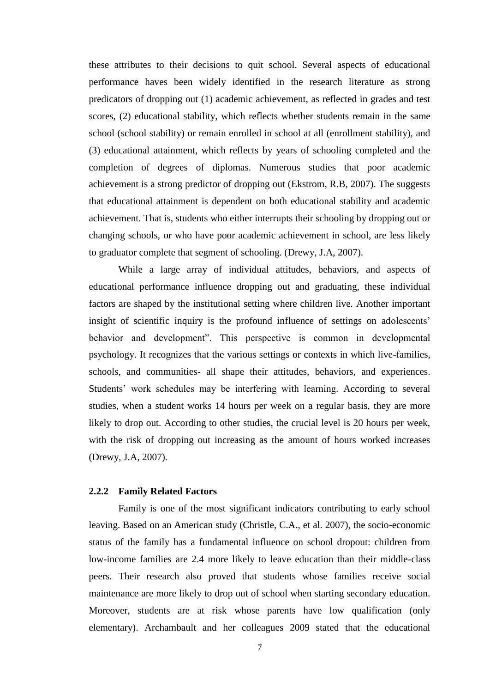these attributes to their decisions to quit school. Several aspects of educational performance haves been widely identified in the research literature as strong predicators of dropping out (1) academic achievement, as reflected in grades and test scores, (2) educational stability, which reflects whether students remain in the same school (school stability) or remain enrolled in school at all (enrollment stability), and (3) educational attainment, which reflects by years of schooling completed and the completion of degrees of diplomas. Numerous studies that poor academic achievement is a strong predictor of dropping out (Ekstrom, R.B, 2007). The suggests that educational attainment is dependent on both educational stability and academic achievement. That is, students who either interrupts their schooling by dropping out or changing schools, or who have poor academic achievement in school, are less likely to graduator complete that segment of schooling. (Drewy, J.A, 2007).

While a large array of individual attitudes, behaviors, and aspects of educational performance influence dropping out and graduating, these individual factors are shaped by the institutional setting where children live. Another important insight of scientific inquiry is the profound influence of settings on adolescents' behavior and development". This perspective is common in developmental psychology. It recognizes that the various settings or contexts in which live-families, schools, and communities- all shape their attitudes, behaviors, and experiences. Students' work schedules may be interfering with learning. According to several studies, when a student works 14 hours per week on a regular basis, they are more likely to drop out. According to other studies, the crucial level is 20 hours per week, with the risk of dropping out increasing as the amount of hours worked increases (Drewy, J.A, 2007).

### **2.2.2 Family Related Factors**

Family is one of the most significant indicators contributing to early school leaving. Based on an American study (Christle, C.A., et al. 2007), the socio-economic status of the family has a fundamental influence on school dropout: children from low-income families are 2.4 more likely to leave education than their middle-class peers. Their research also proved that students whose families receive social maintenance are more likely to drop out of school when starting secondary education. Moreover, students are at risk whose parents have low qualification (only elementary). Archambault and her colleagues 2009 stated that the educational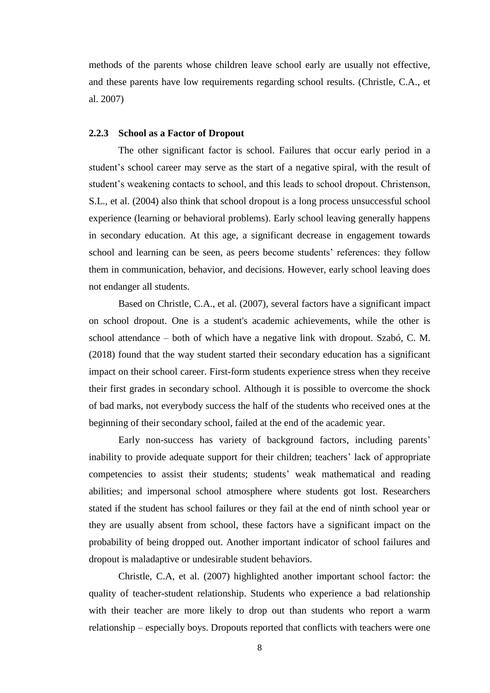methods of the parents whose children leave school early are usually not effective, and these parents have low requirements regarding school results. (Christle, C.A., et al. 2007)

#### **2.2.3 School as a Factor of Dropout**

The other significant factor is school. Failures that occur early period in a student's school career may serve as the start of a negative spiral, with the result of student"s weakening contacts to school, and this leads to school dropout. Christenson, S.L., et al. (2004) also think that school dropout is a long process unsuccessful school experience (learning or behavioral problems). Early school leaving generally happens in secondary education. At this age, a significant decrease in engagement towards school and learning can be seen, as peers become students' references: they follow them in communication, behavior, and decisions. However, early school leaving does not endanger all students.

Based on Christle, C.A., et al. (2007), several factors have a significant impact on school dropout. One is a student's academic achievements, while the other is school attendance – both of which have a negative link with dropout. Szabó, C. M. (2018) found that the way student started their secondary education has a significant impact on their school career. First-form students experience stress when they receive their first grades in secondary school. Although it is possible to overcome the shock of bad marks, not everybody success the half of the students who received ones at the beginning of their secondary school, failed at the end of the academic year.

Early non-success has variety of background factors, including parents' inability to provide adequate support for their children; teachers' lack of appropriate competencies to assist their students; students' weak mathematical and reading abilities; and impersonal school atmosphere where students got lost. Researchers stated if the student has school failures or they fail at the end of ninth school year or they are usually absent from school, these factors have a significant impact on the probability of being dropped out. Another important indicator of school failures and dropout is maladaptive or undesirable student behaviors.

Christle, C.A, et al. (2007) highlighted another important school factor: the quality of teacher-student relationship. Students who experience a bad relationship with their teacher are more likely to drop out than students who report a warm relationship – especially boys. Dropouts reported that conflicts with teachers were one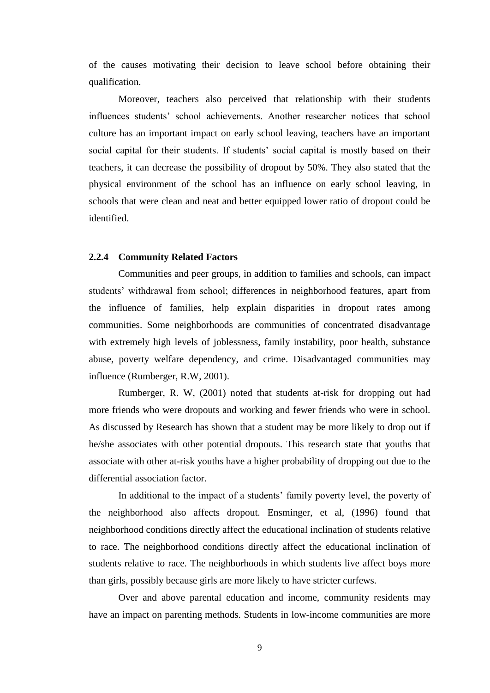of the causes motivating their decision to leave school before obtaining their qualification.

Moreover, teachers also perceived that relationship with their students influences students" school achievements. Another researcher notices that school culture has an important impact on early school leaving, teachers have an important social capital for their students. If students' social capital is mostly based on their teachers, it can decrease the possibility of dropout by 50%. They also stated that the physical environment of the school has an influence on early school leaving, in schools that were clean and neat and better equipped lower ratio of dropout could be identified.

### **2.2.4 Community Related Factors**

Communities and peer groups, in addition to families and schools, can impact students" withdrawal from school; differences in neighborhood features, apart from the influence of families, help explain disparities in dropout rates among communities. Some neighborhoods are communities of concentrated disadvantage with extremely high levels of joblessness, family instability, poor health, substance abuse, poverty welfare dependency, and crime. Disadvantaged communities may influence (Rumberger, R.W, 2001).

Rumberger, R. W, (2001) noted that students at-risk for dropping out had more friends who were dropouts and working and fewer friends who were in school. As discussed by Research has shown that a student may be more likely to drop out if he/she associates with other potential dropouts. This research state that youths that associate with other at-risk youths have a higher probability of dropping out due to the differential association factor.

In additional to the impact of a students' family poverty level, the poverty of the neighborhood also affects dropout. Ensminger, et al, (1996) found that neighborhood conditions directly affect the educational inclination of students relative to race. The neighborhood conditions directly affect the educational inclination of students relative to race. The neighborhoods in which students live affect boys more than girls, possibly because girls are more likely to have stricter curfews.

Over and above parental education and income, community residents may have an impact on parenting methods. Students in low-income communities are more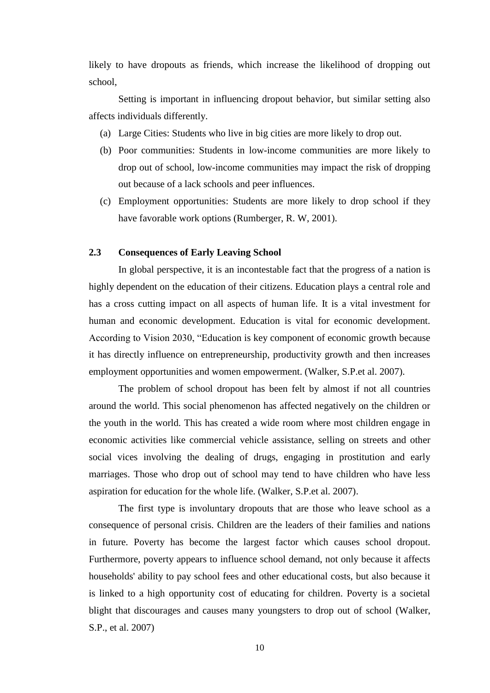likely to have dropouts as friends, which increase the likelihood of dropping out school,

Setting is important in influencing dropout behavior, but similar setting also affects individuals differently.

- (a) Large Cities: Students who live in big cities are more likely to drop out.
- (b) Poor communities: Students in low-income communities are more likely to drop out of school, low-income communities may impact the risk of dropping out because of a lack schools and peer influences.
- (c) Employment opportunities: Students are more likely to drop school if they have favorable work options (Rumberger, R. W, 2001).

### **2.3 Consequences of Early Leaving School**

In global perspective, it is an incontestable fact that the progress of a nation is highly dependent on the education of their citizens. Education plays a central role and has a cross cutting impact on all aspects of human life. It is a vital investment for human and economic development. Education is vital for economic development. According to Vision 2030, "Education is key component of economic growth because it has directly influence on entrepreneurship, productivity growth and then increases employment opportunities and women empowerment. (Walker, S.P.et al. 2007).

The problem of school dropout has been felt by almost if not all countries around the world. This social phenomenon has affected negatively on the children or the youth in the world. This has created a wide room where most children engage in economic activities like commercial vehicle assistance, selling on streets and other social vices involving the dealing of drugs, engaging in prostitution and early marriages. Those who drop out of school may tend to have children who have less aspiration for education for the whole life. (Walker, S.P.et al. 2007).

The first type is involuntary dropouts that are those who leave school as a consequence of personal crisis. Children are the leaders of their families and nations in future. Poverty has become the largest factor which causes school dropout. Furthermore, poverty appears to influence school demand, not only because it affects households' ability to pay school fees and other educational costs, but also because it is linked to a high opportunity cost of educating for children. Poverty is a societal blight that discourages and causes many youngsters to drop out of school (Walker, S.P., et al. 2007)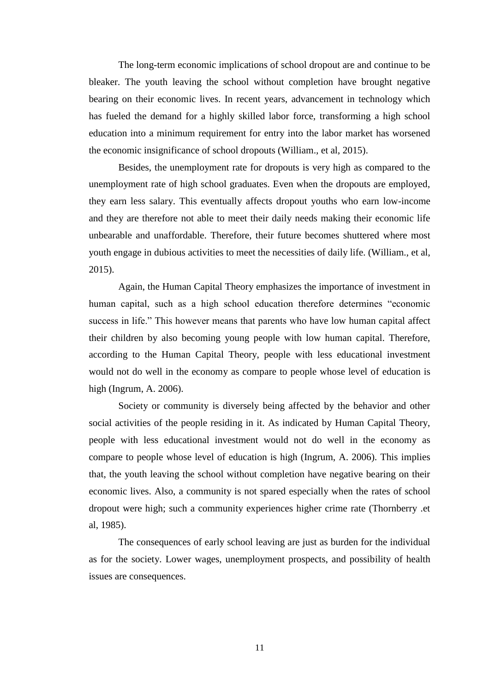The long-term economic implications of school dropout are and continue to be bleaker. The youth leaving the school without completion have brought negative bearing on their economic lives. In recent years, advancement in technology which has fueled the demand for a highly skilled labor force, transforming a high school education into a minimum requirement for entry into the labor market has worsened the economic insignificance of school dropouts (William., et al, 2015).

Besides, the unemployment rate for dropouts is very high as compared to the unemployment rate of high school graduates. Even when the dropouts are employed, they earn less salary. This eventually affects dropout youths who earn low-income and they are therefore not able to meet their daily needs making their economic life unbearable and unaffordable. Therefore, their future becomes shuttered where most youth engage in dubious activities to meet the necessities of daily life. (William., et al, 2015).

Again, the Human Capital Theory emphasizes the importance of investment in human capital, such as a high school education therefore determines "economic success in life." This however means that parents who have low human capital affect their children by also becoming young people with low human capital. Therefore, according to the Human Capital Theory, people with less educational investment would not do well in the economy as compare to people whose level of education is high (Ingrum, A. 2006).

Society or community is diversely being affected by the behavior and other social activities of the people residing in it. As indicated by Human Capital Theory, people with less educational investment would not do well in the economy as compare to people whose level of education is high (Ingrum, A. 2006). This implies that, the youth leaving the school without completion have negative bearing on their economic lives. Also, a community is not spared especially when the rates of school dropout were high; such a community experiences higher crime rate (Thornberry .et al, 1985).

The consequences of early school leaving are just as burden for the individual as for the society. Lower wages, unemployment prospects, and possibility of health issues are consequences.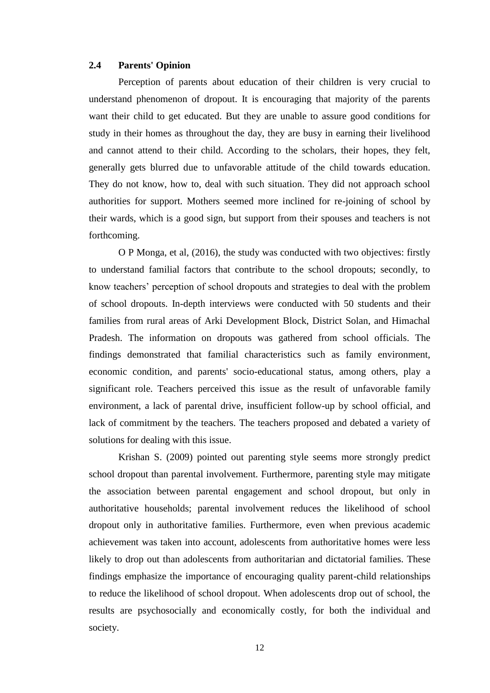### **2.4 Parents' Opinion**

Perception of parents about education of their children is very crucial to understand phenomenon of dropout. It is encouraging that majority of the parents want their child to get educated. But they are unable to assure good conditions for study in their homes as throughout the day, they are busy in earning their livelihood and cannot attend to their child. According to the scholars, their hopes, they felt, generally gets blurred due to unfavorable attitude of the child towards education. They do not know, how to, deal with such situation. They did not approach school authorities for support. Mothers seemed more inclined for re-joining of school by their wards, which is a good sign, but support from their spouses and teachers is not forthcoming.

O P Monga, et al, (2016), the study was conducted with two objectives: firstly to understand familial factors that contribute to the school dropouts; secondly, to know teachers" perception of school dropouts and strategies to deal with the problem of school dropouts. In-depth interviews were conducted with 50 students and their families from rural areas of Arki Development Block, District Solan, and Himachal Pradesh. The information on dropouts was gathered from school officials. The findings demonstrated that familial characteristics such as family environment, economic condition, and parents' socio-educational status, among others, play a significant role. Teachers perceived this issue as the result of unfavorable family environment, a lack of parental drive, insufficient follow-up by school official, and lack of commitment by the teachers. The teachers proposed and debated a variety of solutions for dealing with this issue.

Krishan S. (2009) pointed out parenting style seems more strongly predict school dropout than parental involvement. Furthermore, parenting style may mitigate the association between parental engagement and school dropout, but only in authoritative households; parental involvement reduces the likelihood of school dropout only in authoritative families. Furthermore, even when previous academic achievement was taken into account, adolescents from authoritative homes were less likely to drop out than adolescents from authoritarian and dictatorial families. These findings emphasize the importance of encouraging quality parent-child relationships to reduce the likelihood of school dropout. When adolescents drop out of school, the results are psychosocially and economically costly, for both the individual and society.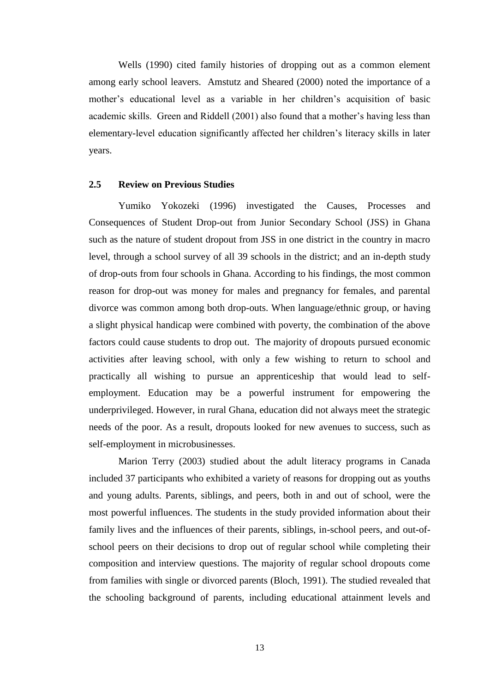Wells (1990) cited family histories of dropping out as a common element among early school leavers. Amstutz and Sheared (2000) noted the importance of a mother"s educational level as a variable in her children"s acquisition of basic academic skills. Green and Riddell (2001) also found that a mother's having less than elementary-level education significantly affected her children"s literacy skills in later years.

### **2.5 Review on Previous Studies**

Yumiko Yokozeki (1996) investigated the Causes, Processes and Consequences of Student Drop-out from Junior Secondary School (JSS) in Ghana such as the nature of student dropout from JSS in one district in the country in macro level, through a school survey of all 39 schools in the district; and an in-depth study of drop-outs from four schools in Ghana. According to his findings, the most common reason for drop-out was money for males and pregnancy for females, and parental divorce was common among both drop-outs. When language/ethnic group, or having a slight physical handicap were combined with poverty, the combination of the above factors could cause students to drop out. The majority of dropouts pursued economic activities after leaving school, with only a few wishing to return to school and practically all wishing to pursue an apprenticeship that would lead to selfemployment. Education may be a powerful instrument for empowering the underprivileged. However, in rural Ghana, education did not always meet the strategic needs of the poor. As a result, dropouts looked for new avenues to success, such as self-employment in microbusinesses.

Marion Terry (2003) studied about the adult literacy programs in Canada included 37 participants who exhibited a variety of reasons for dropping out as youths and young adults. Parents, siblings, and peers, both in and out of school, were the most powerful influences. The students in the study provided information about their family lives and the influences of their parents, siblings, in-school peers, and out-ofschool peers on their decisions to drop out of regular school while completing their composition and interview questions. The majority of regular school dropouts come from families with single or divorced parents (Bloch, 1991). The studied revealed that the schooling background of parents, including educational attainment levels and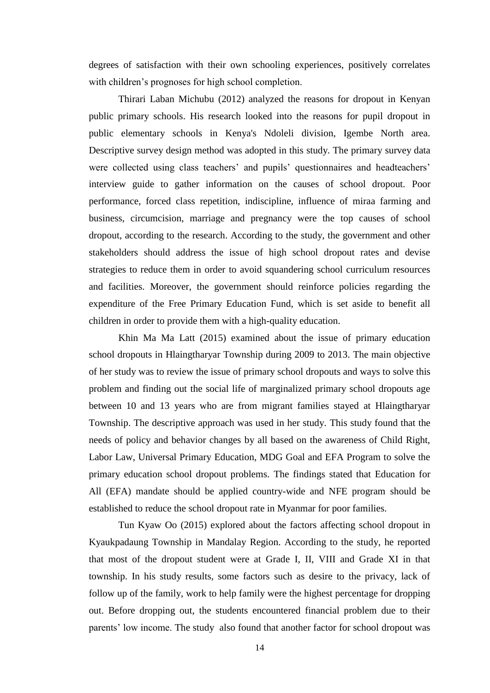degrees of satisfaction with their own schooling experiences, positively correlates with children's prognoses for high school completion.

Thirari Laban Michubu (2012) analyzed the reasons for dropout in Kenyan public primary schools. His research looked into the reasons for pupil dropout in public elementary schools in Kenya's Ndoleli division, Igembe North area. Descriptive survey design method was adopted in this study. The primary survey data were collected using class teachers' and pupils' questionnaires and headteachers' interview guide to gather information on the causes of school dropout. Poor performance, forced class repetition, indiscipline, influence of miraa farming and business, circumcision, marriage and pregnancy were the top causes of school dropout, according to the research. According to the study, the government and other stakeholders should address the issue of high school dropout rates and devise strategies to reduce them in order to avoid squandering school curriculum resources and facilities. Moreover, the government should reinforce policies regarding the expenditure of the Free Primary Education Fund, which is set aside to benefit all children in order to provide them with a high-quality education.

Khin Ma Ma Latt (2015) examined about the issue of primary education school dropouts in Hlaingtharyar Township during 2009 to 2013. The main objective of her study was to review the issue of primary school dropouts and ways to solve this problem and finding out the social life of marginalized primary school dropouts age between 10 and 13 years who are from migrant families stayed at Hlaingtharyar Township. The descriptive approach was used in her study. This study found that the needs of policy and behavior changes by all based on the awareness of Child Right, Labor Law, Universal Primary Education, MDG Goal and EFA Program to solve the primary education school dropout problems. The findings stated that Education for All (EFA) mandate should be applied country-wide and NFE program should be established to reduce the school dropout rate in Myanmar for poor families.

Tun Kyaw Oo (2015) explored about the factors affecting school dropout in Kyaukpadaung Township in Mandalay Region. According to the study, he reported that most of the dropout student were at Grade I, II, VIII and Grade XI in that township. In his study results, some factors such as desire to the privacy, lack of follow up of the family, work to help family were the highest percentage for dropping out. Before dropping out, the students encountered financial problem due to their parents' low income. The study also found that another factor for school dropout was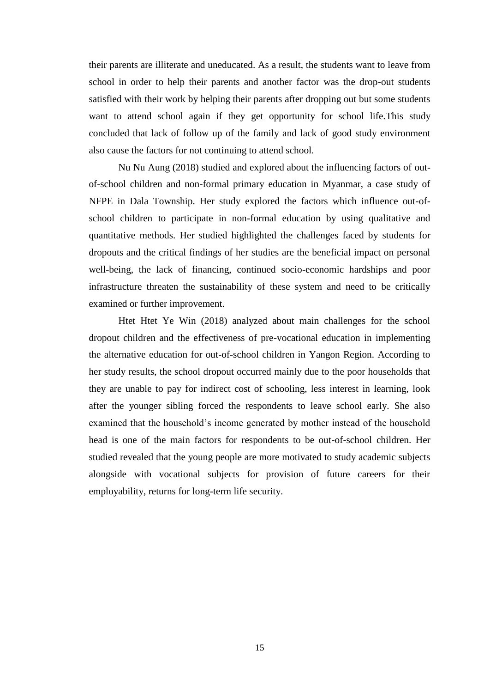their parents are illiterate and uneducated. As a result, the students want to leave from school in order to help their parents and another factor was the drop-out students satisfied with their work by helping their parents after dropping out but some students want to attend school again if they get opportunity for school life.This study concluded that lack of follow up of the family and lack of good study environment also cause the factors for not continuing to attend school.

Nu Nu Aung (2018) studied and explored about the influencing factors of outof-school children and non-formal primary education in Myanmar, a case study of NFPE in Dala Township. Her study explored the factors which influence out-ofschool children to participate in non-formal education by using qualitative and quantitative methods. Her studied highlighted the challenges faced by students for dropouts and the critical findings of her studies are the beneficial impact on personal well-being, the lack of financing, continued socio-economic hardships and poor infrastructure threaten the sustainability of these system and need to be critically examined or further improvement.

Htet Htet Ye Win (2018) analyzed about main challenges for the school dropout children and the effectiveness of pre-vocational education in implementing the alternative education for out-of-school children in Yangon Region. According to her study results, the school dropout occurred mainly due to the poor households that they are unable to pay for indirect cost of schooling, less interest in learning, look after the younger sibling forced the respondents to leave school early. She also examined that the household"s income generated by mother instead of the household head is one of the main factors for respondents to be out-of-school children. Her studied revealed that the young people are more motivated to study academic subjects alongside with vocational subjects for provision of future careers for their employability, returns for long-term life security.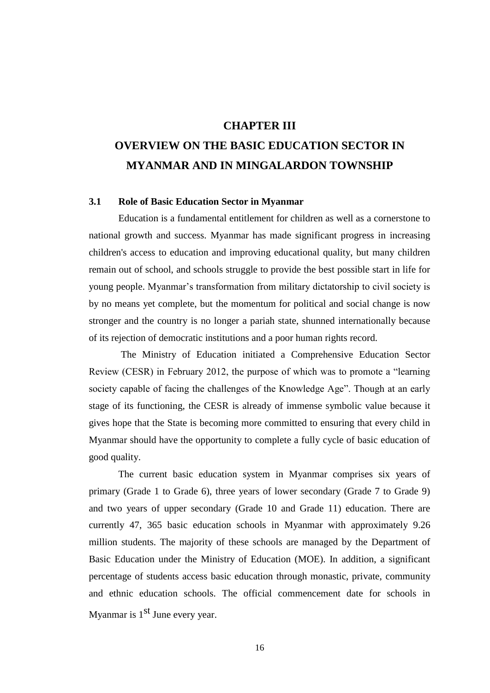### **CHAPTER III**

## **OVERVIEW ON THE BASIC EDUCATION SECTOR IN MYANMAR AND IN MINGALARDON TOWNSHIP**

### **3.1 Role of Basic Education Sector in Myanmar**

Education is a fundamental entitlement for children as well as a cornerstone to national growth and success. Myanmar has made significant progress in increasing children's access to education and improving educational quality, but many children remain out of school, and schools struggle to provide the best possible start in life for young people. Myanmar"s transformation from military dictatorship to civil society is by no means yet complete, but the momentum for political and social change is now stronger and the country is no longer a pariah state, shunned internationally because of its rejection of democratic institutions and a poor human rights record.

The Ministry of Education initiated a Comprehensive Education Sector Review (CESR) in February 2012, the purpose of which was to promote a "learning society capable of facing the challenges of the Knowledge Age". Though at an early stage of its functioning, the CESR is already of immense symbolic value because it gives hope that the State is becoming more committed to ensuring that every child in Myanmar should have the opportunity to complete a fully cycle of basic education of good quality.

The current basic education system in Myanmar comprises six years of primary (Grade 1 to Grade 6), three years of lower secondary (Grade 7 to Grade 9) and two years of upper secondary (Grade 10 and Grade 11) education. There are currently 47, 365 basic education schools in Myanmar with approximately 9.26 million students. The majority of these schools are managed by the Department of Basic Education under the Ministry of Education (MOE). In addition, a significant percentage of students access basic education through monastic, private, community and ethnic education schools. The official commencement date for schools in Myanmar is  $1<sup>st</sup>$  June every year.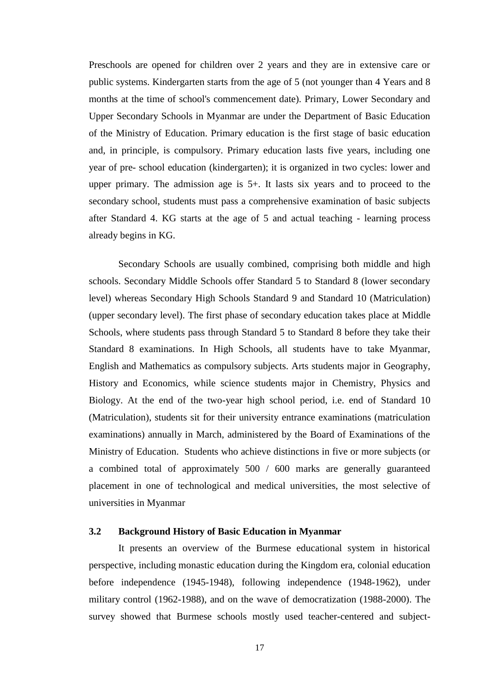Preschools are opened for children over 2 years and they are in extensive care or public systems. Kindergarten starts from the age of 5 (not younger than 4 Years and 8 months at the time of school's commencement date). Primary, Lower Secondary and Upper Secondary Schools in Myanmar are under the Department of Basic Education of the Ministry of Education. Primary education is the first stage of basic education and, in principle, is compulsory. Primary education lasts five years, including one year of pre- school education (kindergarten); it is organized in two cycles: lower and upper primary. The admission age is 5+. It lasts six years and to proceed to the secondary school, students must pass a comprehensive examination of basic subjects after Standard 4. KG starts at the age of 5 and actual teaching - learning process already begins in KG.

Secondary Schools are usually combined, comprising both middle and high schools. Secondary Middle Schools offer Standard 5 to Standard 8 (lower secondary level) whereas Secondary High Schools Standard 9 and Standard 10 (Matriculation) (upper secondary level). The first phase of secondary education takes place at Middle Schools, where students pass through Standard 5 to Standard 8 before they take their Standard 8 examinations. In High Schools, all students have to take Myanmar, English and Mathematics as compulsory subjects. Arts students major in Geography, History and Economics, while science students major in Chemistry, Physics and Biology. At the end of the two-year high school period, i.e. end of Standard 10 (Matriculation), students sit for their university entrance examinations (matriculation examinations) annually in March, administered by the Board of Examinations of the Ministry of Education. Students who achieve distinctions in five or more subjects (or a combined total of approximately 500 / 600 marks are generally guaranteed placement in one of technological and medical universities, the most selective of universities in Myanmar

### **3.2 Background History of Basic Education in Myanmar**

It presents an overview of the Burmese educational system in historical perspective, including monastic education during the Kingdom era, colonial education before independence (1945-1948), following independence (1948-1962), under military control (1962-1988), and on the wave of democratization (1988-2000). The survey showed that Burmese schools mostly used teacher-centered and subject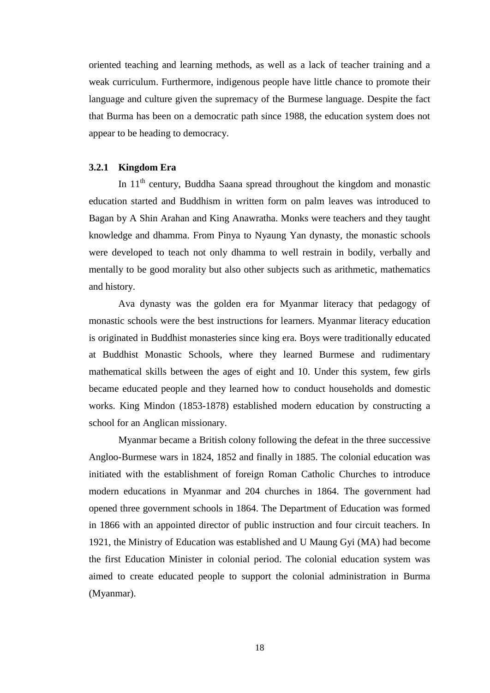oriented teaching and learning methods, as well as a lack of teacher training and a weak curriculum. Furthermore, indigenous people have little chance to promote their language and culture given the supremacy of the Burmese language. Despite the fact that Burma has been on a democratic path since 1988, the education system does not appear to be heading to democracy.

### **3.2.1 Kingdom Era**

In  $11<sup>th</sup>$  century, Buddha Saana spread throughout the kingdom and monastic education started and Buddhism in written form on palm leaves was introduced to Bagan by A Shin Arahan and King Anawratha. Monks were teachers and they taught knowledge and dhamma. From Pinya to Nyaung Yan dynasty, the monastic schools were developed to teach not only dhamma to well restrain in bodily, verbally and mentally to be good morality but also other subjects such as arithmetic, mathematics and history.

Ava dynasty was the golden era for Myanmar literacy that pedagogy of monastic schools were the best instructions for learners. Myanmar literacy education is originated in Buddhist monasteries since king era. Boys were traditionally educated at Buddhist Monastic Schools, where they learned Burmese and rudimentary mathematical skills between the ages of eight and 10. Under this system, few girls became educated people and they learned how to conduct households and domestic works. King Mindon (1853-1878) established modern education by constructing a school for an Anglican missionary.

Myanmar became a British colony following the defeat in the three successive Angloo-Burmese wars in 1824, 1852 and finally in 1885. The colonial education was initiated with the establishment of foreign Roman Catholic Churches to introduce modern educations in Myanmar and 204 churches in 1864. The government had opened three government schools in 1864. The Department of Education was formed in 1866 with an appointed director of public instruction and four circuit teachers. In 1921, the Ministry of Education was established and U Maung Gyi (MA) had become the first Education Minister in colonial period. The colonial education system was aimed to create educated people to support the colonial administration in Burma (Myanmar).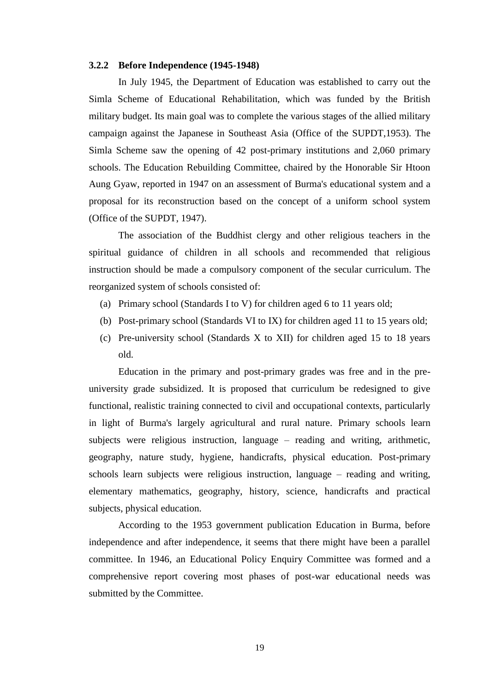#### **3.2.2 Before Independence (1945-1948)**

In July 1945, the Department of Education was established to carry out the Simla Scheme of Educational Rehabilitation, which was funded by the British military budget. Its main goal was to complete the various stages of the allied military campaign against the Japanese in Southeast Asia (Office of the SUPDT,1953). The Simla Scheme saw the opening of 42 post-primary institutions and 2,060 primary schools. The Education Rebuilding Committee, chaired by the Honorable Sir Htoon Aung Gyaw, reported in 1947 on an assessment of Burma's educational system and a proposal for its reconstruction based on the concept of a uniform school system (Office of the SUPDT, 1947).

 The association of the Buddhist clergy and other religious teachers in the spiritual guidance of children in all schools and recommended that religious instruction should be made a compulsory component of the secular curriculum. The reorganized system of schools consisted of:

- (a) Primary school (Standards I to V) for children aged 6 to 11 years old;
- (b) Post-primary school (Standards VI to IX) for children aged 11 to 15 years old;
- (c) Pre-university school (Standards X to XII) for children aged 15 to 18 years old.

Education in the primary and post-primary grades was free and in the preuniversity grade subsidized. It is proposed that curriculum be redesigned to give functional, realistic training connected to civil and occupational contexts, particularly in light of Burma's largely agricultural and rural nature. Primary schools learn subjects were religious instruction, language – reading and writing, arithmetic, geography, nature study, hygiene, handicrafts, physical education. Post-primary schools learn subjects were religious instruction, language – reading and writing, elementary mathematics, geography, history, science, handicrafts and practical subjects, physical education.

According to the 1953 government publication Education in Burma, before independence and after independence, it seems that there might have been a parallel committee. In 1946, an Educational Policy Enquiry Committee was formed and a comprehensive report covering most phases of post-war educational needs was submitted by the Committee.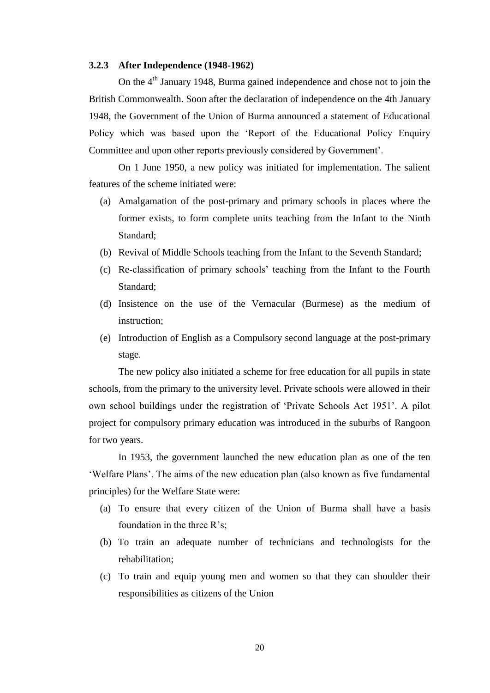#### **3.2.3 After Independence (1948-1962)**

On the  $4<sup>th</sup>$  January 1948, Burma gained independence and chose not to join the British Commonwealth. Soon after the declaration of independence on the 4th January 1948, the Government of the Union of Burma announced a statement of Educational Policy which was based upon the "Report of the Educational Policy Enquiry Committee and upon other reports previously considered by Government".

On 1 June 1950, a new policy was initiated for implementation. The salient features of the scheme initiated were:

- (a) Amalgamation of the post-primary and primary schools in places where the former exists, to form complete units teaching from the Infant to the Ninth Standard;
- (b) Revival of Middle Schools teaching from the Infant to the Seventh Standard;
- (c) Re-classification of primary schools" teaching from the Infant to the Fourth Standard;
- (d) Insistence on the use of the Vernacular (Burmese) as the medium of instruction;
- (e) Introduction of English as a Compulsory second language at the post-primary stage.

The new policy also initiated a scheme for free education for all pupils in state schools, from the primary to the university level. Private schools were allowed in their own school buildings under the registration of "Private Schools Act 1951". A pilot project for compulsory primary education was introduced in the suburbs of Rangoon for two years.

In 1953, the government launched the new education plan as one of the ten "Welfare Plans". The aims of the new education plan (also known as five fundamental principles) for the Welfare State were:

- (a) To ensure that every citizen of the Union of Burma shall have a basis foundation in the three R's;
- (b) To train an adequate number of technicians and technologists for the rehabilitation;
- (c) To train and equip young men and women so that they can shoulder their responsibilities as citizens of the Union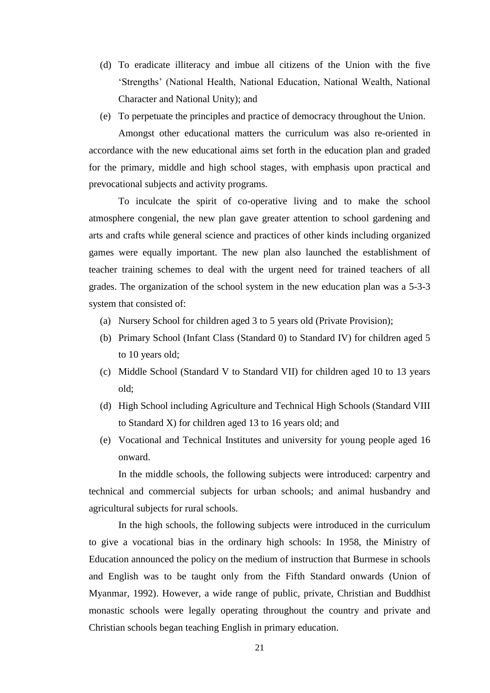- (d) To eradicate illiteracy and imbue all citizens of the Union with the five "Strengths" (National Health, National Education, National Wealth, National Character and National Unity); and
- (e) To perpetuate the principles and practice of democracy throughout the Union.

Amongst other educational matters the curriculum was also re-oriented in accordance with the new educational aims set forth in the education plan and graded for the primary, middle and high school stages, with emphasis upon practical and prevocational subjects and activity programs.

To inculcate the spirit of co-operative living and to make the school atmosphere congenial, the new plan gave greater attention to school gardening and arts and crafts while general science and practices of other kinds including organized games were equally important. The new plan also launched the establishment of teacher training schemes to deal with the urgent need for trained teachers of all grades. The organization of the school system in the new education plan was a 5-3-3 system that consisted of:

- (a) Nursery School for children aged 3 to 5 years old (Private Provision);
- (b) Primary School (Infant Class (Standard 0) to Standard IV) for children aged 5 to 10 years old;
- (c) Middle School (Standard V to Standard VII) for children aged 10 to 13 years old;
- (d) High School including Agriculture and Technical High Schools (Standard VIII to Standard X) for children aged 13 to 16 years old; and
- (e) Vocational and Technical Institutes and university for young people aged 16 onward.

In the middle schools, the following subjects were introduced: carpentry and technical and commercial subjects for urban schools; and animal husbandry and agricultural subjects for rural schools.

In the high schools, the following subjects were introduced in the curriculum to give a vocational bias in the ordinary high schools: In 1958, the Ministry of Education announced the policy on the medium of instruction that Burmese in schools and English was to be taught only from the Fifth Standard onwards (Union of Myanmar, 1992). However, a wide range of public, private, Christian and Buddhist monastic schools were legally operating throughout the country and private and Christian schools began teaching English in primary education.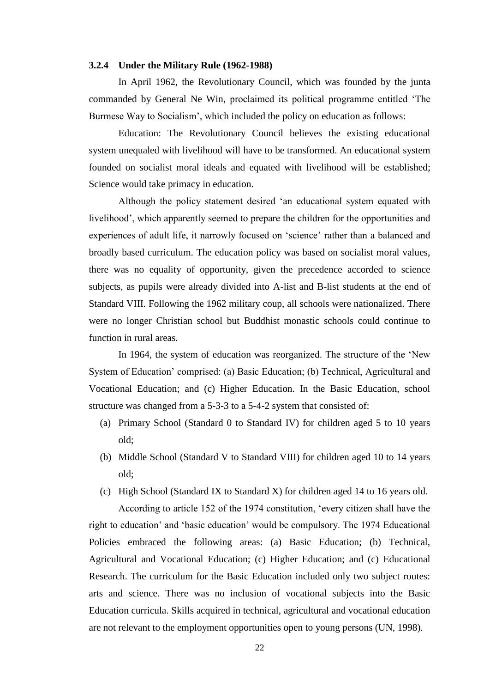#### **3.2.4 Under the Military Rule (1962-1988)**

In April 1962, the Revolutionary Council, which was founded by the junta commanded by General Ne Win, proclaimed its political programme entitled "The Burmese Way to Socialism", which included the policy on education as follows:

Education: The Revolutionary Council believes the existing educational system unequaled with livelihood will have to be transformed. An educational system founded on socialist moral ideals and equated with livelihood will be established; Science would take primacy in education.

Although the policy statement desired "an educational system equated with livelihood", which apparently seemed to prepare the children for the opportunities and experiences of adult life, it narrowly focused on 'science' rather than a balanced and broadly based curriculum. The education policy was based on socialist moral values, there was no equality of opportunity, given the precedence accorded to science subjects, as pupils were already divided into A-list and B-list students at the end of Standard VIII. Following the 1962 military coup, all schools were nationalized. There were no longer Christian school but Buddhist monastic schools could continue to function in rural areas.

In 1964, the system of education was reorganized. The structure of the "New System of Education" comprised: (a) Basic Education; (b) Technical, Agricultural and Vocational Education; and (c) Higher Education. In the Basic Education, school structure was changed from a 5-3-3 to a 5-4-2 system that consisted of:

- (a) Primary School (Standard 0 to Standard IV) for children aged 5 to 10 years old;
- (b) Middle School (Standard V to Standard VIII) for children aged 10 to 14 years old;
- (c) High School (Standard IX to Standard X) for children aged 14 to 16 years old.

According to article 152 of the 1974 constitution, "every citizen shall have the right to education" and "basic education" would be compulsory. The 1974 Educational Policies embraced the following areas: (a) Basic Education; (b) Technical, Agricultural and Vocational Education; (c) Higher Education; and (c) Educational Research. The curriculum for the Basic Education included only two subject routes: arts and science. There was no inclusion of vocational subjects into the Basic Education curricula. Skills acquired in technical, agricultural and vocational education are not relevant to the employment opportunities open to young persons (UN, 1998).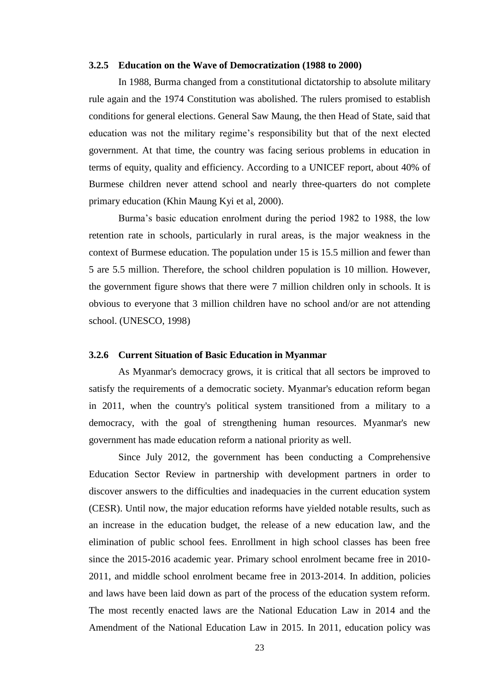#### **3.2.5 Education on the Wave of Democratization (1988 to 2000)**

In 1988, Burma changed from a constitutional dictatorship to absolute military rule again and the 1974 Constitution was abolished. The rulers promised to establish conditions for general elections. General Saw Maung, the then Head of State, said that education was not the military regime"s responsibility but that of the next elected government. At that time, the country was facing serious problems in education in terms of equity, quality and efficiency. According to a UNICEF report, about 40% of Burmese children never attend school and nearly three-quarters do not complete primary education (Khin Maung Kyi et al, 2000).

Burma's basic education enrolment during the period 1982 to 1988, the low retention rate in schools, particularly in rural areas, is the major weakness in the context of Burmese education. The population under 15 is 15.5 million and fewer than 5 are 5.5 million. Therefore, the school children population is 10 million. However, the government figure shows that there were 7 million children only in schools. It is obvious to everyone that 3 million children have no school and/or are not attending school. (UNESCO, 1998)

### **3.2.6 Current Situation of Basic Education in Myanmar**

As Myanmar's democracy grows, it is critical that all sectors be improved to satisfy the requirements of a democratic society. Myanmar's education reform began in 2011, when the country's political system transitioned from a military to a democracy, with the goal of strengthening human resources. Myanmar's new government has made education reform a national priority as well.

Since July 2012, the government has been conducting a Comprehensive Education Sector Review in partnership with development partners in order to discover answers to the difficulties and inadequacies in the current education system (CESR). Until now, the major education reforms have yielded notable results, such as an increase in the education budget, the release of a new education law, and the elimination of public school fees. Enrollment in high school classes has been free since the 2015-2016 academic year. Primary school enrolment became free in 2010- 2011, and middle school enrolment became free in 2013-2014. In addition, policies and laws have been laid down as part of the process of the education system reform. The most recently enacted laws are the National Education Law in 2014 and the Amendment of the National Education Law in 2015. In 2011, education policy was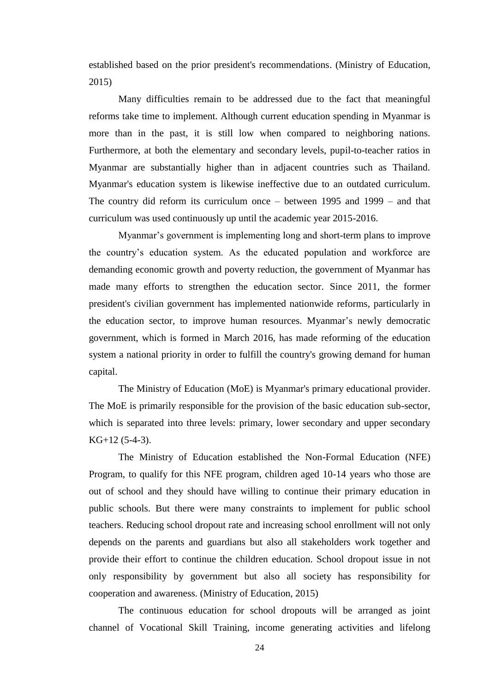established based on the prior president's recommendations. (Ministry of Education, 2015)

Many difficulties remain to be addressed due to the fact that meaningful reforms take time to implement. Although current education spending in Myanmar is more than in the past, it is still low when compared to neighboring nations. Furthermore, at both the elementary and secondary levels, pupil-to-teacher ratios in Myanmar are substantially higher than in adjacent countries such as Thailand. Myanmar's education system is likewise ineffective due to an outdated curriculum. The country did reform its curriculum once – between 1995 and 1999 – and that curriculum was used continuously up until the academic year 2015-2016.

Myanmar"s government is implementing long and short-term plans to improve the country"s education system. As the educated population and workforce are demanding economic growth and poverty reduction, the government of Myanmar has made many efforts to strengthen the education sector. Since 2011, the former president's civilian government has implemented nationwide reforms, particularly in the education sector, to improve human resources. Myanmar"s newly democratic government, which is formed in March 2016, has made reforming of the education system a national priority in order to fulfill the country's growing demand for human capital.

The Ministry of Education (MoE) is Myanmar's primary educational provider. The MoE is primarily responsible for the provision of the basic education sub-sector, which is separated into three levels: primary, lower secondary and upper secondary KG+12 (5-4-3).

The Ministry of Education established the Non-Formal Education (NFE) Program, to qualify for this NFE program, children aged 10-14 years who those are out of school and they should have willing to continue their primary education in public schools. But there were many constraints to implement for public school teachers. Reducing school dropout rate and increasing school enrollment will not only depends on the parents and guardians but also all stakeholders work together and provide their effort to continue the children education. School dropout issue in not only responsibility by government but also all society has responsibility for cooperation and awareness. (Ministry of Education, 2015)

The continuous education for school dropouts will be arranged as joint channel of Vocational Skill Training, income generating activities and lifelong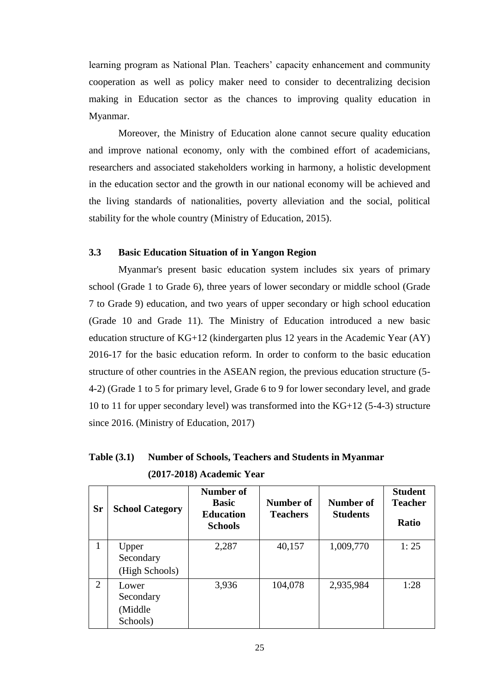learning program as National Plan. Teachers' capacity enhancement and community cooperation as well as policy maker need to consider to decentralizing decision making in Education sector as the chances to improving quality education in Myanmar.

Moreover, the Ministry of Education alone cannot secure quality education and improve national economy, only with the combined effort of academicians, researchers and associated stakeholders working in harmony, a holistic development in the education sector and the growth in our national economy will be achieved and the living standards of nationalities, poverty alleviation and the social, political stability for the whole country (Ministry of Education, 2015).

### **3.3 Basic Education Situation of in Yangon Region**

 Myanmar's present basic education system includes six years of primary school (Grade 1 to Grade 6), three years of lower secondary or middle school (Grade 7 to Grade 9) education, and two years of upper secondary or high school education (Grade 10 and Grade 11). The Ministry of Education introduced a new basic education structure of KG+12 (kindergarten plus 12 years in the Academic Year (AY) 2016-17 for the basic education reform. In order to conform to the basic education structure of other countries in the ASEAN region, the previous education structure (5- 4-2) (Grade 1 to 5 for primary level, Grade 6 to 9 for lower secondary level, and grade 10 to 11 for upper secondary level) was transformed into the KG+12 (5-4-3) structure since 2016. (Ministry of Education, 2017)

| Table $(3.1)$ | <b>Number of Schools, Teachers and Students in Myanmar</b> |
|---------------|------------------------------------------------------------|
|               | $(2017-2018)$ Academic Year                                |

| <b>Sr</b>      | <b>School Category</b>                     | Number of<br><b>Basic</b><br><b>Education</b><br><b>Schools</b> | Number of<br><b>Teachers</b> | Number of<br><b>Students</b> | <b>Student</b><br><b>Teacher</b><br><b>Ratio</b> |
|----------------|--------------------------------------------|-----------------------------------------------------------------|------------------------------|------------------------------|--------------------------------------------------|
| 1              | Upper<br>Secondary<br>(High Schools)       | 2,287                                                           | 40,157                       | 1,009,770                    | 1:25                                             |
| $\overline{2}$ | Lower<br>Secondary<br>(Middle)<br>Schools) | 3,936                                                           | 104,078                      | 2,935,984                    | 1:28                                             |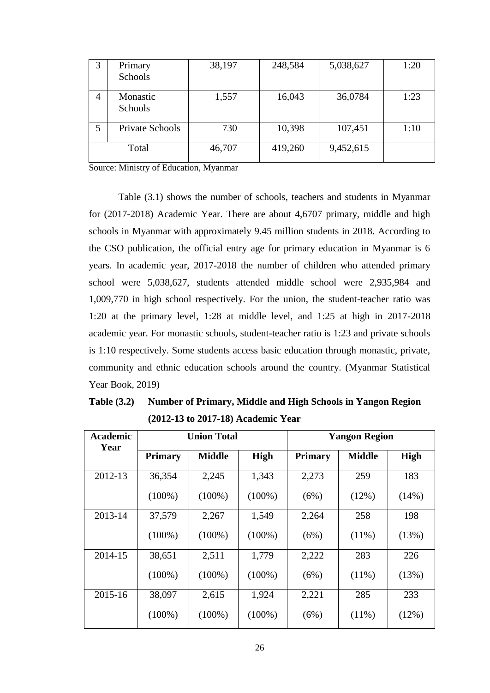| 3 | Primary<br>Schools     | 38,197 | 248,584 | 5,038,627 | 1:20 |
|---|------------------------|--------|---------|-----------|------|
| 4 | Monastic<br>Schools    | 1,557  | 16,043  | 36,0784   | 1:23 |
| 5 | <b>Private Schools</b> | 730    | 10,398  | 107,451   | 1:10 |
|   | Total                  | 46,707 | 419,260 | 9,452,615 |      |

Source: Ministry of Education, Myanmar

Table (3.1) shows the number of schools, teachers and students in Myanmar for (2017-2018) Academic Year. There are about 4,6707 primary, middle and high schools in Myanmar with approximately 9.45 million students in 2018. According to the CSO publication, the official entry age for primary education in Myanmar is 6 years. In academic year, 2017-2018 the number of children who attended primary school were 5,038,627, students attended middle school were 2,935,984 and 1,009,770 in high school respectively. For the union, the student-teacher ratio was 1:20 at the primary level, 1:28 at middle level, and 1:25 at high in 2017-2018 academic year. For monastic schools, student-teacher ratio is 1:23 and private schools is 1:10 respectively. Some students access basic education through monastic, private, community and ethnic education schools around the country. (Myanmar Statistical Year Book, 2019)

| <b>Academic</b><br>Year | <b>Union Total</b> |               |             | <b>Yangon Region</b> |               |             |
|-------------------------|--------------------|---------------|-------------|----------------------|---------------|-------------|
|                         | <b>Primary</b>     | <b>Middle</b> | <b>High</b> | <b>Primary</b>       | <b>Middle</b> | <b>High</b> |
| 2012-13                 | 36,354             | 2,245         | 1,343       | 2,273                | 259           | 183         |
|                         | $(100\%)$          | $(100\%)$     | $(100\%)$   | (6%)                 | (12%)         | (14%)       |
| 2013-14                 | 37,579             | 2,267         | 1,549       | 2,264                | 258           | 198         |
|                         | $(100\%)$          | $(100\%)$     | $(100\%)$   | (6%)                 | $(11\%)$      | (13%)       |
| 2014-15                 | 38,651             | 2,511         | 1,779       | 2,222                | 283           | 226         |
|                         | $(100\%)$          | $(100\%)$     | $(100\%)$   | (6%)                 | $(11\%)$      | (13%)       |
| 2015-16                 | 38,097             | 2,615         | 1,924       | 2,221                | 285           | 233         |
|                         | $(100\%)$          | $(100\%)$     | $(100\%)$   | (6%)                 | $(11\%)$      | (12%)       |

| Table $(3.2)$ | Number of Primary, Middle and High Schools in Yangon Region |
|---------------|-------------------------------------------------------------|
|               | $(2012-13 \text{ to } 2017-18)$ Academic Year               |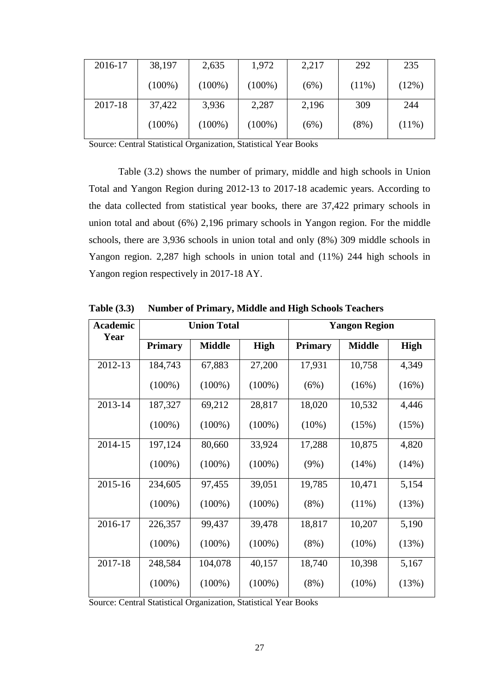| 2016-17 | 38,197    | 2,635     | 1,972     | 2,217 | 292      | 235      |
|---------|-----------|-----------|-----------|-------|----------|----------|
|         | $(100\%)$ | $(100\%)$ | $(100\%)$ | (6%)  | $(11\%)$ | (12%)    |
| 2017-18 | 37,422    | 3,936     | 2,287     | 2,196 | 309      | 244      |
|         | $(100\%)$ | $(100\%)$ | $(100\%)$ | (6%)  | (8%)     | $(11\%)$ |

Source: Central Statistical Organization, Statistical Year Books

Table (3.2) shows the number of primary, middle and high schools in Union Total and Yangon Region during 2012-13 to 2017-18 academic years. According to the data collected from statistical year books, there are 37,422 primary schools in union total and about (6%) 2,196 primary schools in Yangon region. For the middle schools, there are 3,936 schools in union total and only (8%) 309 middle schools in Yangon region. 2,287 high schools in union total and (11%) 244 high schools in Yangon region respectively in 2017-18 AY.

| Academic<br>Year | <b>Union Total</b> |               |             | <b>Yangon Region</b> |               |             |
|------------------|--------------------|---------------|-------------|----------------------|---------------|-------------|
|                  | <b>Primary</b>     | <b>Middle</b> | <b>High</b> | <b>Primary</b>       | <b>Middle</b> | <b>High</b> |
| 2012-13          | 184,743            | 67,883        | 27,200      | 17,931               | 10,758        | 4,349       |
|                  | $(100\%)$          | $(100\%)$     | $(100\%)$   | (6%)                 | (16%)         | (16%)       |
| 2013-14          | 187,327            | 69,212        | 28,817      | 18,020               | 10,532        | 4,446       |
|                  | $(100\%)$          | $(100\%)$     | $(100\%)$   | $(10\%)$             | (15%)         | (15%)       |
| 2014-15          | 197,124            | 80,660        | 33,924      | 17,288               | 10,875        | 4,820       |
|                  | $(100\%)$          | $(100\%)$     | $(100\%)$   | $(9\%)$              | (14%)         | (14%)       |
| 2015-16          | 234,605            | 97,455        | 39,051      | 19,785               | 10,471        | 5,154       |
|                  | $(100\%)$          | $(100\%)$     | $(100\%)$   | $(8\%)$              | $(11\%)$      | (13%)       |
| 2016-17          | 226,357            | 99,437        | 39,478      | 18,817               | 10,207        | 5,190       |
|                  | $(100\%)$          | $(100\%)$     | $(100\%)$   | $(8\%)$              | $(10\%)$      | (13%)       |
| 2017-18          | 248,584            | 104,078       | 40,157      | 18,740               | 10,398        | 5,167       |
|                  | $(100\%)$          | $(100\%)$     | $(100\%)$   | $(8\%)$              | $(10\%)$      | (13%)       |

**Table (3.3) Number of Primary, Middle and High Schools Teachers**

Source: Central Statistical Organization, Statistical Year Books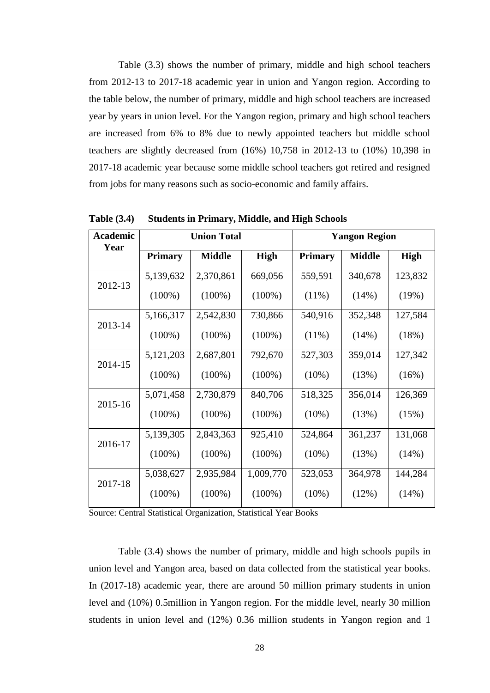Table (3.3) shows the number of primary, middle and high school teachers from 2012-13 to 2017-18 academic year in union and Yangon region. According to the table below, the number of primary, middle and high school teachers are increased year by years in union level. For the Yangon region, primary and high school teachers are increased from 6% to 8% due to newly appointed teachers but middle school teachers are slightly decreased from (16%) 10,758 in 2012-13 to (10%) 10,398 in 2017-18 academic year because some middle school teachers got retired and resigned from jobs for many reasons such as socio-economic and family affairs.

| Academic<br>Year | <b>Union Total</b> |               | <b>Yangon Region</b> |                |               |             |
|------------------|--------------------|---------------|----------------------|----------------|---------------|-------------|
|                  | <b>Primary</b>     | <b>Middle</b> | <b>High</b>          | <b>Primary</b> | <b>Middle</b> | <b>High</b> |
| 2012-13          | 5,139,632          | 2,370,861     | 669,056              | 559,591        | 340,678       | 123,832     |
|                  | $(100\%)$          | $(100\%)$     | $(100\%)$            | $(11\%)$       | (14%)         | (19%)       |
| 2013-14          | 5,166,317          | 2,542,830     | 730,866              | 540,916        | 352,348       | 127,584     |
|                  | $(100\%)$          | $(100\%)$     | $(100\%)$            | $(11\%)$       | (14%)         | (18%)       |
| 2014-15          | 5, 121, 203        | 2,687,801     | 792,670              | 527,303        | 359,014       | 127,342     |
|                  | $(100\%)$          | $(100\%)$     | $(100\%)$            | $(10\%)$       | (13%)         | (16%)       |
| 2015-16          | 5,071,458          | 2,730,879     | 840,706              | 518,325        | 356,014       | 126,369     |
|                  | $(100\%)$          | $(100\%)$     | $(100\%)$            | $(10\%)$       | (13%)         | (15%)       |
| 2016-17          | 5,139,305          | 2,843,363     | 925,410              | 524,864        | 361,237       | 131,068     |
|                  | $(100\%)$          | $(100\%)$     | $(100\%)$            | $(10\%)$       | (13%)         | (14%)       |
| 2017-18          | 5,038,627          | 2,935,984     | 1,009,770            | 523,053        | 364,978       | 144,284     |
|                  | $(100\%)$          | $(100\%)$     | $(100\%)$            | $(10\%)$       | (12%)         | (14%)       |

**Table (3.4) Students in Primary, Middle, and High Schools**

Source: Central Statistical Organization, Statistical Year Books

Table (3.4) shows the number of primary, middle and high schools pupils in union level and Yangon area, based on data collected from the statistical year books. In (2017-18) academic year, there are around 50 million primary students in union level and (10%) 0.5million in Yangon region. For the middle level, nearly 30 million students in union level and (12%) 0.36 million students in Yangon region and 1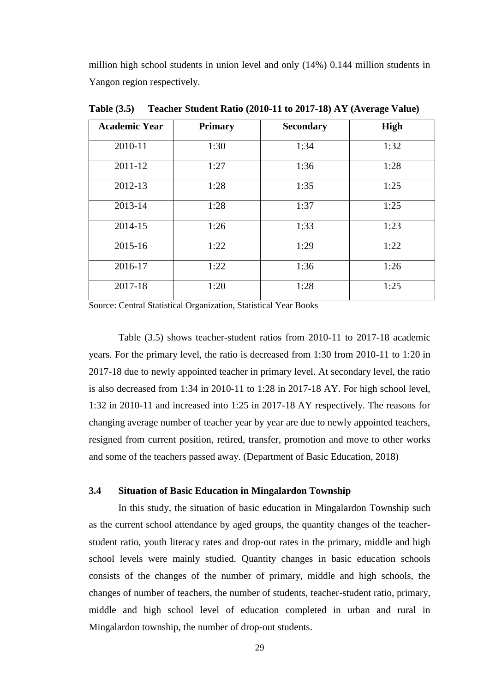million high school students in union level and only (14%) 0.144 million students in Yangon region respectively.

| <b>Academic Year</b> | <b>Primary</b> | <b>Secondary</b> | <b>High</b> |
|----------------------|----------------|------------------|-------------|
| 2010-11              | 1:30           | 1:34             | 1:32        |
| 2011-12              | 1:27           | 1:36             | 1:28        |
| 2012-13              | 1:28           | 1:35             | 1:25        |
| 2013-14              | 1:28           | 1:37             | 1:25        |
| 2014-15              | 1:26           | 1:33             | 1:23        |
| 2015-16              | 1:22           | 1:29             | 1:22        |
| 2016-17              | 1:22           | 1:36             | 1:26        |
| 2017-18              | 1:20           | 1:28             | 1:25        |

**Table (3.5) Teacher Student Ratio (2010-11 to 2017-18) AY (Average Value)**

Source: Central Statistical Organization, Statistical Year Books

Table (3.5) shows teacher-student ratios from 2010-11 to 2017-18 academic years. For the primary level, the ratio is decreased from 1:30 from 2010-11 to 1:20 in 2017-18 due to newly appointed teacher in primary level. At secondary level, the ratio is also decreased from 1:34 in 2010-11 to 1:28 in 2017-18 AY. For high school level, 1:32 in 2010-11 and increased into 1:25 in 2017-18 AY respectively. The reasons for changing average number of teacher year by year are due to newly appointed teachers, resigned from current position, retired, transfer, promotion and move to other works and some of the teachers passed away. (Department of Basic Education, 2018)

### **3.4 Situation of Basic Education in Mingalardon Township**

 In this study, the situation of basic education in Mingalardon Township such as the current school attendance by aged groups, the quantity changes of the teacherstudent ratio, youth literacy rates and drop-out rates in the primary, middle and high school levels were mainly studied. Quantity changes in basic education schools consists of the changes of the number of primary, middle and high schools, the changes of number of teachers, the number of students, teacher-student ratio, primary, middle and high school level of education completed in urban and rural in Mingalardon township, the number of drop-out students.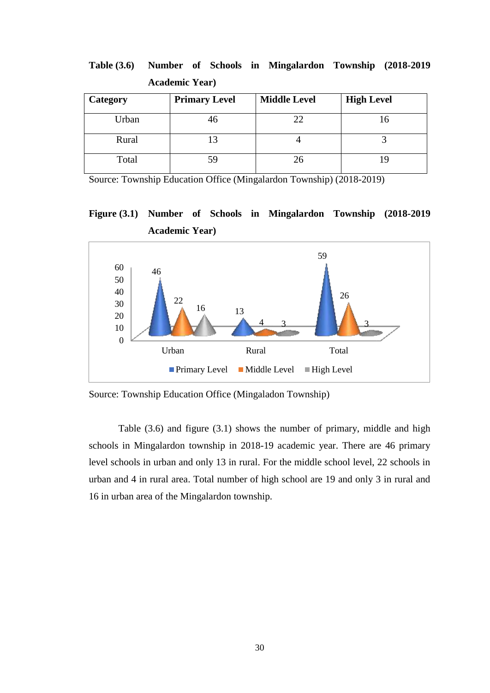| $\text{R}$ and $\text{R}$ |                      |                     |                   |  |
|---------------------------|----------------------|---------------------|-------------------|--|
| Category                  | <b>Primary Level</b> | <b>Middle Level</b> | <b>High Level</b> |  |
| Urban                     | 46                   | 22                  |                   |  |
| Rural                     |                      |                     |                   |  |
| Total                     | 59                   | 26                  |                   |  |

**Table (3.6) Number of Schools in Mingalardon Township (2018-2019 Academic Year)**

Source: Township Education Office (Mingalardon Township) (2018-2019)

**Figure (3.1) Number of Schools in Mingalardon Township (2018-2019 Academic Year)**



Source: Township Education Office (Mingaladon Township)

Table (3.6) and figure (3.1) shows the number of primary, middle and high schools in Mingalardon township in 2018-19 academic year. There are 46 primary level schools in urban and only 13 in rural. For the middle school level, 22 schools in urban and 4 in rural area. Total number of high school are 19 and only 3 in rural and 16 in urban area of the Mingalardon township.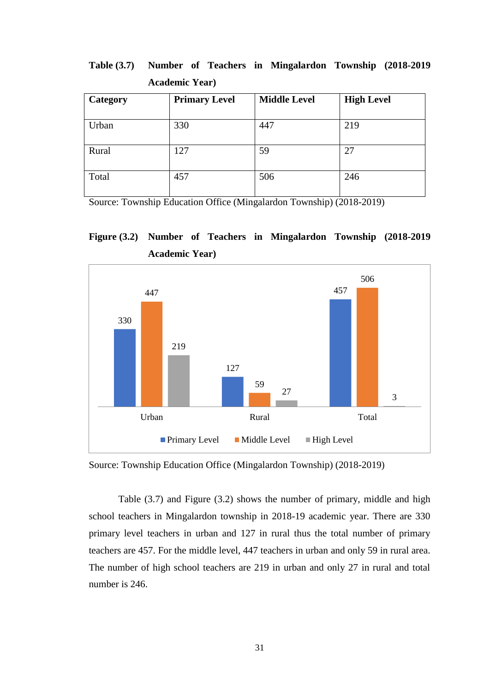| Category | <b>Primary Level</b> | <b>Middle Level</b> | <b>High Level</b> |
|----------|----------------------|---------------------|-------------------|
| Urban    | 330                  | 447                 | 219               |
| Rural    | 127                  | 59                  | 27                |
| Total    | 457                  | 506                 | 246               |

**Table (3.7) Number of Teachers in Mingalardon Township (2018-2019 Academic Year)**

Source: Township Education Office (Mingalardon Township) (2018-2019)





Source: Township Education Office (Mingalardon Township) (2018-2019)

Table (3.7) and Figure (3.2) shows the number of primary, middle and high school teachers in Mingalardon township in 2018-19 academic year. There are 330 primary level teachers in urban and 127 in rural thus the total number of primary teachers are 457. For the middle level, 447 teachers in urban and only 59 in rural area. The number of high school teachers are 219 in urban and only 27 in rural and total number is 246.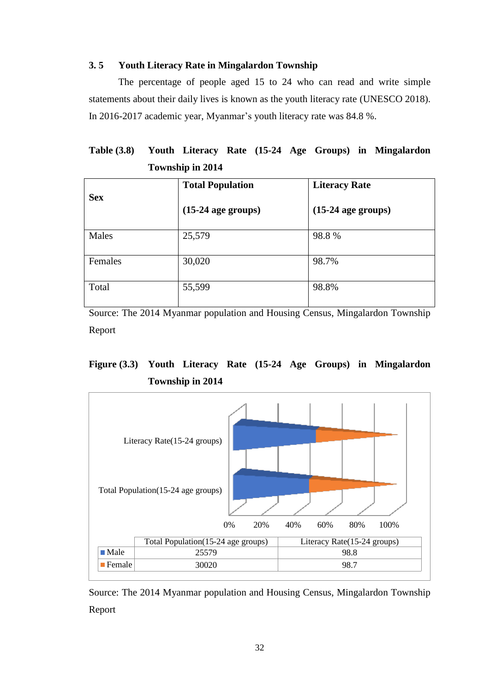## **3. 5 Youth Literacy Rate in Mingalardon Township**

 The percentage of people aged 15 to 24 who can read and write simple statements about their daily lives is known as the youth literacy rate (UNESCO 2018). In 2016-2017 academic year, Myanmar"s youth literacy rate was 84.8 %.

## **Table (3.8) Youth Literacy Rate (15-24 Age Groups) in Mingalardon Township in 2014**

| <b>Sex</b> | <b>Total Population</b> | <b>Literacy Rate</b> |
|------------|-------------------------|----------------------|
|            | $(15-24$ age groups)    | $(15-24$ age groups) |
| Males      | 25,579                  | 98.8%                |
| Females    | 30,020                  | 98.7%                |
| Total      | 55,599                  | 98.8%                |

Source: The 2014 Myanmar population and Housing Census, Mingalardon Township Report

## **Figure (3.3) Youth Literacy Rate (15-24 Age Groups) in Mingalardon Township in 2014**



Source: The 2014 Myanmar population and Housing Census, Mingalardon Township Report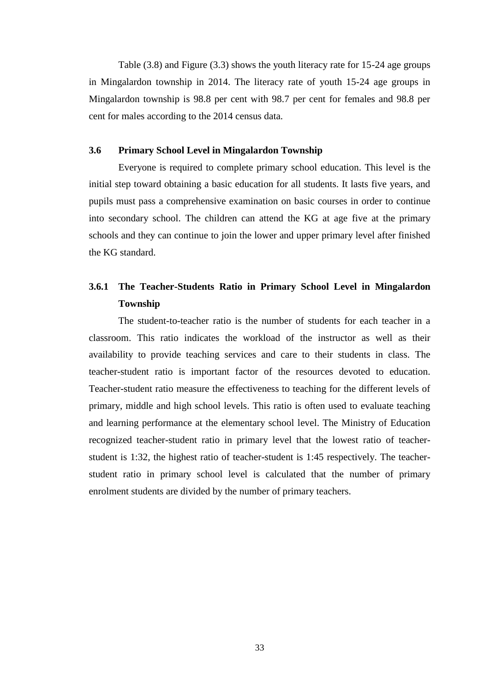Table (3.8) and Figure (3.3) shows the youth literacy rate for 15-24 age groups in Mingalardon township in 2014. The literacy rate of youth 15-24 age groups in Mingalardon township is 98.8 per cent with 98.7 per cent for females and 98.8 per cent for males according to the 2014 census data.

#### **3.6 Primary School Level in Mingalardon Township**

Everyone is required to complete primary school education. This level is the initial step toward obtaining a basic education for all students. It lasts five years, and pupils must pass a comprehensive examination on basic courses in order to continue into secondary school. The children can attend the KG at age five at the primary schools and they can continue to join the lower and upper primary level after finished the KG standard.

## **3.6.1 The Teacher-Students Ratio in Primary School Level in Mingalardon Township**

 The student-to-teacher ratio is the number of students for each teacher in a classroom. This ratio indicates the workload of the instructor as well as their availability to provide teaching services and care to their students in class. The teacher-student ratio is important factor of the resources devoted to education. Teacher-student ratio measure the effectiveness to teaching for the different levels of primary, middle and high school levels. This ratio is often used to evaluate teaching and learning performance at the elementary school level. The Ministry of Education recognized teacher-student ratio in primary level that the lowest ratio of teacherstudent is 1:32, the highest ratio of teacher-student is 1:45 respectively. The teacherstudent ratio in primary school level is calculated that the number of primary enrolment students are divided by the number of primary teachers.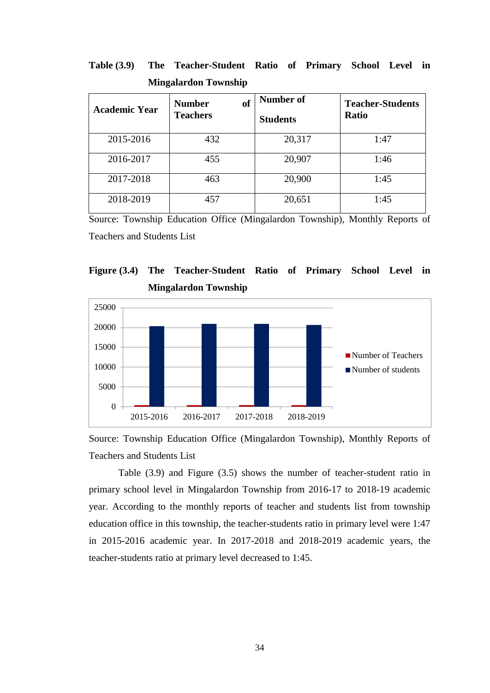**Table (3.9) The Teacher-Student Ratio of Primary School Level in Mingalardon Township**

| <b>Academic Year</b> | <b>of</b><br><b>Number</b><br><b>Teachers</b> | Number of<br><b>Students</b> | <b>Teacher-Students</b><br><b>Ratio</b> |
|----------------------|-----------------------------------------------|------------------------------|-----------------------------------------|
| 2015-2016            | 432                                           | 20,317                       | 1:47                                    |
| 2016-2017            | 455                                           | 20,907                       | 1:46                                    |
| 2017-2018            | 463                                           | 20,900                       | 1:45                                    |
| 2018-2019            | 457                                           | 20,651                       | 1:45                                    |

Source: Township Education Office (Mingalardon Township), Monthly Reports of Teachers and Students List





Source: Township Education Office (Mingalardon Township), Monthly Reports of Teachers and Students List

Table (3.9) and Figure (3.5) shows the number of teacher-student ratio in primary school level in Mingalardon Township from 2016-17 to 2018-19 academic year. According to the monthly reports of teacher and students list from township education office in this township, the teacher-students ratio in primary level were 1:47 in 2015-2016 academic year. In 2017-2018 and 2018-2019 academic years, the teacher-students ratio at primary level decreased to 1:45.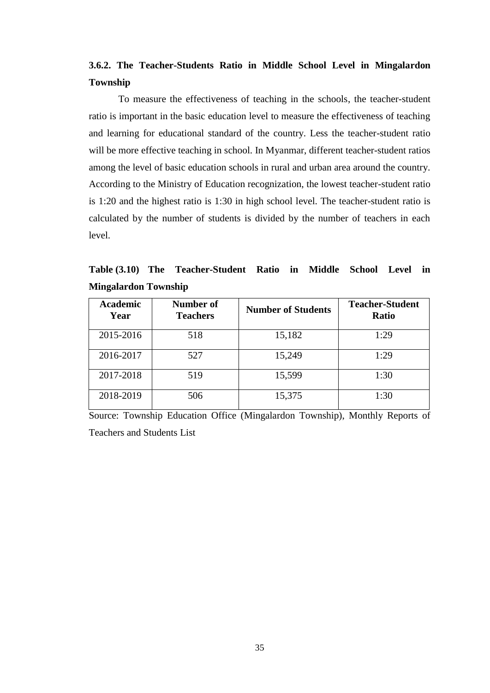## **3.6.2. The Teacher-Students Ratio in Middle School Level in Mingalardon Township**

 To measure the effectiveness of teaching in the schools, the teacher-student ratio is important in the basic education level to measure the effectiveness of teaching and learning for educational standard of the country. Less the teacher-student ratio will be more effective teaching in school. In Myanmar, different teacher-student ratios among the level of basic education schools in rural and urban area around the country. According to the Ministry of Education recognization, the lowest teacher-student ratio is 1:20 and the highest ratio is 1:30 in high school level. The teacher-student ratio is calculated by the number of students is divided by the number of teachers in each level.

**Table (3.10) The Teacher-Student Ratio in Middle School Level in Mingalardon Township**

| <b>Academic</b><br>Year | Number of<br><b>Teachers</b> | <b>Number of Students</b> | <b>Teacher-Student</b><br><b>Ratio</b> |
|-------------------------|------------------------------|---------------------------|----------------------------------------|
| 2015-2016               | 518                          | 15,182                    | 1:29                                   |
| 2016-2017               | 527                          | 15,249                    | 1:29                                   |
| 2017-2018               | 519                          | 15,599                    | 1:30                                   |
| 2018-2019               | 506                          | 15,375                    | 1:30                                   |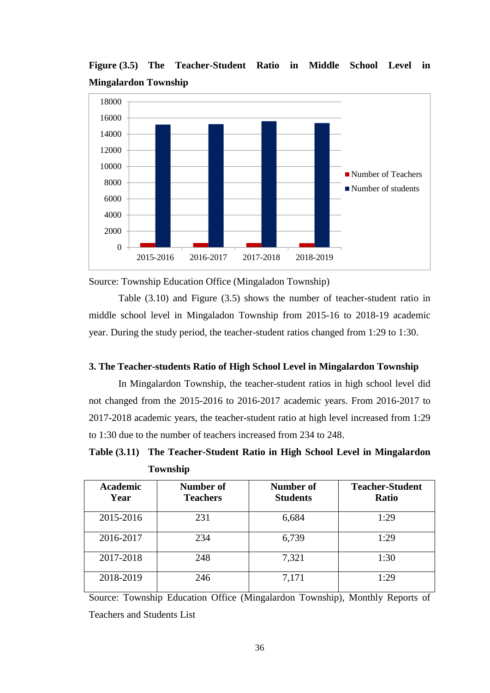**Figure (3.5) The Teacher-Student Ratio in Middle School Level in Mingalardon Township**



Source: Township Education Office (Mingaladon Township)

Table (3.10) and Figure (3.5) shows the number of teacher-student ratio in middle school level in Mingaladon Township from 2015-16 to 2018-19 academic year. During the study period, the teacher-student ratios changed from 1:29 to 1:30.

### **3. The Teacher-students Ratio of High School Level in Mingalardon Township**

 In Mingalardon Township, the teacher-student ratios in high school level did not changed from the 2015-2016 to 2016-2017 academic years. From 2016-2017 to 2017-2018 academic years, the teacher-student ratio at high level increased from 1:29 to 1:30 due to the number of teachers increased from 234 to 248.

**Table (3.11) The Teacher-Student Ratio in High School Level in Mingalardon Township**

| <b>Academic</b><br>Year | Number of<br><b>Teachers</b> | Number of<br><b>Students</b> | <b>Teacher-Student</b><br><b>Ratio</b> |
|-------------------------|------------------------------|------------------------------|----------------------------------------|
| 2015-2016               | 231                          | 6,684                        | 1:29                                   |
| 2016-2017               | 234                          | 6,739                        | 1:29                                   |
| 2017-2018               | 248                          | 7,321                        | 1:30                                   |
| 2018-2019               | 246                          | 7,171                        | 1:29                                   |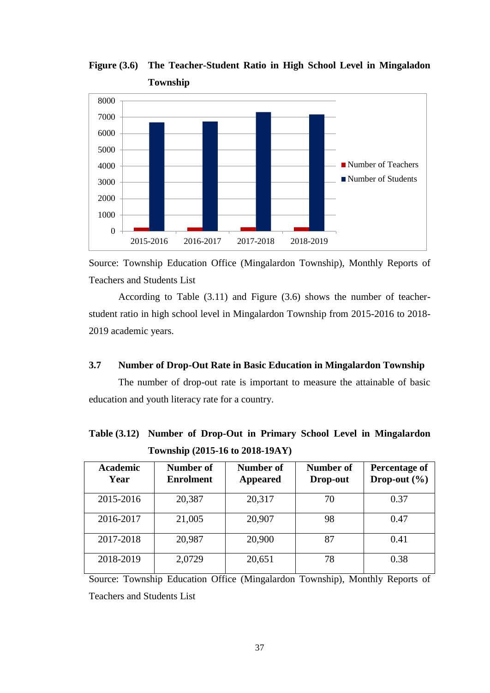**Figure (3.6) The Teacher-Student Ratio in High School Level in Mingaladon Township**



Source: Township Education Office (Mingalardon Township), Monthly Reports of Teachers and Students List

According to Table (3.11) and Figure (3.6) shows the number of teacherstudent ratio in high school level in Mingalardon Township from 2015-2016 to 2018- 2019 academic years.

## **3.7 Number of Drop-Out Rate in Basic Education in Mingalardon Township**

 The number of drop-out rate is important to measure the attainable of basic education and youth literacy rate for a country.

| <b>Academic</b><br>Year | Number of<br><b>Enrolment</b> | Number of<br><b>Appeared</b> | Number of<br>Drop-out | Percentage of<br>Drop-out $(\% )$ |
|-------------------------|-------------------------------|------------------------------|-----------------------|-----------------------------------|
| 2015-2016               | 20,387                        | 20,317                       | 70                    | 0.37                              |
| 2016-2017               | 21,005                        | 20,907                       | 98                    | 0.47                              |
| 2017-2018               | 20,987                        | 20,900                       | 87                    | 0.41                              |
| 2018-2019               | 2,0729                        | 20,651                       | 78                    | 0.38                              |

**Table (3.12) Number of Drop-Out in Primary School Level in Mingalardon Township (2015-16 to 2018-19AY)**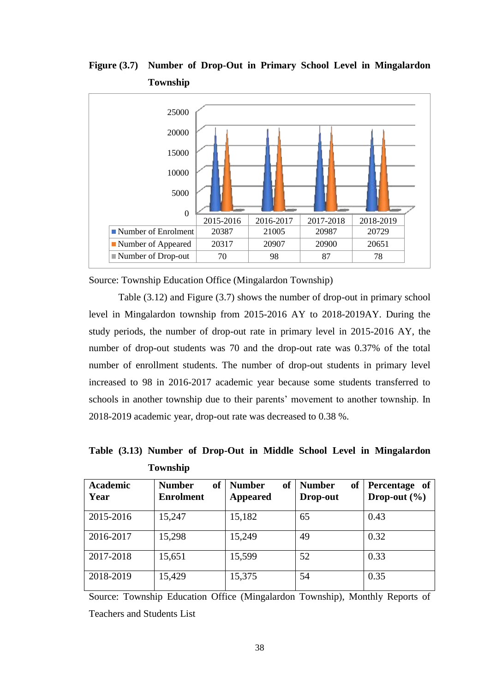**Figure (3.7) Number of Drop-Out in Primary School Level in Mingalardon Township**



Source: Township Education Office (Mingalardon Township)

Table (3.12) and Figure (3.7) shows the number of drop-out in primary school level in Mingalardon township from 2015-2016 AY to 2018-2019AY. During the study periods, the number of drop-out rate in primary level in 2015-2016 AY, the number of drop-out students was 70 and the drop-out rate was 0.37% of the total number of enrollment students. The number of drop-out students in primary level increased to 98 in 2016-2017 academic year because some students transferred to schools in another township due to their parents' movement to another township. In 2018-2019 academic year, drop-out rate was decreased to 0.38 %.

| <b>Academic</b><br>Year | <b>Number</b><br>of<br><b>Enrolment</b> | <b>Number</b><br>of<br><b>Appeared</b> | of<br><b>Number</b><br>Drop-out | Percentage of<br>Drop-out $(\% )$ |
|-------------------------|-----------------------------------------|----------------------------------------|---------------------------------|-----------------------------------|
| 2015-2016               | 15,247                                  | 15,182                                 | 65                              | 0.43                              |
| 2016-2017               | 15,298                                  | 15,249                                 | 49                              | 0.32                              |
| 2017-2018               | 15,651                                  | 15,599                                 | 52                              | 0.33                              |
| 2018-2019               | 15,429                                  | 15,375                                 | 54                              | 0.35                              |

**Table (3.13) Number of Drop-Out in Middle School Level in Mingalardon Township**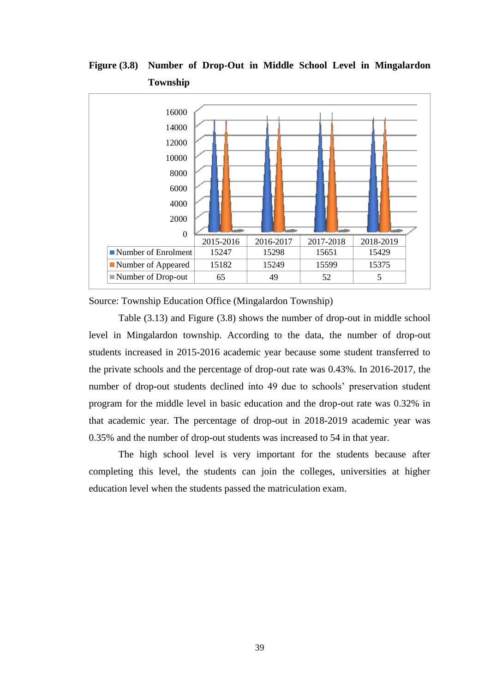**Figure (3.8) Number of Drop-Out in Middle School Level in Mingalardon Township**



Source: Township Education Office (Mingalardon Township)

Table (3.13) and Figure (3.8) shows the number of drop-out in middle school level in Mingalardon township. According to the data, the number of drop-out students increased in 2015-2016 academic year because some student transferred to the private schools and the percentage of drop-out rate was 0.43%. In 2016-2017, the number of drop-out students declined into 49 due to schools" preservation student program for the middle level in basic education and the drop-out rate was 0.32% in that academic year. The percentage of drop-out in 2018-2019 academic year was 0.35% and the number of drop-out students was increased to 54 in that year.

The high school level is very important for the students because after completing this level, the students can join the colleges, universities at higher education level when the students passed the matriculation exam.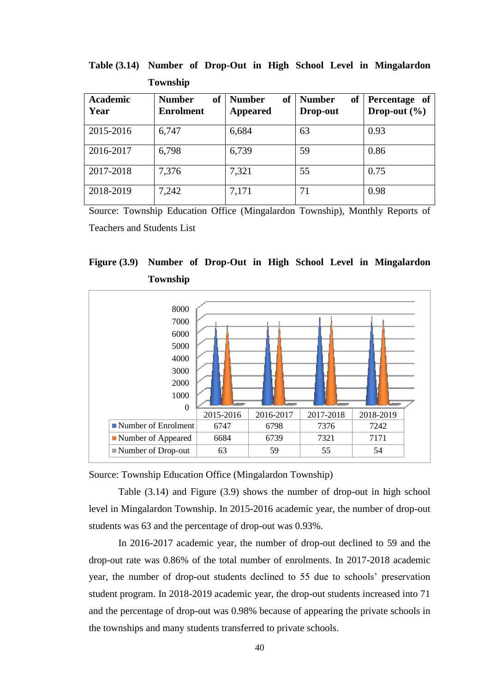| <b>Academic</b><br>Year | <b>Number</b><br><sub>of</sub><br><b>Enrolment</b> | <b>of</b><br><b>Number</b><br>Appeared | <b>of</b><br><b>Number</b><br>Drop-out | Percentage of<br>Drop-out $(\% )$ |
|-------------------------|----------------------------------------------------|----------------------------------------|----------------------------------------|-----------------------------------|
| 2015-2016               | 6,747                                              | 6,684                                  | 63                                     | 0.93                              |
| 2016-2017               | 6,798                                              | 6,739                                  | 59                                     | 0.86                              |
| 2017-2018               | 7,376                                              | 7,321                                  | 55                                     | 0.75                              |
| 2018-2019               | 7,242                                              | 7,171                                  | 71                                     | 0.98                              |

**Table (3.14) Number of Drop-Out in High School Level in Mingalardon Township** 

Source: Township Education Office (Mingalardon Township), Monthly Reports of Teachers and Students List





Source: Township Education Office (Mingalardon Township)

Table (3.14) and Figure (3.9) shows the number of drop-out in high school level in Mingalardon Township. In 2015-2016 academic year, the number of drop-out students was 63 and the percentage of drop-out was 0.93%.

In 2016-2017 academic year, the number of drop-out declined to 59 and the drop-out rate was 0.86% of the total number of enrolments. In 2017-2018 academic year, the number of drop-out students declined to 55 due to schools" preservation student program. In 2018-2019 academic year, the drop-out students increased into 71 and the percentage of drop-out was 0.98% because of appearing the private schools in the townships and many students transferred to private schools.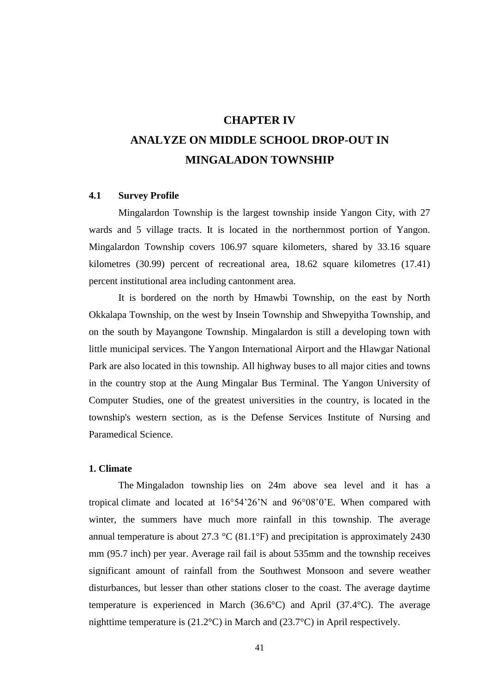# **CHAPTER IV ANALYZE ON MIDDLE SCHOOL DROP-OUT IN MINGALADON TOWNSHIP**

## **4.1 Survey Profile**

Mingalardon Township is the largest township inside Yangon City, with 27 wards and 5 village tracts. It is located in the northernmost portion of Yangon. Mingalardon Township covers 106.97 square kilometers, shared by 33.16 square kilometres (30.99) percent of recreational area, 18.62 square kilometres (17.41) percent institutional area including cantonment area.

It is bordered on the north by Hmawbi Township, on the east by North Okkalapa Township, on the west by Insein Township and Shwepyitha Township, and on the south by Mayangone Township. Mingalardon is still a developing town with little municipal services. The Yangon International Airport and the Hlawgar National Park are also located in this township. All highway buses to all major cities and towns in the country stop at the Aung Mingalar Bus Terminal. The Yangon University of Computer Studies, one of the greatest universities in the country, is located in the township's western section, as is the Defense Services Institute of Nursing and Paramedical Science.

#### **1. Climate**

The Mingaladon township lies on 24m above sea level and it has a tropical climate and located at 16°54"26"N and 96°08"0"E. When compared with winter, the summers have much more rainfall in this township. The average annual temperature is about 27.3  $\degree$ C (81.1 $\degree$ F) and precipitation is approximately 2430 mm (95.7 inch) per year. Average rail fail is about 535mm and the township receives significant amount of rainfall from the Southwest Monsoon and severe weather disturbances, but lesser than other stations closer to the coast. The average daytime temperature is experienced in March (36.6°C) and April (37.4°C). The average nighttime temperature is (21.2°C) in March and (23.7°C) in April respectively.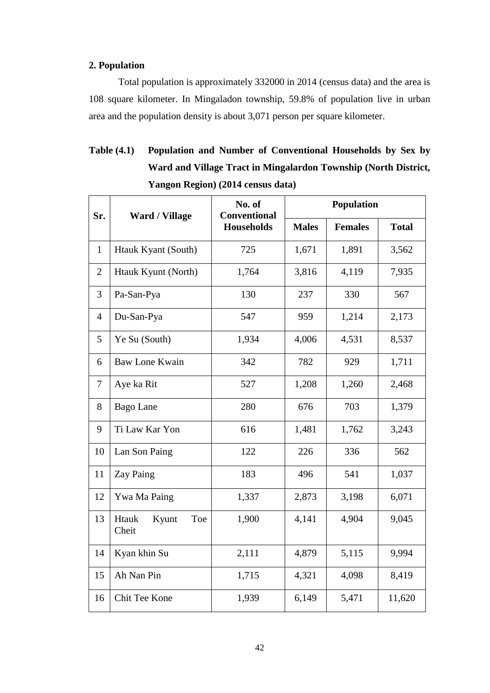## **2. Population**

Total population is approximately 332000 in 2014 (census data) and the area is 108 square kilometer. In Mingaladon township, 59.8% of population live in urban area and the population density is about 3,071 person per square kilometer.

## **Table (4.1) Population and Number of Conventional Households by Sex by Ward and Village Tract in Mingalardon Township (North District, Yangon Region) (2014 census data)**

| Sr.            | <b>Ward / Village</b>          | No. of<br><b>Conventional</b> | <b>Population</b> |                |              |  |
|----------------|--------------------------------|-------------------------------|-------------------|----------------|--------------|--|
|                |                                | <b>Households</b>             | <b>Males</b>      | <b>Females</b> | <b>Total</b> |  |
| $\mathbf{1}$   | Htauk Kyant (South)            | 725                           | 1,671             | 1,891          | 3,562        |  |
| $\overline{2}$ | Htauk Kyunt (North)            | 1,764                         | 3,816             | 4,119          | 7,935        |  |
| 3              | Pa-San-Pya                     | 130                           | 237               | 330            | 567          |  |
| $\overline{4}$ | Du-San-Pya                     | 547                           | 959               | 1,214          | 2,173        |  |
| 5              | Ye Su (South)                  | 1,934                         | 4,006             | 4,531          | 8,537        |  |
| 6              | <b>Baw Lone Kwain</b>          | 342                           | 782               | 929            | 1,711        |  |
| $\tau$         | Aye ka Rit                     | 527                           | 1,208             | 1,260          | 2,468        |  |
| 8              | <b>Bago</b> Lane               | 280                           | 676               | 703            | 1,379        |  |
| 9              | Ti Law Kar Yon                 | 616                           | 1,481             | 1,762          | 3,243        |  |
| 10             | Lan Son Paing                  | 122                           | 226               | 336            | 562          |  |
| 11             | Zay Paing                      | 183                           | 496               | 541            | 1,037        |  |
| 12             | Ywa Ma Paing                   | 1,337                         | 2,873             | 3,198          | 6,071        |  |
| 13             | Htauk<br>Kyunt<br>Toe<br>Cheit | 1,900                         | 4,141             | 4,904          | 9,045        |  |
| 14             | Kyan khin Su                   | 2,111                         | 4,879             | 5,115          | 9,994        |  |
| 15             | Ah Nan Pin                     | 1,715                         | 4,321             | 4,098          | 8,419        |  |
| 16             | Chit Tee Kone                  | 1,939                         | 6,149             | 5,471          | 11,620       |  |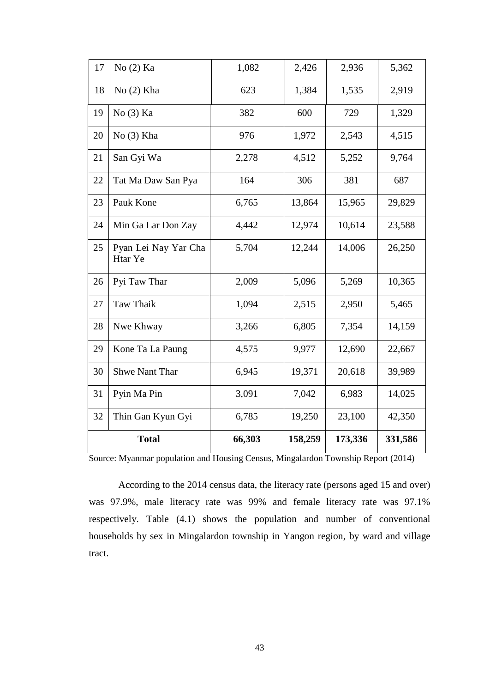| 17 | No (2) Ka                       | 1,082  | 2,426   | 2,936   | 5,362   |
|----|---------------------------------|--------|---------|---------|---------|
| 18 | $No(2)$ Kha                     | 623    | 1,384   | 1,535   | 2,919   |
| 19 | No(3) Ka                        | 382    | 600     | 729     | 1,329   |
| 20 | No(3) Kha                       | 976    | 1,972   | 2,543   | 4,515   |
| 21 | San Gyi Wa                      | 2,278  | 4,512   | 5,252   | 9,764   |
| 22 | Tat Ma Daw San Pya              | 164    | 306     | 381     | 687     |
| 23 | Pauk Kone                       | 6,765  | 13,864  | 15,965  | 29,829  |
| 24 | Min Ga Lar Don Zay              | 4,442  | 12,974  | 10,614  | 23,588  |
| 25 | Pyan Lei Nay Yar Cha<br>Htar Ye | 5,704  | 12,244  | 14,006  | 26,250  |
| 26 | Pyi Taw Thar                    | 2,009  | 5,096   | 5,269   | 10,365  |
| 27 | Taw Thaik                       | 1,094  | 2,515   | 2,950   | 5,465   |
| 28 | Nwe Khway                       | 3,266  | 6,805   | 7,354   | 14,159  |
| 29 | Kone Ta La Paung                | 4,575  | 9,977   | 12,690  | 22,667  |
| 30 | <b>Shwe Nant Thar</b>           | 6,945  | 19,371  | 20,618  | 39,989  |
| 31 | Pyin Ma Pin                     | 3,091  | 7,042   | 6,983   | 14,025  |
| 32 | Thin Gan Kyun Gyi               | 6,785  | 19,250  | 23,100  | 42,350  |
|    | <b>Total</b>                    | 66,303 | 158,259 | 173,336 | 331,586 |

Source: Myanmar population and Housing Census, Mingalardon Township Report (2014)

According to the 2014 census data, the literacy rate (persons aged 15 and over) was 97.9%, male literacy rate was 99% and female literacy rate was 97.1% respectively. Table (4.1) shows the population and number of conventional households by sex in Mingalardon township in Yangon region, by ward and village tract.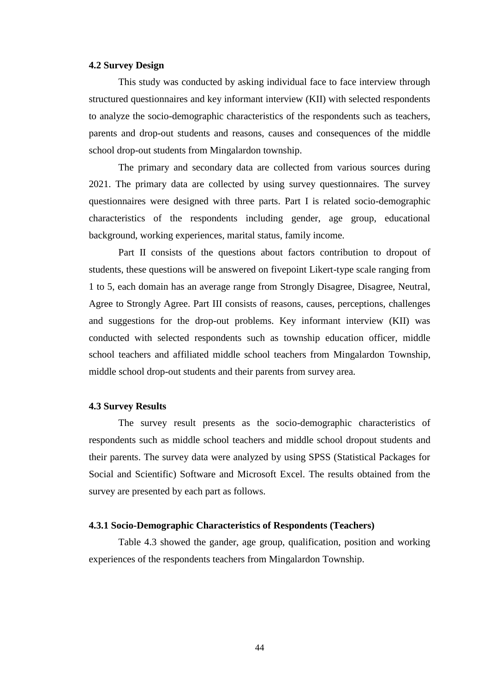#### **4.2 Survey Design**

This study was conducted by asking individual face to face interview through structured questionnaires and key informant interview (KII) with selected respondents to analyze the socio-demographic characteristics of the respondents such as teachers, parents and drop-out students and reasons, causes and consequences of the middle school drop-out students from Mingalardon township.

The primary and secondary data are collected from various sources during 2021. The primary data are collected by using survey questionnaires. The survey questionnaires were designed with three parts. Part I is related socio-demographic characteristics of the respondents including gender, age group, educational background, working experiences, marital status, family income.

Part II consists of the questions about factors contribution to dropout of students, these questions will be answered on fivepoint Likert-type scale ranging from 1 to 5, each domain has an average range from Strongly Disagree, Disagree, Neutral, Agree to Strongly Agree. Part III consists of reasons, causes, perceptions, challenges and suggestions for the drop-out problems. Key informant interview (KII) was conducted with selected respondents such as township education officer, middle school teachers and affiliated middle school teachers from Mingalardon Township, middle school drop-out students and their parents from survey area.

#### **4.3 Survey Results**

The survey result presents as the socio-demographic characteristics of respondents such as middle school teachers and middle school dropout students and their parents. The survey data were analyzed by using SPSS (Statistical Packages for Social and Scientific) Software and Microsoft Excel. The results obtained from the survey are presented by each part as follows.

#### **4.3.1 Socio-Demographic Characteristics of Respondents (Teachers)**

Table 4.3 showed the gander, age group, qualification, position and working experiences of the respondents teachers from Mingalardon Township.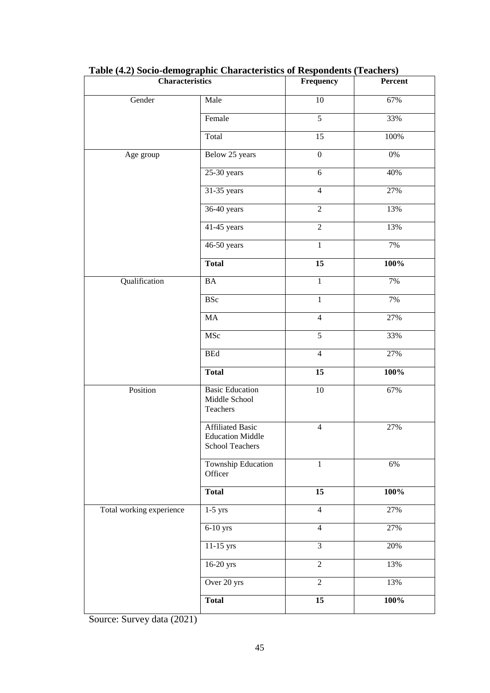| <b>Characteristics</b>   |                                                                       | Frequency        | Percent |
|--------------------------|-----------------------------------------------------------------------|------------------|---------|
| Gender                   | Male                                                                  | $\overline{10}$  | 67%     |
|                          | Female                                                                | $\overline{5}$   | 33%     |
|                          | Total                                                                 | 15               | 100%    |
| Age group                | Below 25 years                                                        | $\boldsymbol{0}$ | 0%      |
|                          | $25-30$ years                                                         | $\sqrt{6}$       | 40%     |
|                          | 31-35 years                                                           | $\overline{4}$   | 27%     |
|                          | 36-40 years                                                           | $\overline{2}$   | 13%     |
|                          | 41-45 years                                                           | $\overline{2}$   | 13%     |
|                          | 46-50 years                                                           | $\mathbf{1}$     | 7%      |
|                          | <b>Total</b>                                                          | $\overline{15}$  | 100%    |
| Qualification            | BA                                                                    | $\mathbf{1}$     | 7%      |
|                          | <b>BSc</b>                                                            | $\mathbf{1}$     | 7%      |
|                          | MA                                                                    | $\overline{4}$   | 27%     |
|                          | MSc                                                                   | $\sqrt{5}$       | 33%     |
|                          | ${\bf BEd}$                                                           | $\overline{4}$   | 27%     |
|                          | <b>Total</b>                                                          | $\overline{15}$  | 100%    |
| Position                 | <b>Basic Education</b><br>Middle School<br>Teachers                   | $\overline{10}$  | 67%     |
|                          | <b>Affiliated Basic</b><br><b>Education Middle</b><br>School Teachers | $\overline{4}$   | 27%     |
|                          | <b>Township Education</b><br>Officer                                  | $\,1\,$          | 6%      |
|                          | <b>Total</b>                                                          | $\overline{15}$  | 100%    |
| Total working experience | $1-5$ yrs                                                             | $\overline{4}$   | 27%     |
|                          | $6-10$ yrs                                                            | $\overline{4}$   | 27%     |
|                          | 11-15 yrs                                                             | $\overline{3}$   | 20%     |
|                          | 16-20 yrs                                                             | $\overline{2}$   | 13%     |
|                          | Over 20 yrs                                                           | $\overline{2}$   | 13%     |
|                          | <b>Total</b>                                                          | 15               | 100%    |

| Table (4.2) Socio-demographic Characteristics of Respondents (Teachers) |  |
|-------------------------------------------------------------------------|--|
|                                                                         |  |

Source: Survey data (2021)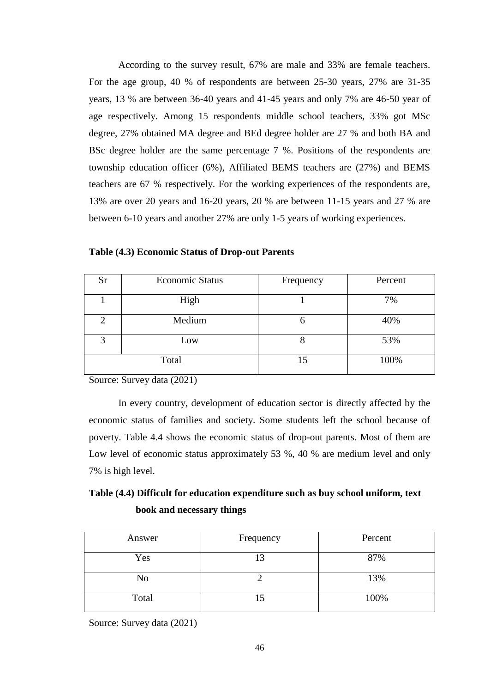According to the survey result, 67% are male and 33% are female teachers. For the age group, 40 % of respondents are between 25-30 years, 27% are 31-35 years, 13 % are between 36-40 years and 41-45 years and only 7% are 46-50 year of age respectively. Among 15 respondents middle school teachers, 33% got MSc degree, 27% obtained MA degree and BEd degree holder are 27 % and both BA and BSc degree holder are the same percentage 7 %. Positions of the respondents are township education officer (6%), Affiliated BEMS teachers are (27%) and BEMS teachers are 67 % respectively. For the working experiences of the respondents are, 13% are over 20 years and 16-20 years, 20 % are between 11-15 years and 27 % are between 6-10 years and another 27% are only 1-5 years of working experiences.

| Sr | <b>Economic Status</b> | Frequency | Percent |
|----|------------------------|-----------|---------|
|    | High                   |           | 7%      |
|    | Medium                 | O         | 40%     |
| 3  | Low                    | ð         | 53%     |
|    | Total                  | 15        | 100%    |

**Table (4.3) Economic Status of Drop-out Parents**

Source: Survey data (2021)

In every country, development of education sector is directly affected by the economic status of families and society. Some students left the school because of poverty. Table 4.4 shows the economic status of drop-out parents. Most of them are Low level of economic status approximately 53 %, 40 % are medium level and only 7% is high level.

## **Table (4.4) Difficult for education expenditure such as buy school uniform, text book and necessary things**

| Answer | Frequency | Percent |
|--------|-----------|---------|
| Yes    |           | 87%     |
| No     |           | 13%     |
| Total  | 15        | 100%    |

Source: Survey data (2021)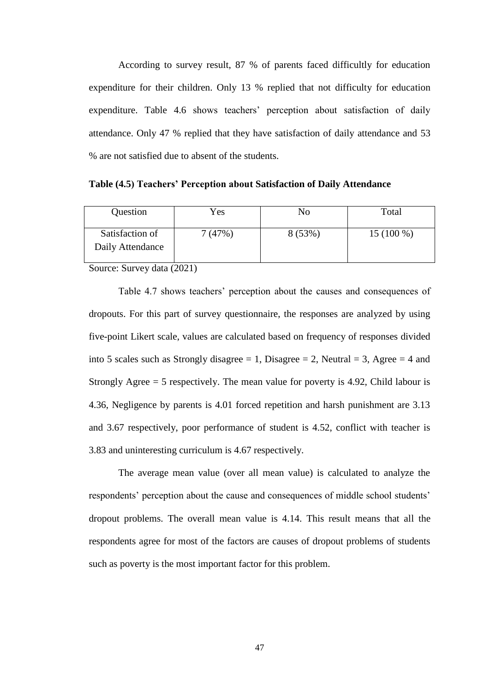According to survey result, 87 % of parents faced difficultly for education expenditure for their children. Only 13 % replied that not difficulty for education expenditure. Table 4.6 shows teachers' perception about satisfaction of daily attendance. Only 47 % replied that they have satisfaction of daily attendance and 53 % are not satisfied due to absent of the students.

**Table (4.5) Teachers' Perception about Satisfaction of Daily Attendance**

| Question                            | Yes    | No     | Total       |
|-------------------------------------|--------|--------|-------------|
| Satisfaction of<br>Daily Attendance | 7(47%) | 8(53%) | $15(100\%)$ |

Source: Survey data (2021)

Table 4.7 shows teachers' perception about the causes and consequences of dropouts. For this part of survey questionnaire, the responses are analyzed by using five-point Likert scale, values are calculated based on frequency of responses divided into 5 scales such as Strongly disagree  $= 1$ , Disagree  $= 2$ , Neutral  $= 3$ , Agree  $= 4$  and Strongly Agree = 5 respectively. The mean value for poverty is 4.92, Child labour is 4.36, Negligence by parents is 4.01 forced repetition and harsh punishment are 3.13 and 3.67 respectively, poor performance of student is 4.52, conflict with teacher is 3.83 and uninteresting curriculum is 4.67 respectively.

The average mean value (over all mean value) is calculated to analyze the respondents' perception about the cause and consequences of middle school students' dropout problems. The overall mean value is 4.14. This result means that all the respondents agree for most of the factors are causes of dropout problems of students such as poverty is the most important factor for this problem.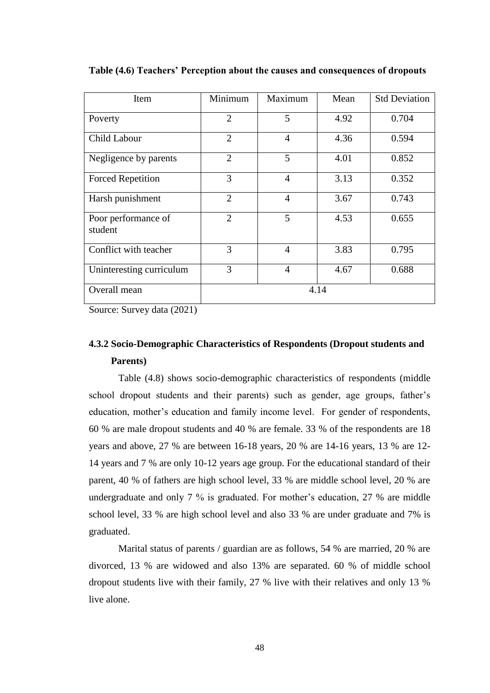| Item                           | Minimum        | Maximum        | Mean | <b>Std Deviation</b> |
|--------------------------------|----------------|----------------|------|----------------------|
| Poverty                        | $\overline{2}$ | 5              | 4.92 | 0.704                |
| <b>Child Labour</b>            | $\overline{2}$ | $\overline{4}$ | 4.36 | 0.594                |
| Negligence by parents          | $\overline{2}$ | 5              | 4.01 | 0.852                |
| <b>Forced Repetition</b>       | 3              | $\overline{4}$ | 3.13 | 0.352                |
| Harsh punishment               | $\overline{2}$ | $\overline{4}$ | 3.67 | 0.743                |
| Poor performance of<br>student | 2              | 5              | 4.53 | 0.655                |
| Conflict with teacher          | 3              | 4              | 3.83 | 0.795                |
| Uninteresting curriculum       | 3              | 4              | 4.67 | 0.688                |
| Overall mean                   | 4.14           |                |      |                      |

**Table (4.6) Teachers' Perception about the causes and consequences of dropouts**

Source: Survey data (2021)

## **4.3.2 Socio-Demographic Characteristics of Respondents (Dropout students and Parents)**

Table (4.8) shows socio-demographic characteristics of respondents (middle school dropout students and their parents) such as gender, age groups, father's education, mother"s education and family income level. For gender of respondents, 60 % are male dropout students and 40 % are female. 33 % of the respondents are 18 years and above, 27 % are between 16-18 years, 20 % are 14-16 years, 13 % are 12- 14 years and 7 % are only 10-12 years age group. For the educational standard of their parent, 40 % of fathers are high school level, 33 % are middle school level, 20 % are undergraduate and only 7 % is graduated. For mother's education, 27 % are middle school level, 33 % are high school level and also 33 % are under graduate and 7% is graduated.

Marital status of parents / guardian are as follows, 54 % are married, 20 % are divorced, 13 % are widowed and also 13% are separated. 60 % of middle school dropout students live with their family, 27 % live with their relatives and only 13 % live alone.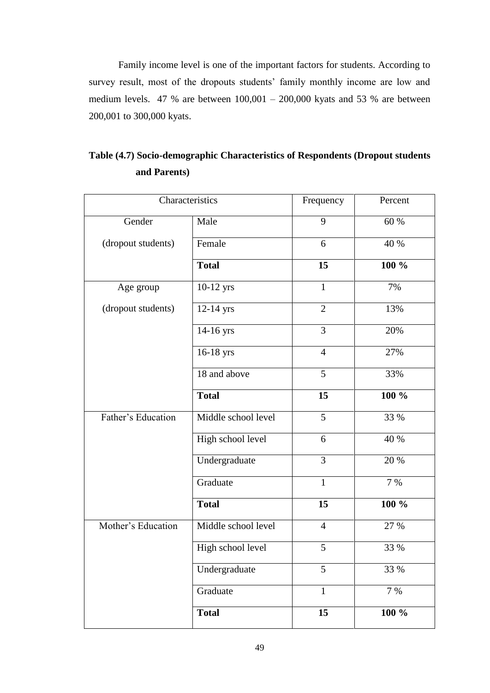Family income level is one of the important factors for students. According to survey result, most of the dropouts students' family monthly income are low and medium levels. 47 % are between 100,001 – 200,000 kyats and 53 % are between 200,001 to 300,000 kyats.

|                    | Characteristics     | Frequency      | Percent |
|--------------------|---------------------|----------------|---------|
| Gender             | Male                | 9              | 60 %    |
| (dropout students) | Female              | 6              | 40 %    |
|                    | <b>Total</b>        | 15             | 100 %   |
| Age group          | 10-12 yrs           | $\mathbf{1}$   | 7%      |
| (dropout students) | 12-14 yrs           | $\overline{2}$ | 13%     |
|                    | 14-16 yrs           | $\overline{3}$ | 20%     |
|                    | 16-18 yrs           | $\overline{4}$ | 27%     |
|                    | 18 and above        | 5              | 33%     |
|                    | <b>Total</b>        | 15             | 100 %   |
| Father's Education | Middle school level | 5              | 33 %    |
|                    | High school level   | 6              | 40 %    |
|                    | Undergraduate       | $\overline{3}$ | 20 %    |
|                    | Graduate            | $\mathbf{1}$   | 7 %     |
|                    | <b>Total</b>        | 15             | 100 %   |
| Mother's Education | Middle school level | $\overline{4}$ | 27 %    |
|                    | High school level   | 5              | 33 %    |
|                    | Undergraduate       | $\overline{5}$ | 33 %    |
|                    | Graduate            | $\mathbf{1}$   | 7 %     |
|                    | <b>Total</b>        | 15             | 100 %   |

**Table (4.7) Socio-demographic Characteristics of Respondents (Dropout students and Parents)**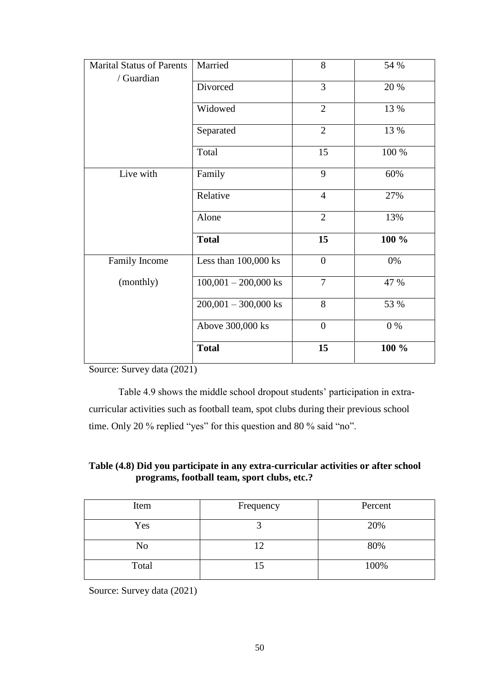| <b>Marital Status of Parents</b> | Married                | 8                | 54 %  |
|----------------------------------|------------------------|------------------|-------|
| / Guardian                       | Divorced               | $\overline{3}$   | 20 %  |
|                                  | Widowed                | $\overline{2}$   | 13 %  |
|                                  | Separated              | $\overline{2}$   | 13 %  |
|                                  | Total                  | 15               | 100 % |
| Live with                        | Family                 | 9                | 60%   |
|                                  | Relative               | $\overline{4}$   | 27%   |
|                                  | Alone                  | $\overline{2}$   | 13%   |
|                                  | <b>Total</b>           | 15               | 100 % |
| Family Income                    | Less than 100,000 ks   | $\boldsymbol{0}$ | $0\%$ |
| (monthly)                        | $100,001 - 200,000$ ks | $\overline{7}$   | 47 %  |
|                                  | $200,001 - 300,000$ ks | 8                | 53 %  |
|                                  | Above 300,000 ks       | $\boldsymbol{0}$ | 0%    |
|                                  | <b>Total</b>           | 15               | 100 % |

Source: Survey data (2021)

Table 4.9 shows the middle school dropout students' participation in extracurricular activities such as football team, spot clubs during their previous school time. Only 20 % replied "yes" for this question and 80 % said "no".

## **Table (4.8) Did you participate in any extra-curricular activities or after school programs, football team, sport clubs, etc.?**

| Item  | Frequency | Percent |
|-------|-----------|---------|
| Yes   |           | 20%     |
| No    |           | 80%     |
| Total |           | 100%    |

Source: Survey data (2021)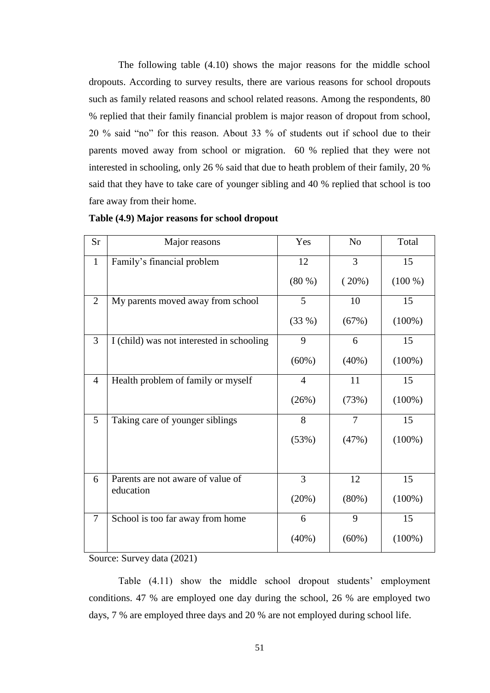The following table (4.10) shows the major reasons for the middle school dropouts. According to survey results, there are various reasons for school dropouts such as family related reasons and school related reasons. Among the respondents, 80 % replied that their family financial problem is major reason of dropout from school, 20 % said "no" for this reason. About 33 % of students out if school due to their parents moved away from school or migration. 60 % replied that they were not interested in schooling, only 26 % said that due to heath problem of their family, 20 % said that they have to take care of younger sibling and 40 % replied that school is too fare away from their home.

| <b>Sr</b>      | Major reasons                             | Yes            | N <sub>o</sub> | Total     |
|----------------|-------------------------------------------|----------------|----------------|-----------|
| $\mathbf{1}$   | Family's financial problem                | 12             | 3              | 15        |
|                |                                           | (80 %)         | (20%)          | $(100\%)$ |
| $\overline{2}$ | My parents moved away from school         | 5              | 10             | 15        |
|                |                                           | (33%)          | (67%)          | $(100\%)$ |
| 3              | I (child) was not interested in schooling | 9              | 6              | 15        |
|                |                                           | (60%)          | (40%)          | $(100\%)$ |
| $\overline{4}$ | Health problem of family or myself        | $\overline{4}$ | 11             | 15        |
|                |                                           | (26%)          | (73%)          | $(100\%)$ |
| 5              | Taking care of younger siblings           | 8              | 7              | 15        |
|                |                                           | (53%)          | (47%)          | $(100\%)$ |
|                |                                           |                |                |           |
| 6              | Parents are not aware of value of         | $\overline{3}$ | 12             | 15        |
|                | education                                 | (20%)          | (80%)          | $(100\%)$ |
| $\overline{7}$ | School is too far away from home          | 6              | 9              | 15        |
|                |                                           | (40%)          | $(60\%)$       | $(100\%)$ |

#### **Table (4.9) Major reasons for school dropout**

Source: Survey data (2021)

Table (4.11) show the middle school dropout students' employment conditions. 47 % are employed one day during the school, 26 % are employed two days, 7 % are employed three days and 20 % are not employed during school life.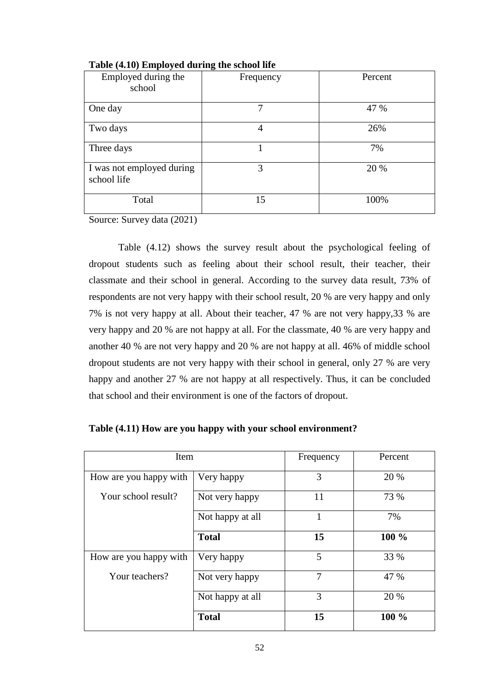| Employed during the<br>school            | 0<br>Frequency | Percent |
|------------------------------------------|----------------|---------|
| One day                                  | 7              | 47 %    |
| Two days                                 | 4              | 26%     |
| Three days                               |                | 7%      |
| I was not employed during<br>school life | 3              | 20 %    |
| Total                                    | 15             | 100%    |



Source: Survey data (2021)

Table (4.12) shows the survey result about the psychological feeling of dropout students such as feeling about their school result, their teacher, their classmate and their school in general. According to the survey data result, 73% of respondents are not very happy with their school result, 20 % are very happy and only 7% is not very happy at all. About their teacher, 47 % are not very happy,33 % are very happy and 20 % are not happy at all. For the classmate, 40 % are very happy and another 40 % are not very happy and 20 % are not happy at all. 46% of middle school dropout students are not very happy with their school in general, only 27 % are very happy and another 27 % are not happy at all respectively. Thus, it can be concluded that school and their environment is one of the factors of dropout.

| Item                   |                  | Frequency | Percent |
|------------------------|------------------|-----------|---------|
| How are you happy with | Very happy       | 3         | 20 %    |
| Your school result?    | Not very happy   | 11        | 73 %    |
|                        | Not happy at all | 1         | 7%      |
|                        | <b>Total</b>     | 15        | 100 %   |
| How are you happy with | Very happy       | 5         | 33 %    |
| Your teachers?         | Not very happy   | 7         | 47 %    |
|                        | Not happy at all | 3         | 20 %    |
|                        | <b>Total</b>     | 15        | 100 %   |

|  |  | Table (4.11) How are you happy with your school environment? |
|--|--|--------------------------------------------------------------|
|  |  |                                                              |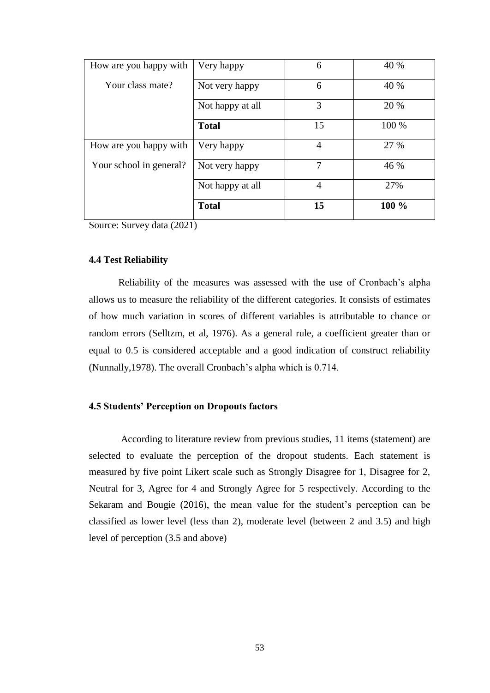| How are you happy with  | Very happy       | 6              | 40 %  |
|-------------------------|------------------|----------------|-------|
| Your class mate?        | Not very happy   | 6              | 40 %  |
|                         | Not happy at all | 3              | 20 %  |
|                         | <b>Total</b>     | 15             | 100 % |
| How are you happy with  | Very happy       | $\overline{4}$ | 27 %  |
| Your school in general? | Not very happy   | 7              | 46 %  |
|                         | Not happy at all | $\overline{4}$ | 27%   |
|                         | <b>Total</b>     | 15             | 100 % |

Source: Survey data (2021)

### **4.4 Test Reliability**

Reliability of the measures was assessed with the use of Cronbach"s alpha allows us to measure the reliability of the different categories. It consists of estimates of how much variation in scores of different variables is attributable to chance or random errors (Selltzm, et al, 1976). As a general rule, a coefficient greater than or equal to 0.5 is considered acceptable and a good indication of construct reliability (Nunnally,1978). The overall Cronbach"s alpha which is 0.714.

### **4.5 Students' Perception on Dropouts factors**

According to literature review from previous studies, 11 items (statement) are selected to evaluate the perception of the dropout students. Each statement is measured by five point Likert scale such as Strongly Disagree for 1, Disagree for 2, Neutral for 3, Agree for 4 and Strongly Agree for 5 respectively. According to the Sekaram and Bougie (2016), the mean value for the student's perception can be classified as lower level (less than 2), moderate level (between 2 and 3.5) and high level of perception (3.5 and above)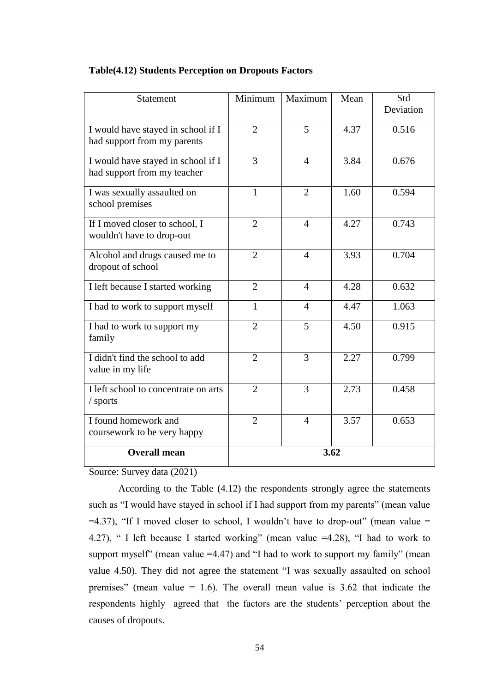| Statement                                                         | Minimum        | Maximum        | Mean | Std<br>Deviation |
|-------------------------------------------------------------------|----------------|----------------|------|------------------|
| I would have stayed in school if I<br>had support from my parents | $\overline{2}$ | 5              | 4.37 | 0.516            |
| I would have stayed in school if I<br>had support from my teacher | 3              | $\overline{4}$ | 3.84 | 0.676            |
| I was sexually assaulted on<br>school premises                    | $\mathbf{1}$   | $\overline{2}$ | 1.60 | 0.594            |
| If I moved closer to school, I<br>wouldn't have to drop-out       | $\overline{2}$ | $\overline{4}$ | 4.27 | 0.743            |
| Alcohol and drugs caused me to<br>dropout of school               | $\overline{2}$ | $\overline{4}$ | 3.93 | 0.704            |
| I left because I started working                                  | $\overline{2}$ | 4              | 4.28 | 0.632            |
| I had to work to support myself                                   | 1              | 4              | 4.47 | 1.063            |
| I had to work to support my<br>family                             | $\overline{2}$ | 5              | 4.50 | 0.915            |
| I didn't find the school to add<br>value in my life               | $\overline{2}$ | 3              | 2.27 | 0.799            |
| I left school to concentrate on arts<br>/ sports                  | $\overline{2}$ | 3              | 2.73 | 0.458            |
| I found homework and<br>coursework to be very happy               | $\overline{2}$ | $\overline{4}$ | 3.57 | 0.653            |
| <b>Overall mean</b>                                               | 3.62           |                |      |                  |

## **Table(4.12) Students Perception on Dropouts Factors**

Source: Survey data (2021)

According to the Table (4.12) the respondents strongly agree the statements such as "I would have stayed in school if I had support from my parents" (mean value  $=4.37$ ), "If I moved closer to school, I wouldn't have to drop-out" (mean value = 4.27), " I left because I started working" (mean value =4.28), "I had to work to support myself" (mean value =4.47) and "I had to work to support my family" (mean value 4.50). They did not agree the statement "I was sexually assaulted on school premises" (mean value  $= 1.6$ ). The overall mean value is 3.62 that indicate the respondents highly agreed that the factors are the students" perception about the causes of dropouts.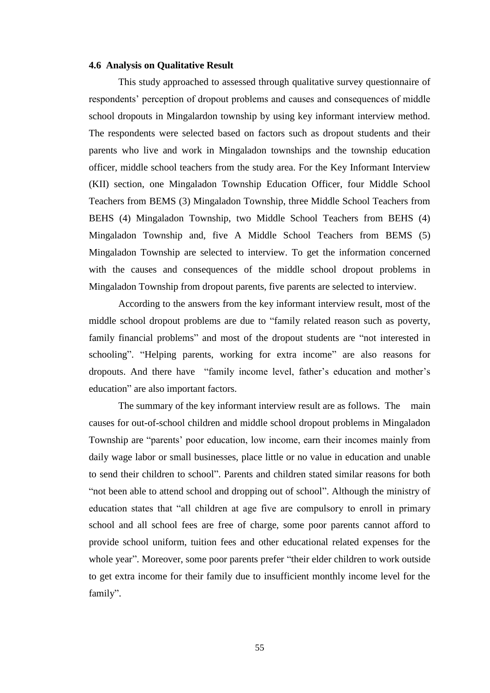#### **4.6 Analysis on Qualitative Result**

This study approached to assessed through qualitative survey questionnaire of respondents" perception of dropout problems and causes and consequences of middle school dropouts in Mingalardon township by using key informant interview method. The respondents were selected based on factors such as dropout students and their parents who live and work in Mingaladon townships and the township education officer, middle school teachers from the study area. For the Key Informant Interview (KII) section, one Mingaladon Township Education Officer, four Middle School Teachers from BEMS (3) Mingaladon Township, three Middle School Teachers from BEHS (4) Mingaladon Township, two Middle School Teachers from BEHS (4) Mingaladon Township and, five A Middle School Teachers from BEMS (5) Mingaladon Township are selected to interview. To get the information concerned with the causes and consequences of the middle school dropout problems in Mingaladon Township from dropout parents, five parents are selected to interview.

According to the answers from the key informant interview result, most of the middle school dropout problems are due to "family related reason such as poverty, family financial problems" and most of the dropout students are "not interested in schooling". "Helping parents, working for extra income" are also reasons for dropouts. And there have "family income level, father"s education and mother"s education" are also important factors.

The summary of the key informant interview result are as follows. The main causes for out-of-school children and middle school dropout problems in Mingaladon Township are "parents" poor education, low income, earn their incomes mainly from daily wage labor or small businesses, place little or no value in education and unable to send their children to school". Parents and children stated similar reasons for both "not been able to attend school and dropping out of school". Although the ministry of education states that "all children at age five are compulsory to enroll in primary school and all school fees are free of charge, some poor parents cannot afford to provide school uniform, tuition fees and other educational related expenses for the whole year". Moreover, some poor parents prefer "their elder children to work outside to get extra income for their family due to insufficient monthly income level for the family".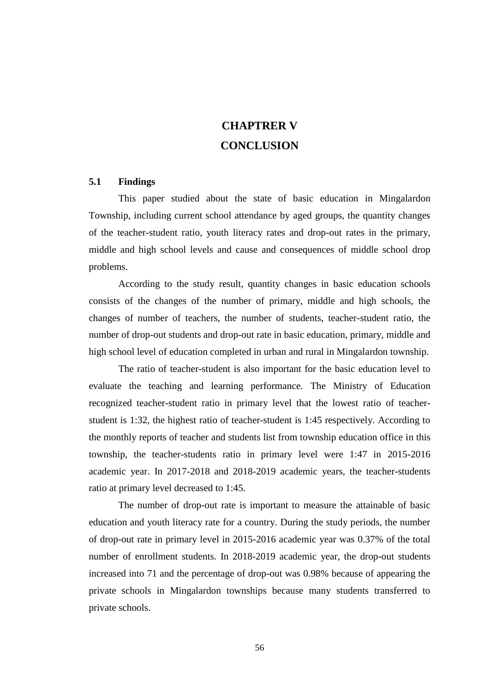# **CHAPTRER V CONCLUSION**

#### **5.1 Findings**

This paper studied about the state of basic education in Mingalardon Township, including current school attendance by aged groups, the quantity changes of the teacher-student ratio, youth literacy rates and drop-out rates in the primary, middle and high school levels and cause and consequences of middle school drop problems.

According to the study result, quantity changes in basic education schools consists of the changes of the number of primary, middle and high schools, the changes of number of teachers, the number of students, teacher-student ratio, the number of drop-out students and drop-out rate in basic education, primary, middle and high school level of education completed in urban and rural in Mingalardon township.

The ratio of teacher-student is also important for the basic education level to evaluate the teaching and learning performance. The Ministry of Education recognized teacher-student ratio in primary level that the lowest ratio of teacherstudent is 1:32, the highest ratio of teacher-student is 1:45 respectively. According to the monthly reports of teacher and students list from township education office in this township, the teacher-students ratio in primary level were 1:47 in 2015-2016 academic year. In 2017-2018 and 2018-2019 academic years, the teacher-students ratio at primary level decreased to 1:45.

The number of drop-out rate is important to measure the attainable of basic education and youth literacy rate for a country. During the study periods, the number of drop-out rate in primary level in 2015-2016 academic year was 0.37% of the total number of enrollment students. In 2018-2019 academic year, the drop-out students increased into 71 and the percentage of drop-out was 0.98% because of appearing the private schools in Mingalardon townships because many students transferred to private schools.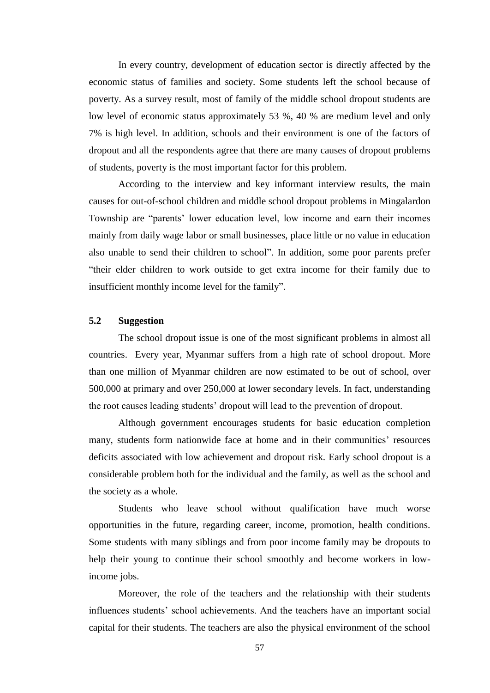In every country, development of education sector is directly affected by the economic status of families and society. Some students left the school because of poverty. As a survey result, most of family of the middle school dropout students are low level of economic status approximately 53 %, 40 % are medium level and only 7% is high level. In addition, schools and their environment is one of the factors of dropout and all the respondents agree that there are many causes of dropout problems of students, poverty is the most important factor for this problem.

According to the interview and key informant interview results, the main causes for out-of-school children and middle school dropout problems in Mingalardon Township are "parents" lower education level, low income and earn their incomes mainly from daily wage labor or small businesses, place little or no value in education also unable to send their children to school". In addition, some poor parents prefer "their elder children to work outside to get extra income for their family due to insufficient monthly income level for the family".

## **5.2 Suggestion**

 The school dropout issue is one of the most significant problems in almost all countries. Every year, Myanmar suffers from a high rate of school dropout. More than one million of Myanmar children are now estimated to be out of school, over 500,000 at primary and over 250,000 at lower secondary levels. In fact, understanding the root causes leading students" dropout will lead to the prevention of dropout.

Although government encourages students for basic education completion many, students form nationwide face at home and in their communities' resources deficits associated with low achievement and dropout risk. Early school dropout is a considerable problem both for the individual and the family, as well as the school and the society as a whole.

Students who leave school without qualification have much worse opportunities in the future, regarding career, income, promotion, health conditions. Some students with many siblings and from poor income family may be dropouts to help their young to continue their school smoothly and become workers in lowincome jobs.

Moreover, the role of the teachers and the relationship with their students influences students" school achievements. And the teachers have an important social capital for their students. The teachers are also the physical environment of the school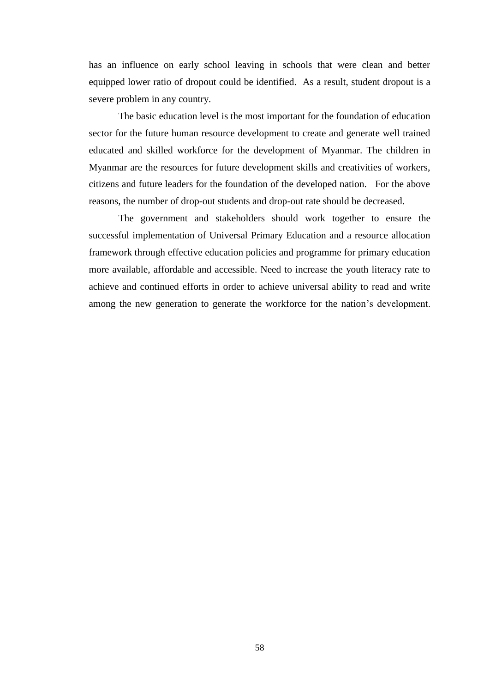has an influence on early school leaving in schools that were clean and better equipped lower ratio of dropout could be identified. As a result, student dropout is a severe problem in any country.

The basic education level is the most important for the foundation of education sector for the future human resource development to create and generate well trained educated and skilled workforce for the development of Myanmar. The children in Myanmar are the resources for future development skills and creativities of workers, citizens and future leaders for the foundation of the developed nation. For the above reasons, the number of drop-out students and drop-out rate should be decreased.

The government and stakeholders should work together to ensure the successful implementation of Universal Primary Education and a resource allocation framework through effective education policies and programme for primary education more available, affordable and accessible. Need to increase the youth literacy rate to achieve and continued efforts in order to achieve universal ability to read and write among the new generation to generate the workforce for the nation's development.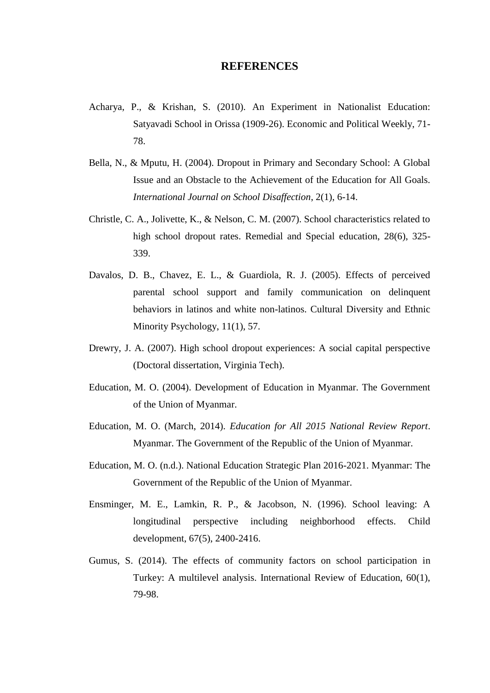### **REFERENCES**

- Acharya, P., & Krishan, S. (2010). An Experiment in Nationalist Education: Satyavadi School in Orissa (1909-26). Economic and Political Weekly, 71- 78.
- Bella, N., & Mputu, H. (2004). Dropout in Primary and Secondary School: A Global Issue and an Obstacle to the Achievement of the Education for All Goals. *International Journal on School Disaffection*, 2(1), 6-14.
- Christle, C. A., Jolivette, K., & Nelson, C. M. (2007). School characteristics related to high school dropout rates. Remedial and Special education, 28(6), 325- 339.
- Davalos, D. B., Chavez, E. L., & Guardiola, R. J. (2005). Effects of perceived parental school support and family communication on delinquent behaviors in latinos and white non-latinos. Cultural Diversity and Ethnic Minority Psychology, 11(1), 57.
- Drewry, J. A. (2007). High school dropout experiences: A social capital perspective (Doctoral dissertation, Virginia Tech).
- Education, M. O. (2004). Development of Education in Myanmar. The Government of the Union of Myanmar.
- Education, M. O. (March, 2014). *Education for All 2015 National Review Report*. Myanmar. The Government of the Republic of the Union of Myanmar.
- Education, M. O. (n.d.). National Education Strategic Plan 2016-2021. Myanmar: The Government of the Republic of the Union of Myanmar.
- Ensminger, M. E., Lamkin, R. P., & Jacobson, N. (1996). School leaving: A longitudinal perspective including neighborhood effects. Child development, 67(5), 2400-2416.
- Gumus, S. (2014). The effects of community factors on school participation in Turkey: A multilevel analysis. International Review of Education, 60(1), 79-98.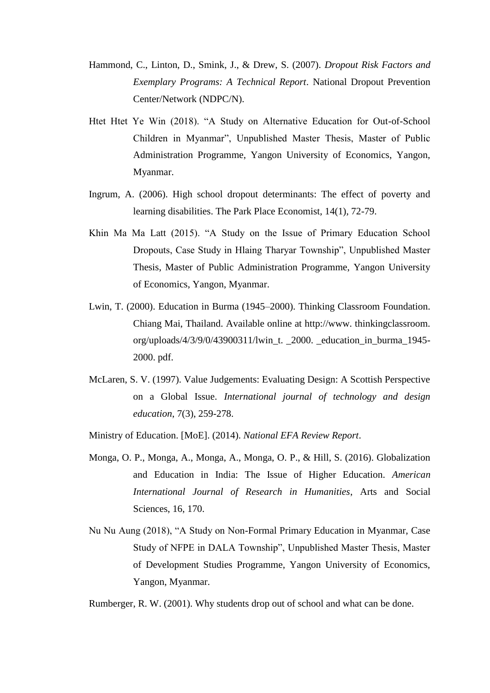- Hammond, C., Linton, D., Smink, J., & Drew, S. (2007). *Dropout Risk Factors and Exemplary Programs: A Technical Report*. National Dropout Prevention Center/Network (NDPC/N).
- Htet Htet Ye Win (2018). "A Study on Alternative Education for Out-of-School Children in Myanmar", Unpublished Master Thesis, Master of Public Administration Programme, Yangon University of Economics, Yangon, Myanmar.
- Ingrum, A. (2006). High school dropout determinants: The effect of poverty and learning disabilities. The Park Place Economist, 14(1), 72-79.
- Khin Ma Ma Latt (2015). "A Study on the Issue of Primary Education School Dropouts, Case Study in Hlaing Tharyar Township", Unpublished Master Thesis, Master of Public Administration Programme, Yangon University of Economics, Yangon, Myanmar.
- Lwin, T. (2000). Education in Burma (1945–2000). Thinking Classroom Foundation. Chiang Mai, Thailand. Available online at http://www. thinkingclassroom. org/uploads/4/3/9/0/43900311/lwin\_t. \_2000. \_education\_in\_burma\_1945- 2000. pdf.
- McLaren, S. V. (1997). Value Judgements: Evaluating Design: A Scottish Perspective on a Global Issue. *International journal of technology and design education*, 7(3), 259-278.
- Ministry of Education. [MoE]. (2014). *National EFA Review Report*.
- Monga, O. P., Monga, A., Monga, A., Monga, O. P., & Hill, S. (2016). Globalization and Education in India: The Issue of Higher Education. *American International Journal of Research in Humanities*, Arts and Social Sciences, 16, 170.
- Nu Nu Aung (2018), "A Study on Non-Formal Primary Education in Myanmar, Case Study of NFPE in DALA Township", Unpublished Master Thesis, Master of Development Studies Programme, Yangon University of Economics, Yangon, Myanmar.
- Rumberger, R. W. (2001). Why students drop out of school and what can be done.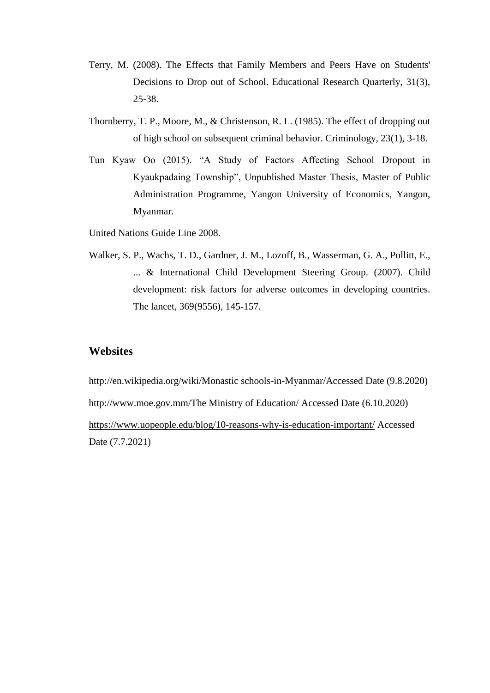- Terry, M. (2008). The Effects that Family Members and Peers Have on Students' Decisions to Drop out of School. Educational Research Quarterly, 31(3), 25-38.
- Thornberry, T. P., Moore, M., & Christenson, R. L. (1985). The effect of dropping out of high school on subsequent criminal behavior. Criminology, 23(1), 3-18.
- Tun Kyaw Oo (2015). "A Study of Factors Affecting School Dropout in Kyaukpadaing Township", Unpublished Master Thesis, Master of Public Administration Programme, Yangon University of Economics, Yangon, Myanmar.
- United Nations Guide Line 2008.
- Walker, S. P., Wachs, T. D., Gardner, J. M., Lozoff, B., Wasserman, G. A., Pollitt, E., ... & International Child Development Steering Group. (2007). Child development: risk factors for adverse outcomes in developing countries. The lancet, 369(9556), 145-157.

## **Websites**

http://en.wikipedia.org/wiki/Monastic schools-in-Myanmar/Accessed Date (9.8.2020) http://www.moe.gov.mm/The Ministry of Education/ Accessed Date (6.10.2020) <https://www.uopeople.edu/blog/10-reasons-why-is-education-important/> Accessed Date (7.7.2021)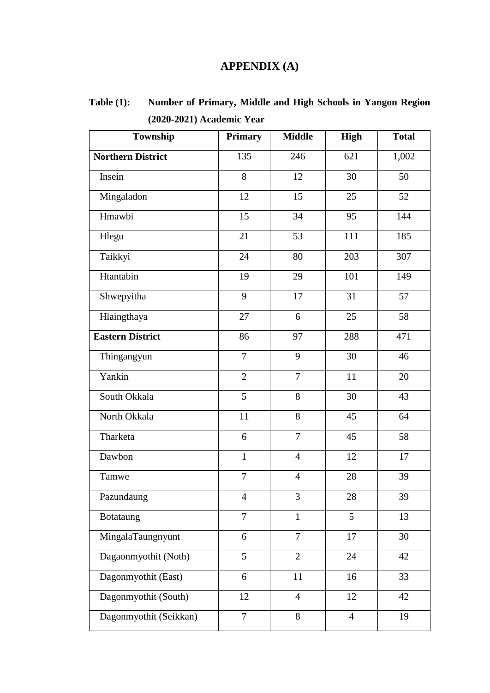# **APPENDIX (A)**

**Table (1): Number of Primary, Middle and High Schools in Yangon Region (2020-2021) Academic Year**

| Township                 | <b>Primary</b> | <b>Middle</b>  | <b>High</b>    | <b>Total</b> |
|--------------------------|----------------|----------------|----------------|--------------|
| <b>Northern District</b> | 135            | 246            | 621            | 1,002        |
| Insein                   | 8              | 12             | 30             | 50           |
| Mingaladon               | 12             | 15             | 25             | 52           |
| Hmawbi                   | 15             | 34             | 95             | 144          |
| Hlegu                    | 21             | 53             | 111            | 185          |
| Taikkyi                  | 24             | 80             | 203            | 307          |
| Htantabin                | 19             | 29             | 101            | 149          |
| Shwepyitha               | 9              | 17             | 31             | 57           |
| Hlaingthaya              | 27             | 6              | 25             | 58           |
| <b>Eastern District</b>  | 86             | 97             | 288            | 471          |
| Thingangyun              | $\overline{7}$ | 9              | 30             | 46           |
| Yankin                   | $\overline{2}$ | $\overline{7}$ | 11             | 20           |
| South Okkala             | 5              | 8              | 30             | 43           |
| North Okkala             | 11             | 8              | 45             | 64           |
| Tharketa                 | 6              | $\overline{7}$ | 45             | 58           |
| Dawbon                   | $\mathbf{1}$   | $\overline{4}$ | 12             | 17           |
| Tamwe                    | $\overline{7}$ | $\overline{4}$ | 28             | 39           |
| Pazundaung               | $\overline{4}$ | $\overline{3}$ | 28             | 39           |
| Botataung                | $\overline{7}$ | $\mathbf{1}$   | 5              | 13           |
| MingalaTaungnyunt        | 6              | $\overline{7}$ | 17             | 30           |
| Dagaonmyothit (Noth)     | $\overline{5}$ | $\overline{2}$ | 24             | 42           |
| Dagonmyothit (East)      | 6              | 11             | 16             | 33           |
| Dagonmyothit (South)     | 12             | $\overline{4}$ | 12             | 42           |
| Dagonmyothit (Seikkan)   | $\overline{7}$ | 8              | $\overline{4}$ | 19           |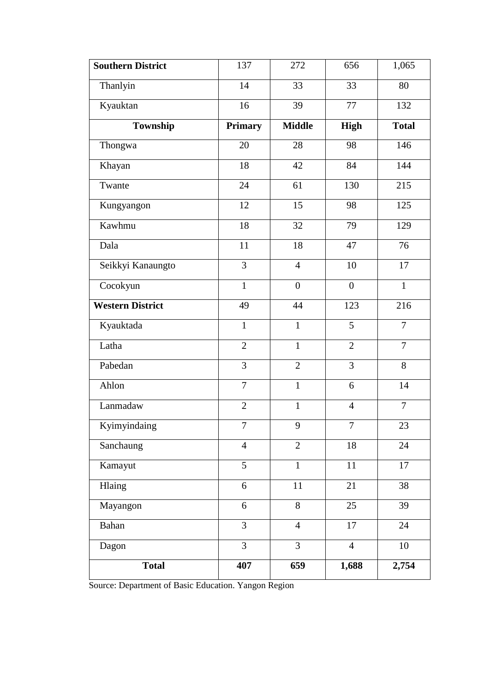| Southern District       | 137            | 272            | 656              | 1,065          |  |  |
|-------------------------|----------------|----------------|------------------|----------------|--|--|
| Thanlyin                | 14             | 33             | 33               | 80             |  |  |
| Kyauktan                | 16             | 39             | 77               | 132            |  |  |
| Township                | <b>Primary</b> | <b>Middle</b>  | <b>High</b>      | <b>Total</b>   |  |  |
| Thongwa                 | 20             | 28             | 98               | 146            |  |  |
| Khayan                  | 18             | 42             | 84               | 144            |  |  |
| Twante                  | 24             | 61             | 130              | 215            |  |  |
| Kungyangon              | 12             | 15             | 98               | 125            |  |  |
| Kawhmu                  | $18\,$         | 32             | 79               | 129            |  |  |
| Dala                    | 11             | 18             | 47               | 76             |  |  |
| Seikkyi Kanaungto       | $\overline{3}$ | $\overline{4}$ | 10               | 17             |  |  |
| Cocokyun                | $\mathbf{1}$   | $\overline{0}$ | $\boldsymbol{0}$ | $\mathbf{1}$   |  |  |
| <b>Western District</b> | 49             | 44             | 123              | 216            |  |  |
| Kyauktada               | $\mathbf{1}$   | $\mathbf{1}$   | 5                | $\overline{7}$ |  |  |
| Latha                   | $\mathbf{2}$   | $\mathbf{1}$   | $\mathbf{2}$     | $\tau$         |  |  |
| Pabedan                 | 3              | $\overline{2}$ | 3                | 8              |  |  |
| Ahlon                   | $\tau$         | $\mathbf{1}$   | 6                | 14             |  |  |
| Lanmadaw                | $\overline{2}$ | $\mathbf{1}$   | $\overline{4}$   | $\overline{7}$ |  |  |
| Kyimyindaing            | $\tau$         | 9              | $\overline{7}$   | 23             |  |  |
| Sanchaung               | $\overline{4}$ | $\overline{2}$ | 18               | 24             |  |  |
| Kamayut                 | 5              | $\mathbf{1}$   | $11\,$           | 17             |  |  |
| Hlaing                  | 6              | 11             | 21               | 38             |  |  |
| Mayangon                | 6              | 8              | 25               | 39             |  |  |
| Bahan                   | $\overline{3}$ | $\overline{4}$ | 17               | 24             |  |  |
| Dagon                   | $\overline{3}$ | $\overline{3}$ | $\overline{4}$   | 10             |  |  |
| <b>Total</b>            | 407            | 659            | 1,688            | 2,754          |  |  |

Source: Department of Basic Education. Yangon Region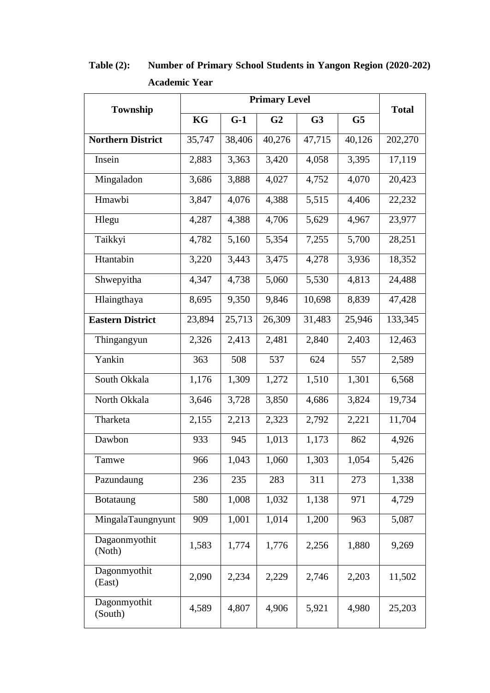| <b>Township</b>          | KG     | $G-1$  | G <sub>2</sub> | G <sub>3</sub> | G5     | <b>Total</b> |
|--------------------------|--------|--------|----------------|----------------|--------|--------------|
| <b>Northern District</b> | 35,747 | 38,406 | 40,276         | 47,715         | 40,126 | 202,270      |
| Insein                   | 2,883  | 3,363  | 3,420          | 4,058          | 3,395  | 17,119       |
| Mingaladon               | 3,686  | 3,888  | 4,027          | 4,752          | 4,070  | 20,423       |
| Hmawbi                   | 3,847  | 4,076  | 4,388          | 5,515          | 4,406  | 22,232       |
| Hlegu                    | 4,287  | 4,388  | 4,706          | 5,629          | 4,967  | 23,977       |
| Taikkyi                  | 4,782  | 5,160  | 5,354          | 7,255          | 5,700  | 28,251       |
| Htantabin                | 3,220  | 3,443  | 3,475          | 4,278          | 3,936  | 18,352       |
| Shwepyitha               | 4,347  | 4,738  | 5,060          | 5,530          | 4,813  | 24,488       |
| Hlaingthaya              | 8,695  | 9,350  | 9,846          | 10,698         | 8,839  | 47,428       |
| <b>Eastern District</b>  | 23,894 | 25,713 | 26,309         | 31,483         | 25,946 | 133,345      |
| Thingangyun              | 2,326  | 2,413  | 2,481          | 2,840          | 2,403  | 12,463       |
| Yankin                   | 363    | 508    | 537            | 624            | 557    | 2,589        |
| South Okkala             | 1,176  | 1,309  | 1,272          | 1,510          | 1,301  | 6,568        |
| North Okkala             | 3,646  | 3,728  | 3,850          | 4,686          | 3,824  | 19,734       |
| Tharketa                 | 2,155  | 2,213  | 2,323          | 2,792          | 2,221  | 11,704       |
| Dawbon                   | 933    | 945    | 1,013          | 1,173          | 862    | 4,926        |
| Tamwe                    | 966    | 1,043  | 1,060          | 1,303          | 1,054  | 5,426        |
| Pazundaung               | 236    | 235    | 283            | 311            | 273    | 1,338        |
| Botataung                | 580    | 1,008  | 1,032          | 1,138          | 971    | 4,729        |
| MingalaTaungnyunt        | 909    | 1,001  | 1,014          | 1,200          | 963    | 5,087        |
| Dagaonmyothit<br>(Noth)  | 1,583  | 1,774  | 1,776          | 2,256          | 1,880  | 9,269        |
| Dagonmyothit<br>(East)   | 2,090  | 2,234  | 2,229          | 2,746          | 2,203  | 11,502       |
| Dagonmyothit<br>(South)  | 4,589  | 4,807  | 4,906          | 5,921          | 4,980  | 25,203       |

**Table (2): Number of Primary School Students in Yangon Region (2020-202) Academic Year**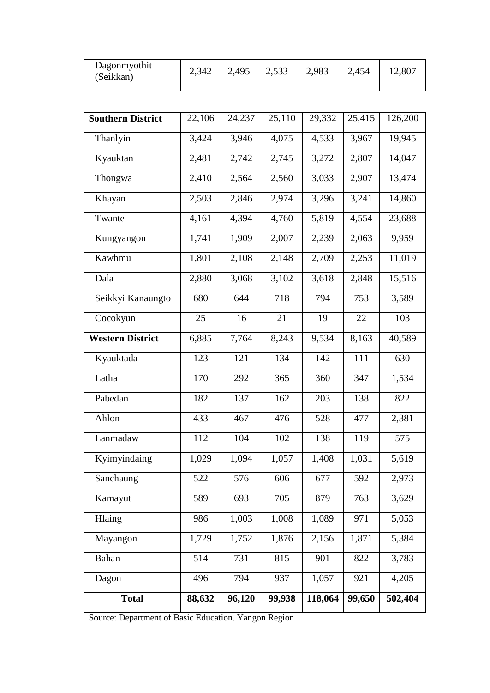| Dagonmyothit<br>(Seikkan) | 2,342 | 2,495 | 2,533 | 2,983 | 2,454 | 12,807 |
|---------------------------|-------|-------|-------|-------|-------|--------|
|                           |       |       |       |       |       |        |

| <b>Southern District</b> | 22,106 | 24,237 | 25,110 | 29,332  | 25,415 | 126,200 |
|--------------------------|--------|--------|--------|---------|--------|---------|
| Thanlyin                 | 3,424  | 3,946  | 4,075  | 4,533   | 3,967  | 19,945  |
| Kyauktan                 | 2,481  | 2,742  | 2,745  | 3,272   | 2,807  | 14,047  |
| Thongwa                  | 2,410  | 2,564  | 2,560  | 3,033   | 2,907  | 13,474  |
| Khayan                   | 2,503  | 2,846  | 2,974  | 3,296   | 3,241  | 14,860  |
| Twante                   | 4,161  | 4,394  | 4,760  | 5,819   | 4,554  | 23,688  |
| Kungyangon               | 1,741  | 1,909  | 2,007  | 2,239   | 2,063  | 9,959   |
| Kawhmu                   | 1,801  | 2,108  | 2,148  | 2,709   | 2,253  | 11,019  |
| Dala                     | 2,880  | 3,068  | 3,102  | 3,618   | 2,848  | 15,516  |
| Seikkyi Kanaungto        | 680    | 644    | 718    | 794     | 753    | 3,589   |
| Cocokyun                 | 25     | 16     | 21     | 19      | 22     | 103     |
| <b>Western District</b>  | 6,885  | 7,764  | 8,243  | 9,534   | 8,163  | 40,589  |
| Kyauktada                | 123    | 121    | 134    | 142     | 111    | 630     |
| Latha                    | 170    | 292    | 365    | 360     | 347    | 1,534   |
| Pabedan                  | 182    | 137    | 162    | 203     | 138    | 822     |
| Ahlon                    | 433    | 467    | 476    | 528     | 477    | 2,381   |
| Lanmadaw                 | 112    | 104    | 102    | 138     | 119    | 575     |
| Kyimyindaing             | 1,029  | 1,094  | 1,057  | 1,408   | 1,031  | 5,619   |
| Sanchaung                | 522    | 576    | 606    | 677     | 592    | 2,973   |
| Kamayut                  | 589    | 693    | 705    | 879     | 763    | 3,629   |
| Hlaing                   | 986    | 1,003  | 1,008  | 1,089   | 971    | 5,053   |
| Mayangon                 | 1,729  | 1,752  | 1,876  | 2,156   | 1,871  | 5,384   |
| Bahan                    | 514    | 731    | 815    | 901     | 822    | 3,783   |
| Dagon                    | 496    | 794    | 937    | 1,057   | 921    | 4,205   |
| <b>Total</b>             | 88,632 | 96,120 | 99,938 | 118,064 | 99,650 | 502,404 |

Source: Department of Basic Education. Yangon Region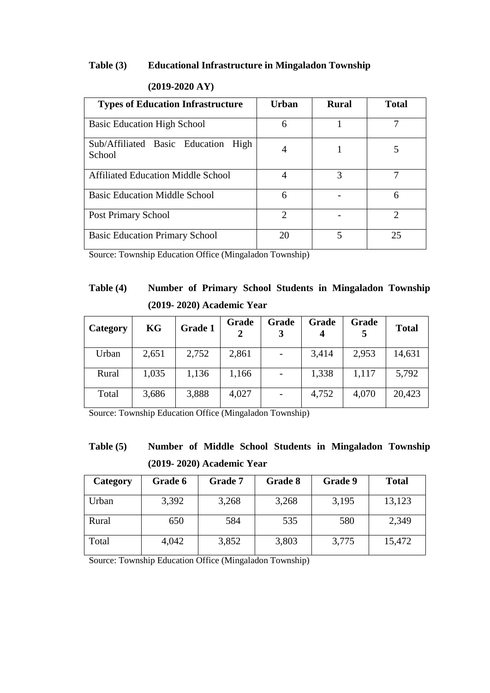#### **Table (3) Educational Infrastructure in Mingaladon Township**

| <b>Types of Education Infrastructure</b>      | <b>Urban</b>                | <b>Rural</b> | <b>Total</b> |
|-----------------------------------------------|-----------------------------|--------------|--------------|
| <b>Basic Education High School</b>            | 6                           |              |              |
| Sub/Affiliated Basic Education High<br>School |                             |              |              |
| <b>Affiliated Education Middle School</b>     |                             | 3            |              |
| <b>Basic Education Middle School</b>          | 6                           |              | 6            |
| <b>Post Primary School</b>                    | $\mathcal{D}_{\mathcal{A}}$ |              | 2            |
| <b>Basic Education Primary School</b>         | 20                          | 5            | 25           |

## **(2019-2020 AY)**

Source: Township Education Office (Mingaladon Township)

# **Table (4) Number of Primary School Students in Mingaladon Township (2019- 2020) Academic Year**

| Category | KG    | Grade 1 | Grade | Grade | Grade<br>4 | Grade | <b>Total</b> |
|----------|-------|---------|-------|-------|------------|-------|--------------|
| Urban    | 2,651 | 2,752   | 2,861 |       | 3,414      | 2,953 | 14,631       |
| Rural    | 1,035 | 1,136   | 1,166 |       | 1,338      | 1,117 | 5,792        |
| Total    | 3,686 | 3,888   | 4,027 |       | 4,752      | 4,070 | 20,423       |

Source: Township Education Office (Mingaladon Township)

# **Table (5) Number of Middle School Students in Mingaladon Township (2019- 2020) Academic Year**

| Category | Grade 6 | Grade 7 | Grade 8 | Grade 9 | <b>Total</b> |
|----------|---------|---------|---------|---------|--------------|
| Urban    | 3,392   | 3,268   | 3,268   | 3,195   | 13,123       |
| Rural    | 650     | 584     | 535     | 580     | 2,349        |
| Total    | 4,042   | 3,852   | 3,803   | 3,775   | 15,472       |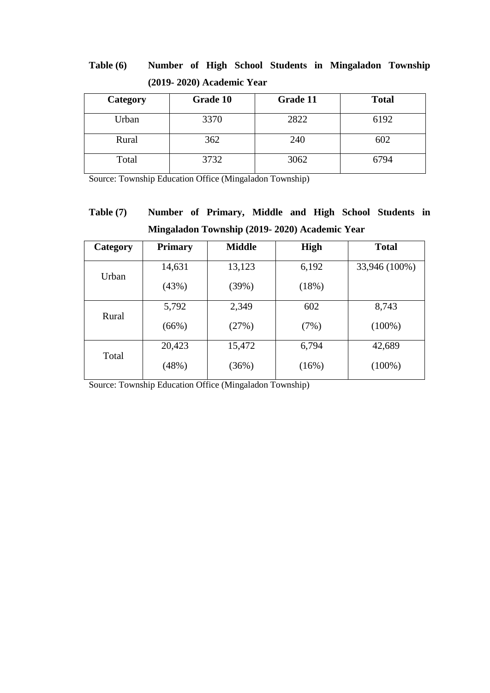| Table $(6)$ |                           |  |  | Number of High School Students in Mingaladon Township |  |
|-------------|---------------------------|--|--|-------------------------------------------------------|--|
|             | (2019-2020) Academic Year |  |  |                                                       |  |

| Category | Grade 10 | Grade 11 | <b>Total</b> |
|----------|----------|----------|--------------|
| Urban    | 3370     | 2822     | 6192         |
| Rural    | 362      | 240      | 602          |
| Total    | 3732     | 3062     | 6794         |

Source: Township Education Office (Mingaladon Township)

# **Table (7) Number of Primary, Middle and High School Students in Mingaladon Township (2019- 2020) Academic Year**

| Category | <b>Primary</b> | <b>Middle</b> | <b>High</b> | <b>Total</b>  |
|----------|----------------|---------------|-------------|---------------|
| Urban    | 14,631         | 13,123        | 6,192       | 33,946 (100%) |
|          | (43%)          | (39%)         | (18%)       |               |
|          | 5,792          | 2,349         | 602         | 8,743         |
| Rural    | (66%)          | (27%)         | (7%)        | $(100\%)$     |
|          | 20,423         | 15,472        | 6,794       | 42,689        |
| Total    | (48%)          | (36%)         | (16%)       | $(100\%)$     |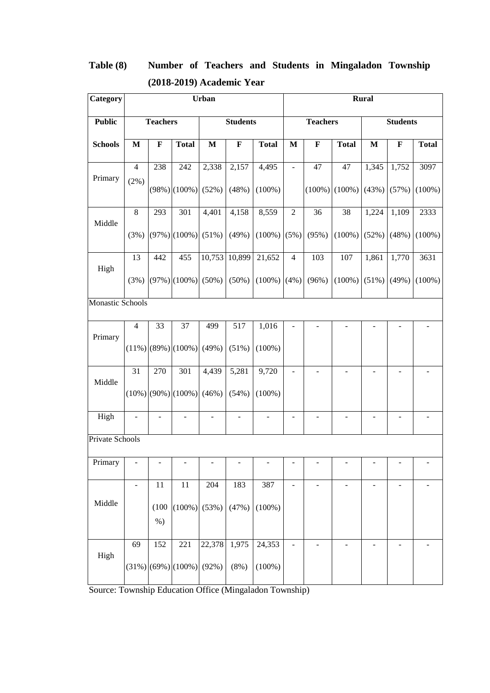| Category         |                |                 |                                      | Urban          |                          |                          |                              |                              |                          | <b>Rural</b>                 |                          |                              |
|------------------|----------------|-----------------|--------------------------------------|----------------|--------------------------|--------------------------|------------------------------|------------------------------|--------------------------|------------------------------|--------------------------|------------------------------|
| <b>Public</b>    |                | <b>Teachers</b> |                                      |                | <b>Students</b>          |                          |                              | <b>Teachers</b>              |                          |                              | <b>Students</b>          |                              |
| <b>Schools</b>   | $\mathbf{M}$   | $\mathbf F$     | <b>Total</b>                         | $\mathbf M$    | $\mathbf F$              | <b>Total</b>             | $\mathbf{M}$                 | $\mathbf F$                  | <b>Total</b>             | M                            | $\mathbf{F}$             | <b>Total</b>                 |
|                  | $\overline{4}$ | 238             | 242                                  | 2,338          | 2,157                    | 4,495                    | $\qquad \qquad \blacksquare$ | 47                           | 47                       | 1,345                        | 1,752                    | 3097                         |
| Primary          | $(2\%)$        |                 | $(98%)$ (100%)                       | (52%)          | (48%)                    | $(100\%)$                |                              | $(100\%)$                    | $(100\%)$                | (43%)                        | (57%)                    | $(100\%)$                    |
| Middle           | $\,8\,$        | 293             | 301                                  | 4,401          | 4,158                    | 8,559                    | $\overline{2}$               | 36                           | 38                       | 1,224                        | 1,109                    | 2333                         |
|                  | (3%)           |                 | $(97%)$ (100%) (51%)                 |                | (49%)                    | $(100\%)$ (5%)           |                              | (95%)                        | $(100\%)$                | (52%)                        | (48%)                    | $(100\%)$                    |
| High             | 13             | 442             | 455                                  | 10,753         | 10,899                   | 21,652                   | $\overline{4}$               | 103                          | 107                      | 1,861                        | 1,770                    | 3631                         |
|                  | (3%)           |                 | $(97\%)$ (100%) (50%)                |                | $(50\%)$                 | $(100\%)$ (4%)           |                              | (96%)                        | $(100\%)$                | (51%)                        | (49%)                    | $(100\%)$                    |
| Monastic Schools |                |                 |                                      |                |                          |                          |                              |                              |                          |                              |                          |                              |
|                  | $\overline{4}$ | 33              | 37                                   | 499            | 517                      | 1,016                    |                              |                              |                          |                              |                          |                              |
| Primary          |                |                 | $(11\%)$ (89%) (100%)                | (49%)          | $(51\%)$                 | $(100\%)$                |                              |                              |                          |                              |                          |                              |
| Middle           | 31             | 270             | 301                                  | 4,439          | 5,281                    | 9,720                    | $\blacksquare$               | $\overline{a}$               | $\overline{\phantom{a}}$ | $\qquad \qquad \blacksquare$ |                          |                              |
|                  |                |                 | $(10\%)$ $(90\%)$ $(100\%)$ $(46\%)$ |                | (54%)                    | $(100\%)$                |                              |                              |                          |                              |                          |                              |
| High             | $\blacksquare$ | $\blacksquare$  | $\overline{\phantom{a}}$             | $\blacksquare$ | $\overline{\phantom{m}}$ | $\overline{\phantom{a}}$ | ÷                            | $\qquad \qquad \blacksquare$ | $\overline{\phantom{a}}$ | $\qquad \qquad \blacksquare$ | $\overline{\phantom{a}}$ | $\qquad \qquad \blacksquare$ |
| Private Schools  |                |                 |                                      |                |                          |                          |                              |                              |                          |                              |                          |                              |
| Primary          |                |                 |                                      |                |                          |                          |                              |                              |                          |                              |                          |                              |
|                  | ÷,             | 11              | 11                                   | 204            | 183                      | 387                      | $\overline{a}$               |                              |                          |                              |                          |                              |
| Middle           |                | (100)<br>$%$ )  | $(100\%)$ (53%)                      |                | (47%)                    | $(100\%)$                |                              |                              |                          |                              |                          |                              |
|                  | 69             | 152             | 221                                  | 22,378         | 1,975                    | 24,353                   | ÷,                           |                              |                          | ۰                            |                          |                              |
| High             |                |                 | $(31\%)$ (69%) (100%) (92%)          |                | (8%)                     | $(100\%)$                |                              |                              |                          |                              |                          |                              |

# **Table (8) Number of Teachers and Students in Mingaladon Township (2018-2019) Academic Year**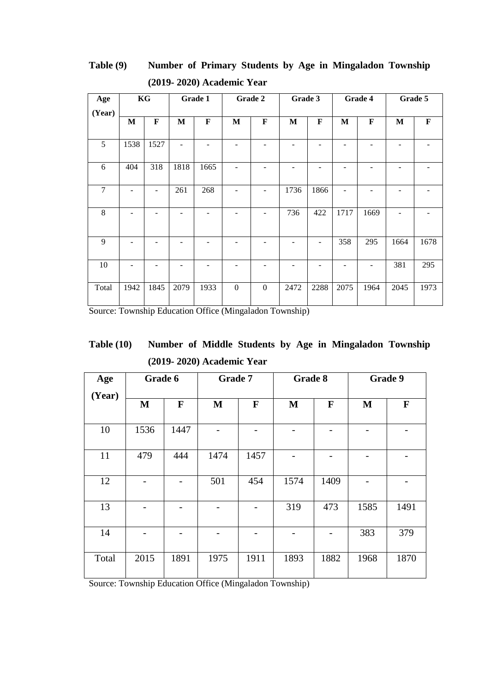| KG<br>Age      |                          | Grade 1                  |              | Grade 2                  |                   | Grade 3          |                          | Grade 4         |                 | Grade 5        |              |             |
|----------------|--------------------------|--------------------------|--------------|--------------------------|-------------------|------------------|--------------------------|-----------------|-----------------|----------------|--------------|-------------|
| (Year)         |                          |                          |              |                          |                   |                  |                          |                 |                 |                |              |             |
|                | M                        | $\mathbf F$              | $\mathbf{M}$ | $\mathbf F$              | $\mathbf{M}$      | $\mathbf F$      | M                        | F               | M               | $\mathbf F$    | $\mathbf{M}$ | $\mathbf F$ |
| 5              | 1538                     | 1527                     |              |                          |                   |                  |                          |                 |                 |                |              |             |
| 6              | 404                      | 318                      | 1818         | 1665                     | $\blacksquare$    |                  | ۰                        |                 |                 |                |              |             |
| $\overline{7}$ | ۳                        | $\overline{\phantom{a}}$ | 261          | 268                      | ۰                 | $\overline{a}$   | 1736                     | 1866            | ۰               | -              |              |             |
| 8              | $\overline{\phantom{0}}$ | $\overline{\phantom{0}}$ | ۰            | $\overline{\phantom{0}}$ | $\qquad \qquad -$ | $\overline{a}$   | 736                      | 422             | 1717            | 1669           | -            |             |
| 9              |                          | ۰                        |              | ۳                        | ۰                 | ۰                | ۰                        | $\qquad \qquad$ | 358             | 295            | 1664         | 1678        |
| 10             | -                        | $\overline{a}$           |              | $\overline{\phantom{0}}$ | $\qquad \qquad -$ | -                | $\overline{\phantom{0}}$ | ۰               | $\qquad \qquad$ | $\overline{a}$ | 381          | 295         |
| Total          | 1942                     | 1845                     | 2079         | 1933                     | $\boldsymbol{0}$  | $\boldsymbol{0}$ | 2472                     | 2288            | 2075            | 1964           | 2045         | 1973        |

**Table (9) Number of Primary Students by Age in Mingaladon Township (2019- 2020) Academic Year**

Source: Township Education Office (Mingaladon Township)

| Table $(10)$ | Number of Middle Students by Age in Mingaladon Township |  |
|--------------|---------------------------------------------------------|--|
|              | $(2019-2020)$ Academic Year                             |  |

| Age    | Grade 6      |              | Grade 7     |              | Grade 8 |             | Grade 9      |             |
|--------|--------------|--------------|-------------|--------------|---------|-------------|--------------|-------------|
| (Year) | $\mathbf{M}$ | $\mathbf{F}$ | $\mathbf M$ | $\mathbf{F}$ | M       | $\mathbf F$ | $\mathbf{M}$ | $\mathbf F$ |
| 10     | 1536         | 1447         |             |              |         |             |              |             |
| 11     | 479          | 444          | 1474        | 1457         |         |             |              |             |
| 12     |              |              | 501         | 454          | 1574    | 1409        |              |             |
| 13     |              |              |             |              | 319     | 473         | 1585         | 1491        |
| 14     |              |              |             |              |         |             | 383          | 379         |
| Total  | 2015         | 1891         | 1975        | 1911         | 1893    | 1882        | 1968         | 1870        |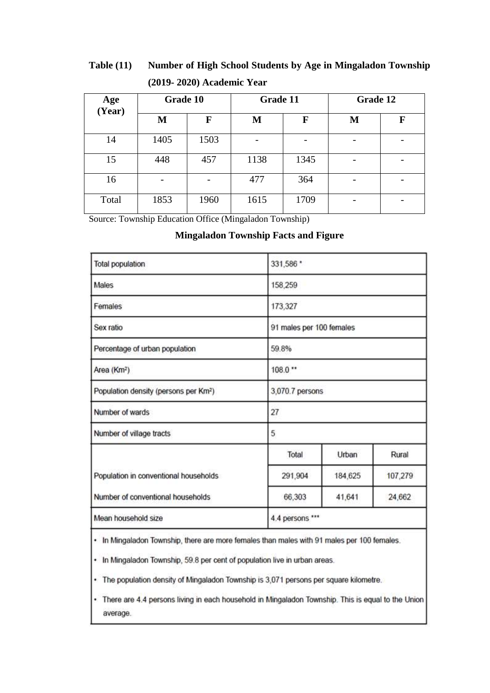## **Table (11) Number of High School Students by Age in Mingaladon Township (2019- 2020) Academic Year**

| Age<br>(Year) | Grade 10 |      | Grade 11 |             | Grade 12 |   |  |
|---------------|----------|------|----------|-------------|----------|---|--|
|               | M        | F    | M        | $\mathbf F$ | M        | F |  |
| 14            | 1405     | 1503 |          |             |          |   |  |
| 15            | 448      | 457  | 1138     | 1345        |          |   |  |
| 16            |          |      | 477      | 364         |          |   |  |
| Total         | 1853     | 1960 | 1615     | 1709        | -        |   |  |

Source: Township Education Office (Mingaladon Township)

## **Mingaladon Township Facts and Figure**

| <b>Total population</b>                           | 331,586 *                |                  |         |  |  |  |  |
|---------------------------------------------------|--------------------------|------------------|---------|--|--|--|--|
| Males                                             | 158,259                  |                  |         |  |  |  |  |
| Females                                           | 173,327                  |                  |         |  |  |  |  |
| Sex ratio                                         | 91 males per 100 females |                  |         |  |  |  |  |
| Percentage of urban population                    | 59.8%                    |                  |         |  |  |  |  |
| Area (Km <sup>2</sup> )                           | $108.0$ **               |                  |         |  |  |  |  |
| Population density (persons per Km <sup>2</sup> ) | 3,070.7 persons          |                  |         |  |  |  |  |
| Number of wards                                   | 27                       |                  |         |  |  |  |  |
| Number of village tracts                          | 5                        |                  |         |  |  |  |  |
|                                                   | Total                    | Urban            | Rural   |  |  |  |  |
| Population in conventional households             | 291,904                  | 184,625          | 107,279 |  |  |  |  |
| Number of conventional households                 | 66,303                   | 41,641<br>24,662 |         |  |  |  |  |
| Mean household size                               | 4.4 persons ***          |                  |         |  |  |  |  |

. In Mingaladon Township, there are more females than males with 91 males per 100 females.

• In Mingaladon Township, 59.8 per cent of population live in urban areas.

· The population density of Mingaladon Township is 3,071 persons per square kilometre.

There are 4.4 persons living in each household in Mingaladon Township. This is equal to the Union ۰ average.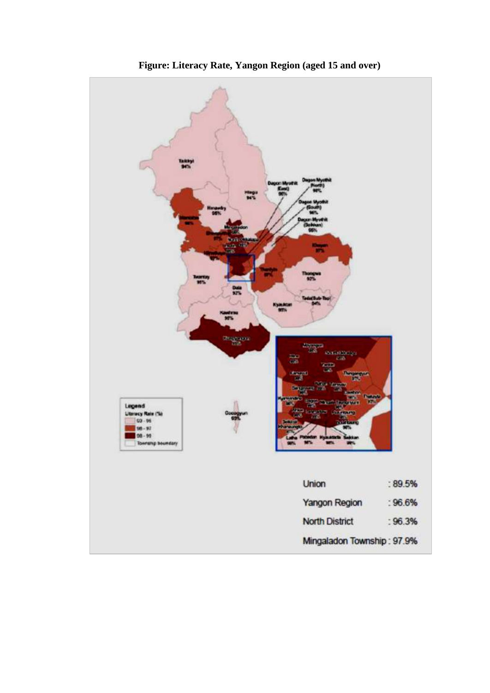

**Figure: Literacy Rate, Yangon Region (aged 15 and over)**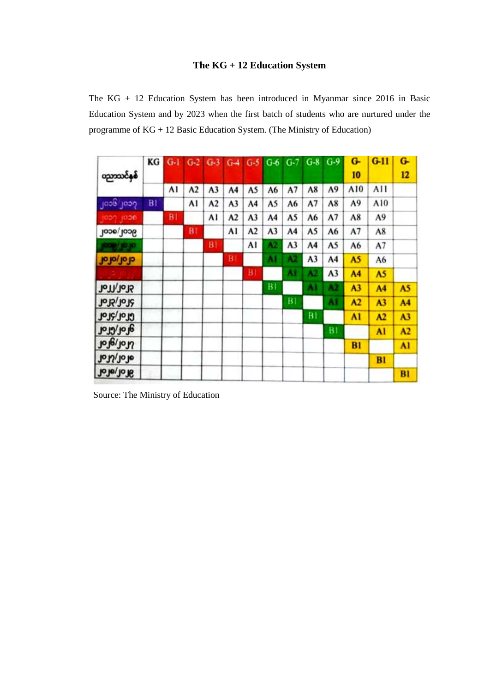## **The KG + 12 Education System**

The KG + 12 Education System has been introduced in Myanmar since 2016 in Basic Education System and by 2023 when the first batch of students who are nurtured under the programme of KG + 12 Basic Education System. (The Ministry of Education)

| တာသင်နှစ်           | KG | $G-1$ |             | $G-2$ $G-3$    | $G-4$ |                | $G-5$ $G-6$ | $G-7$          | $G-8$ | $G-9$          | G-<br>10       | $G-11$         | $G -$<br>12    |
|---------------------|----|-------|-------------|----------------|-------|----------------|-------------|----------------|-------|----------------|----------------|----------------|----------------|
|                     |    | A1    | $\Lambda$ 2 | A <sub>3</sub> | A4    | A5             | A6          | A <sub>7</sub> | A8    | A9             | A10            | AII            |                |
| ၂၀၁၆ ၂၀၁၇           | BI |       | A١          | A2             | A3    | A4             | A5          | A6             | A7    | A8             | A9             | A10            |                |
| 1000 1000           |    | BI    |             | AI             | A2    | A3             | A4          | A5             | A6    | A7             | A8             | A9             |                |
| 900/900             |    |       | BT          |                | Al    | A <sub>2</sub> | A3          | A4             | A5    | A6             | A7             | A8             |                |
| <b>91.91/8001</b>   |    |       |             | BI             |       | A١             | 42          | A3             | A4    | A5             | A <sub>6</sub> | A7             |                |
| dol/ofor            |    |       |             |                | BI    |                | ٨١          | 42             | A3    | A4             | A5             | A6             |                |
|                     |    |       |             |                |       | BI             |             | Āł             | A2    | A <sub>3</sub> | A <sub>4</sub> | A5             |                |
| <b>Hol/Tol</b>      |    |       |             |                |       |                | BI          |                | AI    | A2             | A <sub>3</sub> | A4             | A5             |
| <b>Jols/2016</b>    |    |       |             |                |       |                |             | B1             |       | M              | A <sub>2</sub> | A <sub>3</sub> | A <sub>4</sub> |
| Grof/5for           |    |       |             |                |       |                |             |                | B1    |                | AI             | A2             | A <sub>3</sub> |
| <b>dol/crof</b>     |    |       |             |                |       |                |             |                |       | <b>B1</b>      |                | AI             | A <sub>2</sub> |
| rel <sub>1017</sub> |    |       |             |                |       |                |             |                |       |                | <b>B1</b>      |                | Al             |
| Joly/Jolo           |    |       |             |                |       |                |             |                |       |                |                | BI             |                |
| <b>John</b> ofof    |    |       |             |                |       |                |             |                |       |                |                |                | BI             |

Source: The Ministry of Education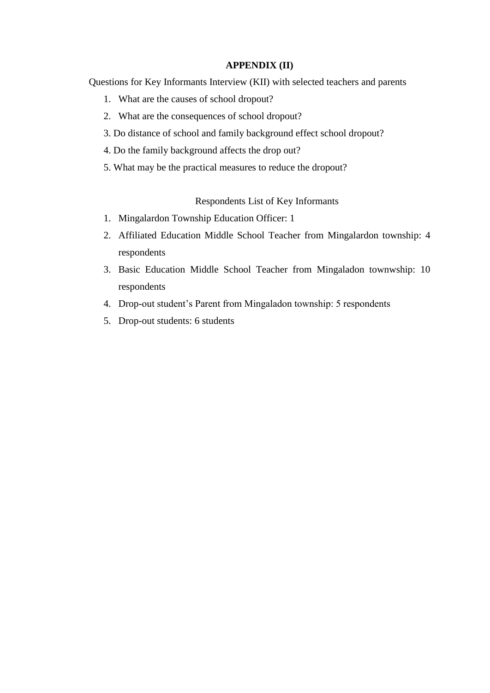#### **APPENDIX (II)**

Questions for Key Informants Interview (KII) with selected teachers and parents

- 1. What are the causes of school dropout?
- 2. What are the consequences of school dropout?
- 3. Do distance of school and family background effect school dropout?
- 4. Do the family background affects the drop out?
- 5. What may be the practical measures to reduce the dropout?

Respondents List of Key Informants

- 1. Mingalardon Township Education Officer: 1
- 2. Affiliated Education Middle School Teacher from Mingalardon township: 4 respondents
- 3. Basic Education Middle School Teacher from Mingaladon townwship: 10 respondents
- 4. Drop-out student"s Parent from Mingaladon township: 5 respondents
- 5. Drop-out students: 6 students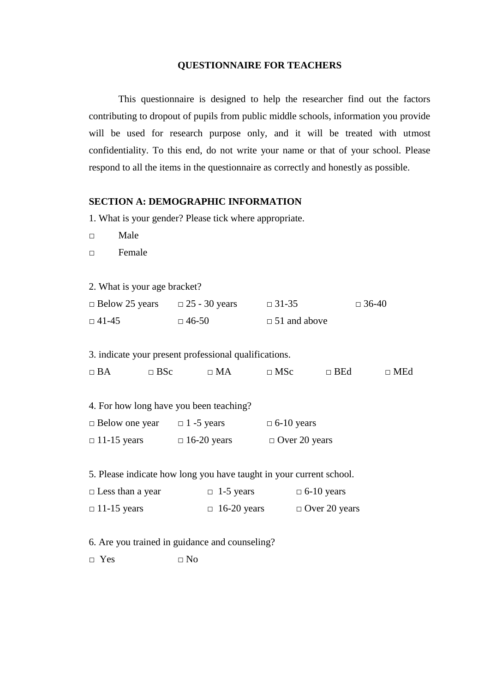#### **QUESTIONNAIRE FOR TEACHERS**

 This questionnaire is designed to help the researcher find out the factors contributing to dropout of pupils from public middle schools, information you provide will be used for research purpose only, and it will be treated with utmost confidentiality. To this end, do not write your name or that of your school. Please respond to all the items in the questionnaire as correctly and honestly as possible.

#### **SECTION A: DEMOGRAPHIC INFORMATION**

1. What is your gender? Please tick where appropriate.

□ Male

□ Female

2. What is your age bracket?

| $\Box$ Below 25 years | $\Box$ 25 - 30 years | $\Box$ 31-35        | $\Box$ 36-40 |
|-----------------------|----------------------|---------------------|--------------|
| $\Box$ 41-45          | $\Box$ 46-50         | $\Box$ 51 and above |              |

3. indicate your present professional qualifications.

□ BA □ BSc □ MA □ MSc □ BEd □ MEd

|                       | 4. For how long have you been teaching? |                   |
|-----------------------|-----------------------------------------|-------------------|
| $\Box$ Below one year | $\Box$ 1 -5 years                       | $\Box$ 6-10 years |

| $\Box$ 11-15 years | $\Box$ 16-20 years | $\Box$ Over 20 years |
|--------------------|--------------------|----------------------|
|                    |                    |                      |

5. Please indicate how long you have taught in your current school.

| $\Box$ Less than a year | $\Box$ 1-5 years   | $\Box$ 6-10 years    |
|-------------------------|--------------------|----------------------|
| $\Box$ 11-15 years      | $\Box$ 16-20 years | $\Box$ Over 20 years |

6. Are you trained in guidance and counseling?

 $\square$  Yes  $\square$  No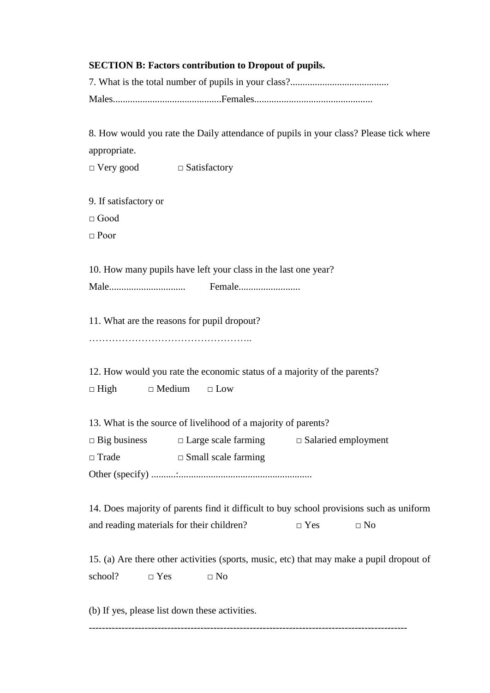## **SECTION B: Factors contribution to Dropout of pupils.**

8. How would you rate the Daily attendance of pupils in your class? Please tick where appropriate.

□ Very good □ Satisfactory

9. If satisfactory or

 $\Box$  Good

□ Poor

10. How many pupils have left your class in the last one year? Male............................... Female.........................

11. What are the reasons for pupil dropout? …………………………………………..

12. How would you rate the economic status of a majority of the parents?  $\Box$  High  $\Box$  Medium  $\Box$  Low

13. What is the source of livelihood of a majority of parents?

 $\Box$  Big business  $\Box$  Large scale farming  $\Box$  Salaried employment □ Trade □ Small scale farming

Other (specify) ..........:......................................................

14. Does majority of parents find it difficult to buy school provisions such as uniform and reading materials for their children?  $\Box$  Yes  $\Box$  No

15. (a) Are there other activities (sports, music, etc) that may make a pupil dropout of school?  $\Box$  Yes  $\Box$  No

(b) If yes, please list down these activities.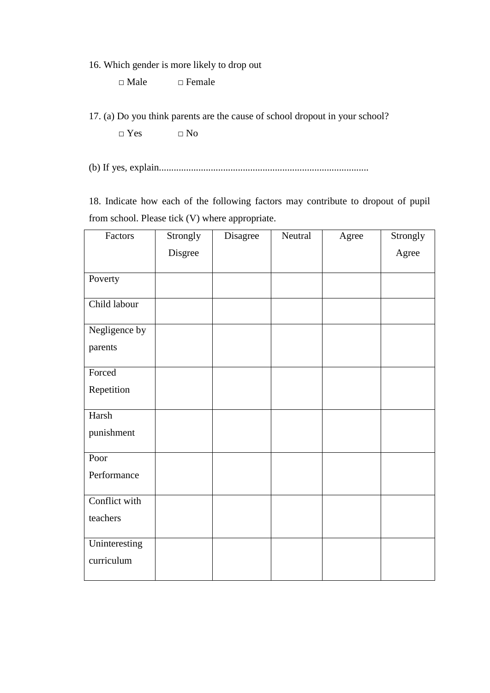16. Which gender is more likely to drop out

□ Male □ Female

 $\Box$  Yes  $\Box$  No

(b) If yes, explain.....................................................................................

18. Indicate how each of the following factors may contribute to dropout of pupil from school. Please tick (V) where appropriate.

| Factors       | Strongly | Disagree | Neutral | Agree | Strongly |
|---------------|----------|----------|---------|-------|----------|
|               | Disgree  |          |         |       | Agree    |
| Poverty       |          |          |         |       |          |
| Child labour  |          |          |         |       |          |
| Negligence by |          |          |         |       |          |
| parents       |          |          |         |       |          |
| Forced        |          |          |         |       |          |
| Repetition    |          |          |         |       |          |
| Harsh         |          |          |         |       |          |
| punishment    |          |          |         |       |          |
| Poor          |          |          |         |       |          |
| Performance   |          |          |         |       |          |
| Conflict with |          |          |         |       |          |
| teachers      |          |          |         |       |          |
| Uninteresting |          |          |         |       |          |
| curriculum    |          |          |         |       |          |

<sup>17. (</sup>a) Do you think parents are the cause of school dropout in your school?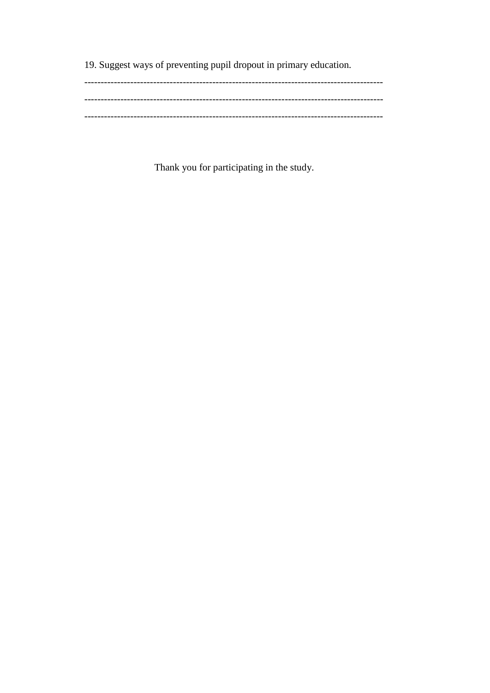19. Suggest ways of preventing pupil dropout in primary education.

Thank you for participating in the study.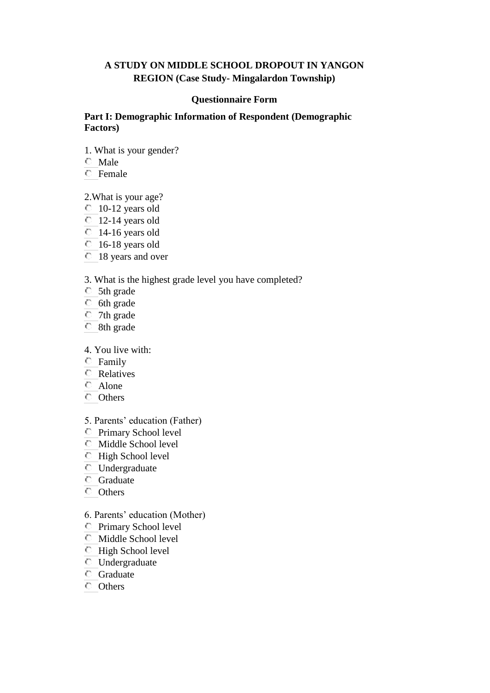## **A STUDY ON MIDDLE SCHOOL DROPOUT IN YANGON REGION (Case Study- Mingalardon Township)**

#### **Questionnaire Form**

#### **Part I: Demographic Information of Respondent (Demographic Factors)**

- 1. What is your gender?
- Male
- Female

2.What is your age?

- 10-12 years old
- $\degree$  12-14 years old
- 14-16 years old
- 16-18 years old
- 18 years and over

3. What is the highest grade level you have completed?

- 5th grade
- **6th** grade
- 7th grade
- 8th grade

## 4. You live with:

- Family
- Relatives
- C Alone
- Others
- 5. Parents" education (Father)
- Primary School level
- Middle School level
- High School level
- Undergraduate
- Graduate
- Others

#### 6. Parents" education (Mother)

- Primary School level
- Middle School level
- **High School level**
- Undergraduate
- **G**raduate
- Others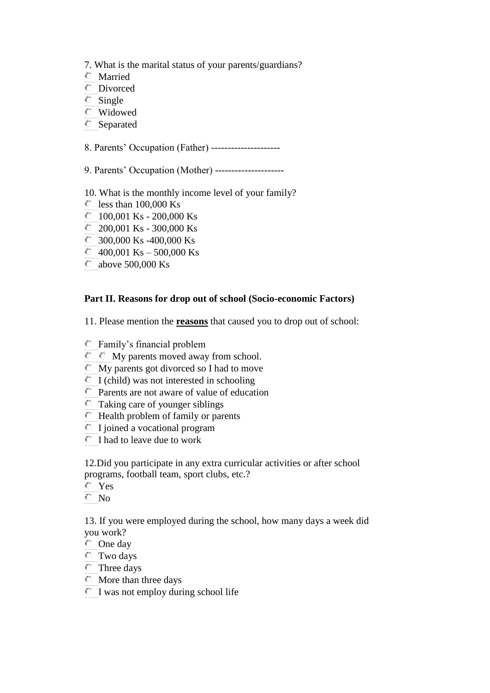- 7. What is the marital status of your parents/guardians?
- Married
- Divorced
- Single
- Widowed
- Separated

8. Parents" Occupation (Father) ---------------------

- 9. Parents" Occupation (Mother) ---------------------
- 10. What is the monthly income level of your family?
- $\degree$  less than 100,000 Ks
- $100,001$  Ks 200,000 Ks
- 200,001 Ks 300,000 Ks
- C 300,000 Ks -400,000 Ks
- $\degree$  400,001 Ks 500,000 Ks
- above 500,000 Ks

## **Part II. Reasons for drop out of school (Socio-economic Factors)**

11. Please mention the **reasons** that caused you to drop out of school:

- Family"s financial problem
- $\circ$   $\circ$  My parents moved away from school.
- $\bullet$  My parents got divorced so I had to move
- $\bullet$  I (child) was not interested in schooling
- Parents are not aware of value of education
- Taking care of younger siblings
- $\bullet$  Health problem of family or parents
- $\bullet$  I joined a vocational program
- $\bullet$  I had to leave due to work

12.Did you participate in any extra curricular activities or after school programs, football team, sport clubs, etc.?

- Yes
- No

13. If you were employed during the school, how many days a week did you work?

- One day
- Two days
- Three days
- More than three days
- $\bullet$  I was not employ during school life